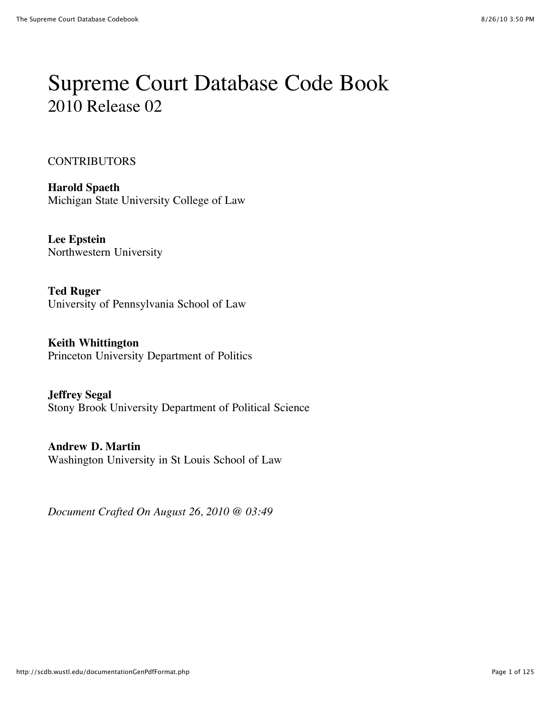# Supreme Court Database Code Book 2010 Release 02

#### **CONTRIBUTORS**

**Harold Spaeth** Michigan State University College of Law

**Lee Epstein** Northwestern University

**Ted Ruger** University of Pennsylvania School of Law

**Keith Whittington** Princeton University Department of Politics

**Jeffrey Segal** Stony Brook University Department of Political Science

**Andrew D. Martin** Washington University in St Louis School of Law

*Document Crafted On August 26, 2010 @ 03:49*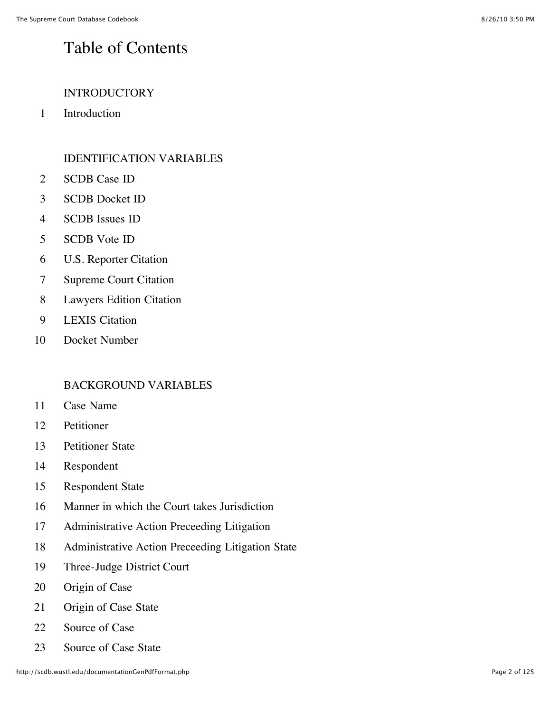#### Table of Contents

#### INTRODUCTORY

Introduction

#### IDENTIFICATION VARIABLES

- SCDB Case ID
- SCDB Docket ID
- SCDB Issues ID
- SCDB Vote ID
- U.S. Reporter Citation
- Supreme Court Citation
- Lawyers Edition Citation
- LEXIS Citation
- Docket Number

#### BACKGROUND VARIABLES

- Case Name
- Petitioner
- Petitioner State
- Respondent
- Respondent State
- Manner in which the Court takes Jurisdiction
- Administrative Action Preceeding Litigation
- Administrative Action Preceeding Litigation State
- Three-Judge District Court
- Origin of Case
- Origin of Case State
- 22 Source of Case
- Source of Case State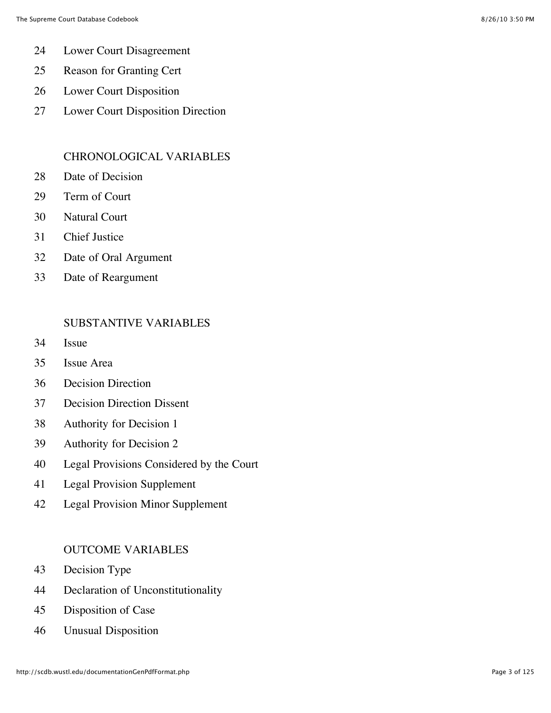- Lower Court Disagreement
- Reason for Granting Cert
- Lower Court Disposition
- Lower Court Disposition Direction

#### CHRONOLOGICAL VARIABLES

- Date of Decision
- Term of Court
- Natural Court
- Chief Justice
- Date of Oral Argument
- Date of Reargument

#### SUBSTANTIVE VARIABLES

- Issue
- Issue Area
- Decision Direction
- Decision Direction Dissent
- Authority for Decision 1
- Authority for Decision 2
- Legal Provisions Considered by the Court
- Legal Provision Supplement
- Legal Provision Minor Supplement

#### OUTCOME VARIABLES

- Decision Type
- Declaration of Unconstitutionality
- Disposition of Case
- Unusual Disposition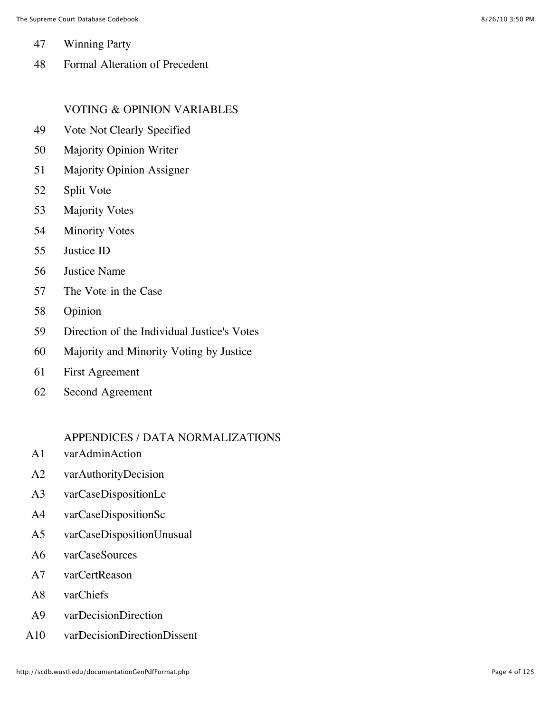- 47 Winning Party
- 48 Formal Alteration of Precedent

#### VOTING & OPINION VARIABLES

- 49 Vote Not Clearly Specified
- 50 Majority Opinion Writer
- 51 Majority Opinion Assigner
- 52 Split Vote
- 53 Majority Votes
- 54 Minority Votes
- 55 Justice ID
- 56 Justice Name
- 57 The Vote in the Case
- 58 Opinion
- 59 Direction of the Individual Justice's Votes
- 60 Majority and Minority Voting by Justice
- 61 First Agreement
- 62 Second Agreement

#### APPENDICES / DATA NORMALIZATIONS

- A1 varAdminAction
- A2 varAuthorityDecision
- A3 varCaseDispositionLc
- A4 varCaseDispositionSc
- A5 varCaseDispositionUnusual
- A6 varCaseSources
- A7 varCertReason
- A8 varChiefs
- A9 varDecisionDirection
- A10 varDecisionDirectionDissent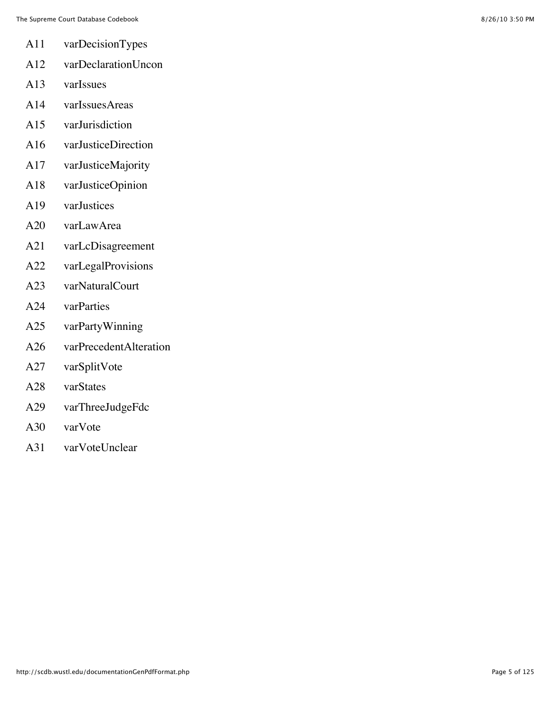- A11 varDecisionTypes
- A12 varDeclarationUncon
- A13 varIssues
- A14 varIssuesAreas
- A15 varJurisdiction
- A16 varJusticeDirection
- A17 varJusticeMajority
- A18 varJusticeOpinion
- A19 varJustices
- A20 varLawArea
- A21 varLcDisagreement
- A22 varLegalProvisions
- A23 varNaturalCourt
- A24 varParties
- A25 varPartyWinning
- A26 varPrecedentAlteration
- A27 varSplitVote
- A28 varStates
- A29 varThreeJudgeFdc
- A30 varVote
- A31 varVoteUnclear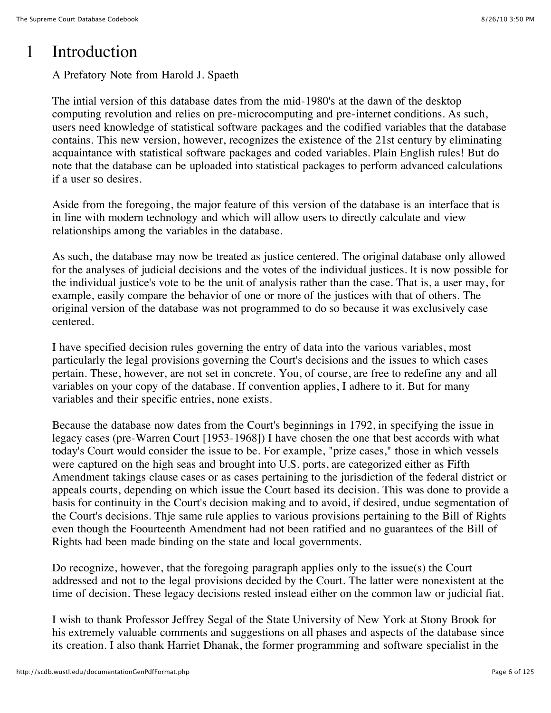#### 1 Introduction

A Prefatory Note from Harold J. Spaeth

The intial version of this database dates from the mid-1980's at the dawn of the desktop computing revolution and relies on pre-microcomputing and pre-internet conditions. As such, users need knowledge of statistical software packages and the codified variables that the database contains. This new version, however, recognizes the existence of the 21st century by eliminating acquaintance with statistical software packages and coded variables. Plain English rules! But do note that the database can be uploaded into statistical packages to perform advanced calculations if a user so desires.

Aside from the foregoing, the major feature of this version of the database is an interface that is in line with modern technology and which will allow users to directly calculate and view relationships among the variables in the database.

As such, the database may now be treated as justice centered. The original database only allowed for the analyses of judicial decisions and the votes of the individual justices. It is now possible for the individual justice's vote to be the unit of analysis rather than the case. That is, a user may, for example, easily compare the behavior of one or more of the justices with that of others. The original version of the database was not programmed to do so because it was exclusively case centered.

I have specified decision rules governing the entry of data into the various variables, most particularly the legal provisions governing the Court's decisions and the issues to which cases pertain. These, however, are not set in concrete. You, of course, are free to redefine any and all variables on your copy of the database. If convention applies, I adhere to it. But for many variables and their specific entries, none exists.

Because the database now dates from the Court's beginnings in 1792, in specifying the issue in legacy cases (pre-Warren Court [1953-1968]) I have chosen the one that best accords with what today's Court would consider the issue to be. For example, "prize cases," those in which vessels were captured on the high seas and brought into U.S. ports, are categorized either as Fifth Amendment takings clause cases or as cases pertaining to the jurisdiction of the federal district or appeals courts, depending on which issue the Court based its decision. This was done to provide a basis for continuity in the Court's decision making and to avoid, if desired, undue segmentation of the Court's decisions. Thje same rule applies to various provisions pertaining to the Bill of Rights even though the Foourteenth Amendment had not been ratified and no guarantees of the Bill of Rights had been made binding on the state and local governments.

Do recognize, however, that the foregoing paragraph applies only to the issue(s) the Court addressed and not to the legal provisions decided by the Court. The latter were nonexistent at the time of decision. These legacy decisions rested instead either on the common law or judicial fiat.

I wish to thank Professor Jeffrey Segal of the State University of New York at Stony Brook for his extremely valuable comments and suggestions on all phases and aspects of the database since its creation. I also thank Harriet Dhanak, the former programming and software specialist in the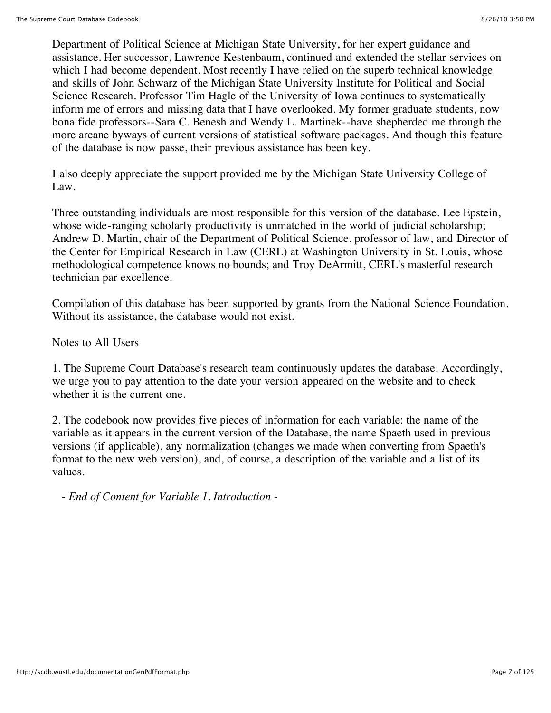Department of Political Science at Michigan State University, for her expert guidance and assistance. Her successor, Lawrence Kestenbaum, continued and extended the stellar services on which I had become dependent. Most recently I have relied on the superb technical knowledge and skills of John Schwarz of the Michigan State University Institute for Political and Social Science Research. Professor Tim Hagle of the University of Iowa continues to systematically inform me of errors and missing data that I have overlooked. My former graduate students, now bona fide professors--Sara C. Benesh and Wendy L. Martinek--have shepherded me through the more arcane byways of current versions of statistical software packages. And though this feature of the database is now passe, their previous assistance has been key.

I also deeply appreciate the support provided me by the Michigan State University College of Law.

Three outstanding individuals are most responsible for this version of the database. Lee Epstein, whose wide-ranging scholarly productivity is unmatched in the world of judicial scholarship; Andrew D. Martin, chair of the Department of Political Science, professor of law, and Director of the Center for Empirical Research in Law (CERL) at Washington University in St. Louis, whose methodological competence knows no bounds; and Troy DeArmitt, CERL's masterful research technician par excellence.

Compilation of this database has been supported by grants from the National Science Foundation. Without its assistance, the database would not exist.

Notes to All Users

1. The Supreme Court Database's research team continuously updates the database. Accordingly, we urge you to pay attention to the date your version appeared on the website and to check whether it is the current one.

2. The codebook now provides five pieces of information for each variable: the name of the variable as it appears in the current version of the Database, the name Spaeth used in previous versions (if applicable), any normalization (changes we made when converting from Spaeth's format to the new web version), and, of course, a description of the variable and a list of its values.

*- End of Content for Variable 1. Introduction -*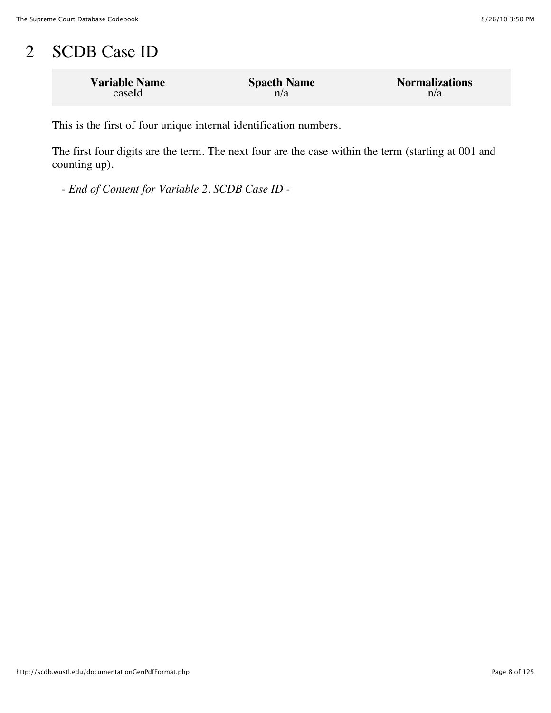## 2 SCDB Case ID

| <b>Variable Name</b> | <b>Spaeth Name</b> | <b>Normalizations</b> |
|----------------------|--------------------|-----------------------|
| caseId               | n/a                | n/a                   |

This is the first of four unique internal identification numbers.

The first four digits are the term. The next four are the case within the term (starting at 001 and counting up).

*- End of Content for Variable 2. SCDB Case ID -*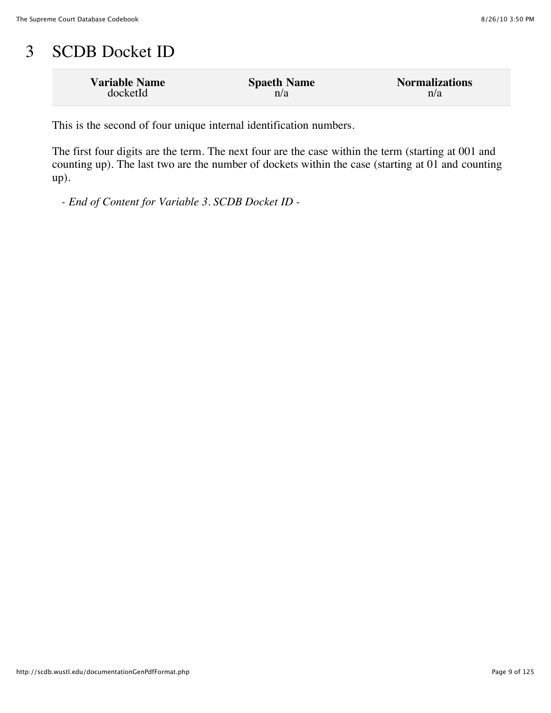#### 3 SCDB Docket ID

| <b>Variable Name</b> | <b>Spaeth Name</b> | <b>Normalizations</b> |
|----------------------|--------------------|-----------------------|
| docketId             | n/a                | n/a                   |

This is the second of four unique internal identification numbers.

The first four digits are the term. The next four are the case within the term (starting at 001 and counting up). The last two are the number of dockets within the case (starting at 01 and counting up).

*- End of Content for Variable 3. SCDB Docket ID -*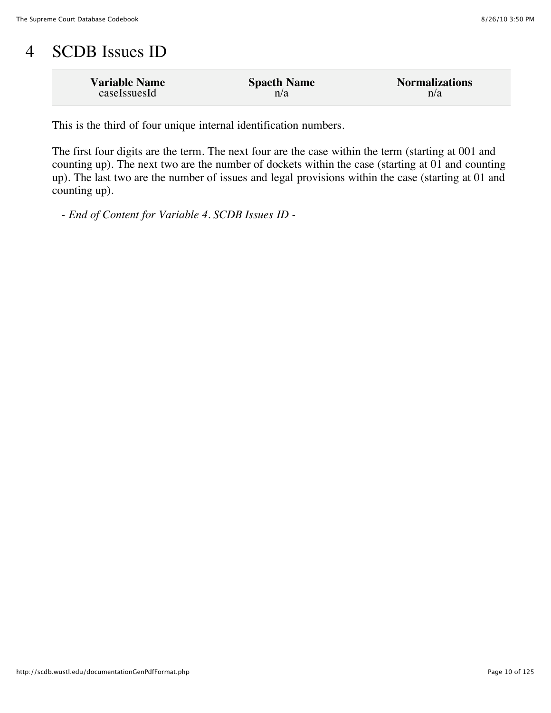### 4 SCDB Issues ID

| <b>Variable Name</b> | <b>Spaeth Name</b> | <b>Normalizations</b> |
|----------------------|--------------------|-----------------------|
| caseIssuesId         | n/a                | n/a                   |

This is the third of four unique internal identification numbers.

The first four digits are the term. The next four are the case within the term (starting at 001 and counting up). The next two are the number of dockets within the case (starting at 01 and counting up). The last two are the number of issues and legal provisions within the case (starting at 01 and counting up).

*- End of Content for Variable 4. SCDB Issues ID -*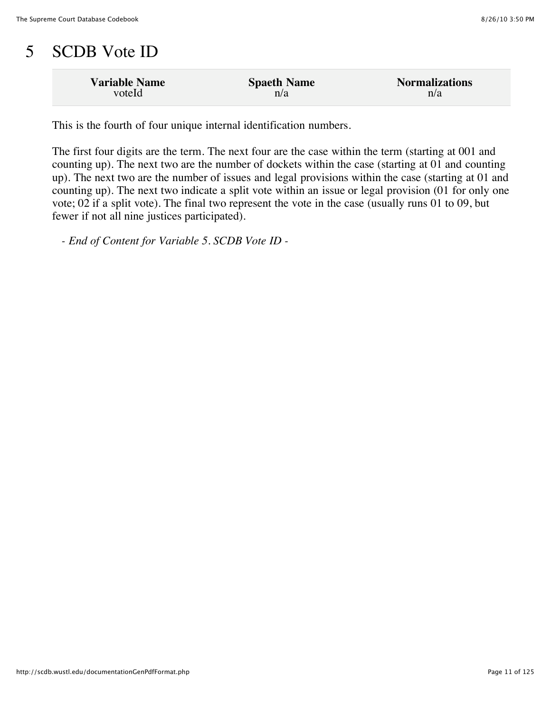## 5 SCDB Vote ID

| <b>Variable Name</b> | <b>Spaeth Name</b> | <b>Normalizations</b> |
|----------------------|--------------------|-----------------------|
| voteId               | n/a                | n/a                   |

This is the fourth of four unique internal identification numbers.

The first four digits are the term. The next four are the case within the term (starting at 001 and counting up). The next two are the number of dockets within the case (starting at 01 and counting up). The next two are the number of issues and legal provisions within the case (starting at 01 and counting up). The next two indicate a split vote within an issue or legal provision (01 for only one vote; 02 if a split vote). The final two represent the vote in the case (usually runs 01 to 09, but fewer if not all nine justices participated).

*- End of Content for Variable 5. SCDB Vote ID -*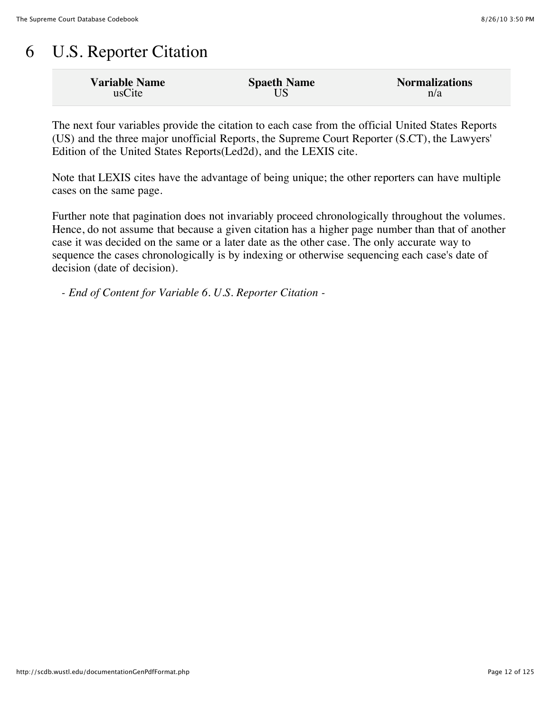## 6 U.S. Reporter Citation

| <b>Variable Name</b> | <b>Spaeth Name</b> | <b>Normalizations</b> |
|----------------------|--------------------|-----------------------|
| usCite               |                    | n/a                   |

The next four variables provide the citation to each case from the official United States Reports (US) and the three major unofficial Reports, the Supreme Court Reporter (S.CT), the Lawyers' Edition of the United States Reports(Led2d), and the LEXIS cite.

Note that LEXIS cites have the advantage of being unique; the other reporters can have multiple cases on the same page.

Further note that pagination does not invariably proceed chronologically throughout the volumes. Hence, do not assume that because a given citation has a higher page number than that of another case it was decided on the same or a later date as the other case. The only accurate way to sequence the cases chronologically is by indexing or otherwise sequencing each case's date of decision (date of decision).

*- End of Content for Variable 6. U.S. Reporter Citation -*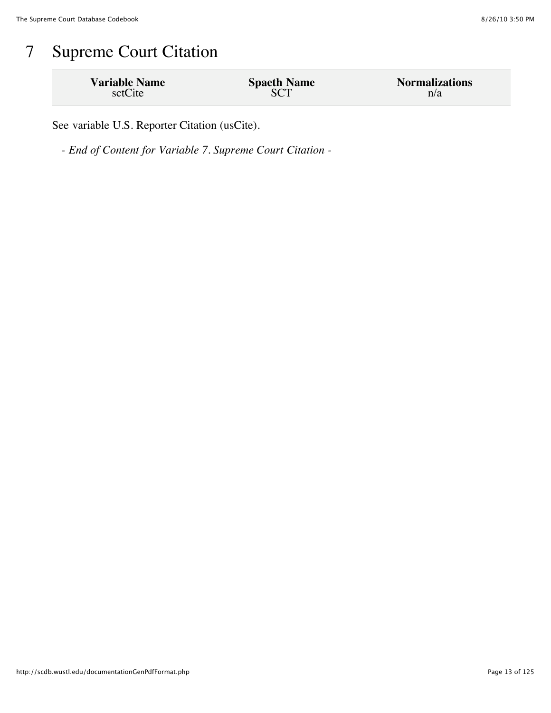## 7 Supreme Court Citation

| <b>Variable Name</b> | <b>Spaeth Name</b> | <b>Normalizations</b> |
|----------------------|--------------------|-----------------------|
| sctCite              |                    | n/a                   |

See variable U.S. Reporter Citation (usCite).

*- End of Content for Variable 7. Supreme Court Citation -*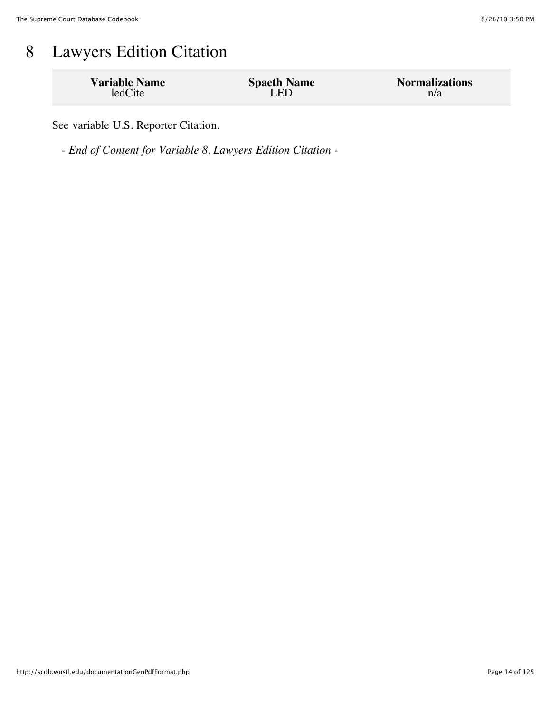## 8 Lawyers Edition Citation

| <b>Variable Name</b> | <b>Spaeth Name</b> | <b>Normalizations</b> |
|----------------------|--------------------|-----------------------|
| ledCite              | LED                | n/a                   |

See variable U.S. Reporter Citation.

*- End of Content for Variable 8. Lawyers Edition Citation -*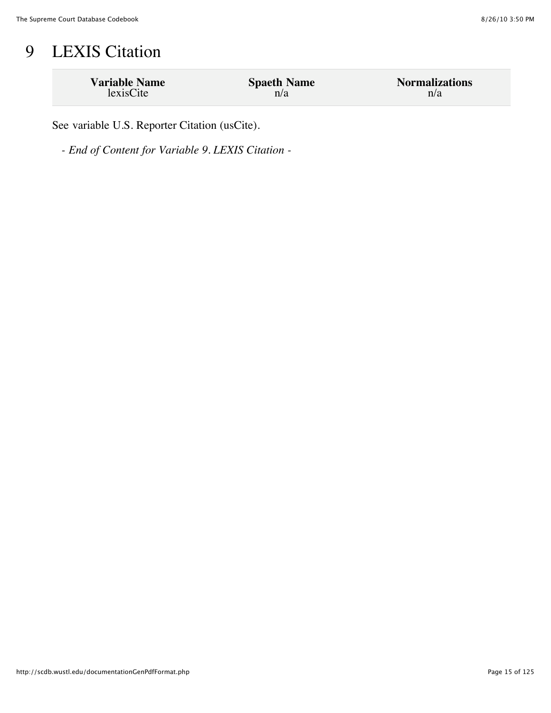## 9 LEXIS Citation

| <b>Variable Name</b> | <b>Spaeth Name</b> | <b>Normalizations</b> |
|----------------------|--------------------|-----------------------|
| lexisCite            | n/a                | n/a                   |

See variable U.S. Reporter Citation (usCite).

*- End of Content for Variable 9. LEXIS Citation -*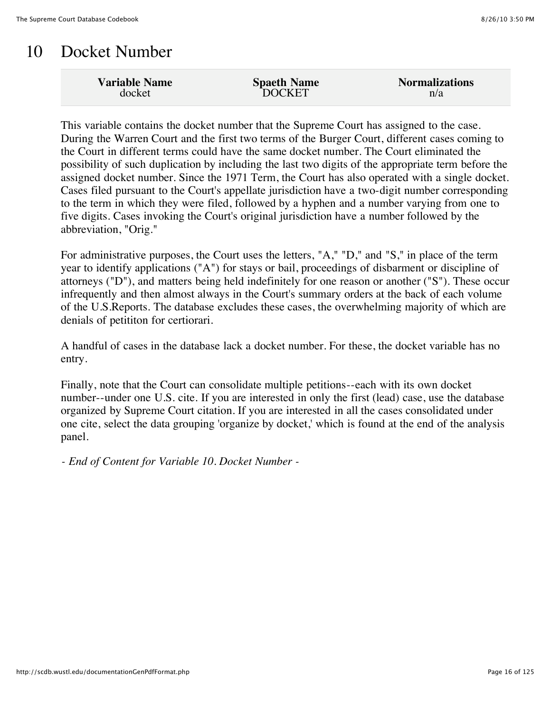### 10 Docket Number

| n/a | <b>Variable Name</b><br>docket | <b>Spaeth Name</b><br><b>DOCKET</b> | <b>Normalizations</b> |
|-----|--------------------------------|-------------------------------------|-----------------------|
|-----|--------------------------------|-------------------------------------|-----------------------|

This variable contains the docket number that the Supreme Court has assigned to the case. During the Warren Court and the first two terms of the Burger Court, different cases coming to the Court in different terms could have the same docket number. The Court eliminated the possibility of such duplication by including the last two digits of the appropriate term before the assigned docket number. Since the 1971 Term, the Court has also operated with a single docket. Cases filed pursuant to the Court's appellate jurisdiction have a two-digit number corresponding to the term in which they were filed, followed by a hyphen and a number varying from one to five digits. Cases invoking the Court's original jurisdiction have a number followed by the abbreviation, "Orig."

For administrative purposes, the Court uses the letters, "A," "D," and "S," in place of the term year to identify applications ("A") for stays or bail, proceedings of disbarment or discipline of attorneys ("D"), and matters being held indefinitely for one reason or another ("S"). These occur infrequently and then almost always in the Court's summary orders at the back of each volume of the U.S.Reports. The database excludes these cases, the overwhelming majority of which are denials of petititon for certiorari.

A handful of cases in the database lack a docket number. For these, the docket variable has no entry.

Finally, note that the Court can consolidate multiple petitions--each with its own docket number--under one U.S. cite. If you are interested in only the first (lead) case, use the database organized by Supreme Court citation. If you are interested in all the cases consolidated under one cite, select the data grouping 'organize by docket,' which is found at the end of the analysis panel.

*- End of Content for Variable 10. Docket Number -*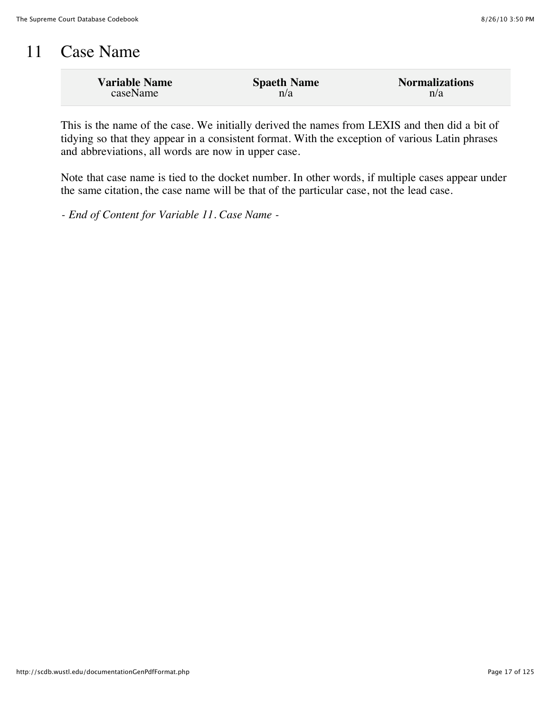#### 11 Case Name

| <b>Variable Name</b> | <b>Spaeth Name</b> | <b>Normalizations</b> |
|----------------------|--------------------|-----------------------|
| caseName             | n/a                | n/a                   |

This is the name of the case. We initially derived the names from LEXIS and then did a bit of tidying so that they appear in a consistent format. With the exception of various Latin phrases and abbreviations, all words are now in upper case.

Note that case name is tied to the docket number. In other words, if multiple cases appear under the same citation, the case name will be that of the particular case, not the lead case.

*- End of Content for Variable 11. Case Name -*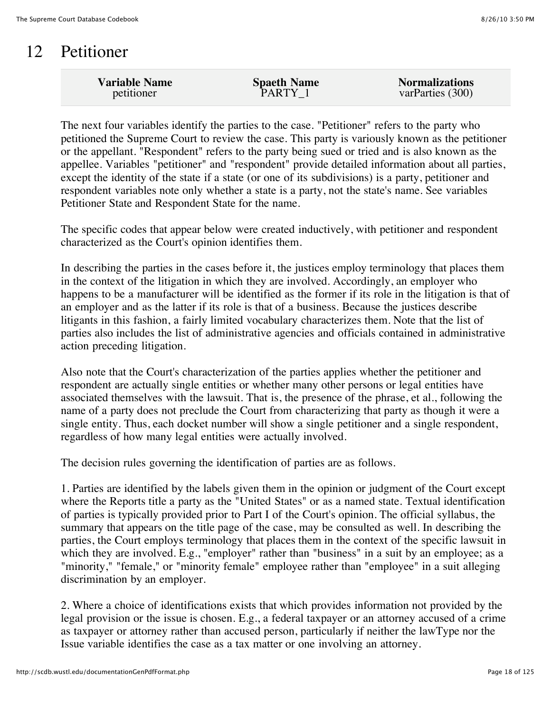#### 12 Petitioner

| <b>Variable Name</b> | <b>Spaeth Name</b> | <b>Normalizations</b> |
|----------------------|--------------------|-----------------------|
| petitioner           | PARTY 1            | varParties (300)      |
|                      |                    |                       |

The next four variables identify the parties to the case. "Petitioner" refers to the party who petitioned the Supreme Court to review the case. This party is variously known as the petitioner or the appellant. "Respondent" refers to the party being sued or tried and is also known as the appellee. Variables "petitioner" and "respondent" provide detailed information about all parties, except the identity of the state if a state (or one of its subdivisions) is a party, petitioner and respondent variables note only whether a state is a party, not the state's name. See variables Petitioner State and Respondent State for the name.

The specific codes that appear below were created inductively, with petitioner and respondent characterized as the Court's opinion identifies them.

In describing the parties in the cases before it, the justices employ terminology that places them in the context of the litigation in which they are involved. Accordingly, an employer who happens to be a manufacturer will be identified as the former if its role in the litigation is that of an employer and as the latter if its role is that of a business. Because the justices describe litigants in this fashion, a fairly limited vocabulary characterizes them. Note that the list of parties also includes the list of administrative agencies and officials contained in administrative action preceding litigation.

Also note that the Court's characterization of the parties applies whether the petitioner and respondent are actually single entities or whether many other persons or legal entities have associated themselves with the lawsuit. That is, the presence of the phrase, et al., following the name of a party does not preclude the Court from characterizing that party as though it were a single entity. Thus, each docket number will show a single petitioner and a single respondent, regardless of how many legal entities were actually involved.

The decision rules governing the identification of parties are as follows.

1. Parties are identified by the labels given them in the opinion or judgment of the Court except where the Reports title a party as the "United States" or as a named state. Textual identification of parties is typically provided prior to Part I of the Court's opinion. The official syllabus, the summary that appears on the title page of the case, may be consulted as well. In describing the parties, the Court employs terminology that places them in the context of the specific lawsuit in which they are involved. E.g., "employer" rather than "business" in a suit by an employee; as a "minority," "female," or "minority female" employee rather than "employee" in a suit alleging discrimination by an employer.

2. Where a choice of identifications exists that which provides information not provided by the legal provision or the issue is chosen. E.g., a federal taxpayer or an attorney accused of a crime as taxpayer or attorney rather than accused person, particularly if neither the lawType nor the Issue variable identifies the case as a tax matter or one involving an attorney.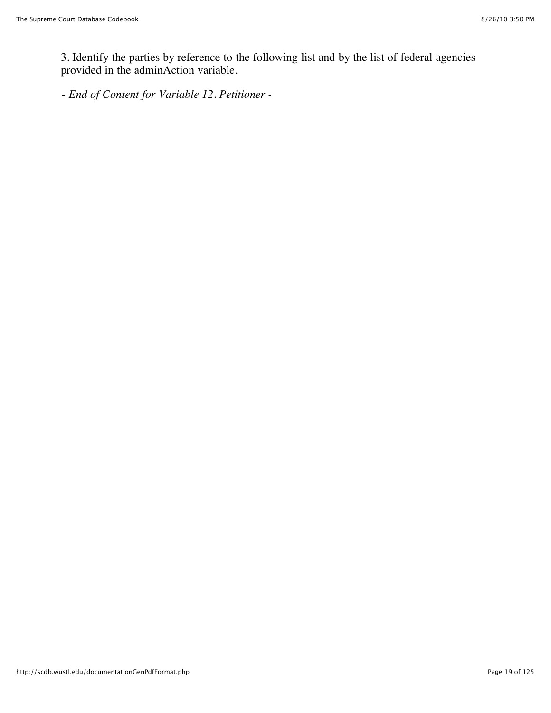3. Identify the parties by reference to the following list and by the list of federal agencies provided in the adminAction variable.

*- End of Content for Variable 12. Petitioner -*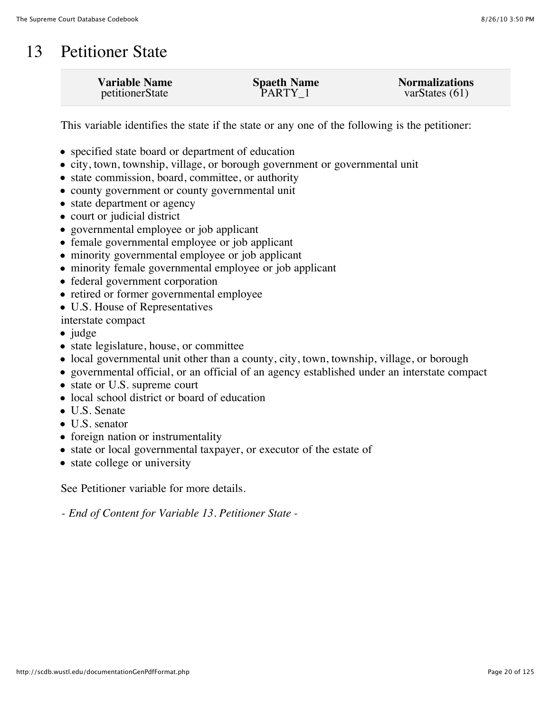#### 13 Petitioner State

| <b>Variable Name</b> | <b>Spaeth Name</b> | <b>Normalizations</b> |
|----------------------|--------------------|-----------------------|
| petitionerState      | PARTY 1            | varStates $(61)$      |
|                      |                    |                       |

This variable identifies the state if the state or any one of the following is the petitioner:

- specified state board or department of education
- city, town, township, village, or borough government or governmental unit
- state commission, board, committee, or authority
- county government or county governmental unit
- state department or agency
- court or judicial district
- governmental employee or job applicant
- female governmental employee or job applicant
- minority governmental employee or job applicant
- minority female governmental employee or job applicant
- federal government corporation
- retired or former governmental employee
- U.S. House of Representatives

interstate compact

- $\bullet$  judge
- state legislature, house, or committee
- local governmental unit other than a county, city, town, township, village, or borough
- governmental official, or an official of an agency established under an interstate compact
- state or U.S. supreme court
- local school district or board of education
- U.S. Senate
- U.S. senator
- foreign nation or instrumentality
- state or local governmental taxpayer, or executor of the estate of
- state college or university

See Petitioner variable for more details.

*- End of Content for Variable 13. Petitioner State -*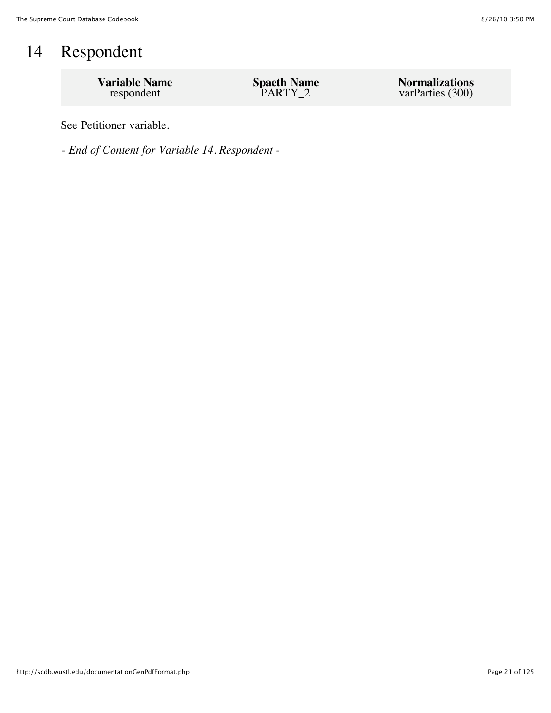## 14 Respondent

| <b>Variable Name</b> | <b>Spaeth Name</b> | <b>Normalizations</b> |
|----------------------|--------------------|-----------------------|
| respondent           | PARTY 2            | varParties (300)      |

See Petitioner variable.

*- End of Content for Variable 14. Respondent -*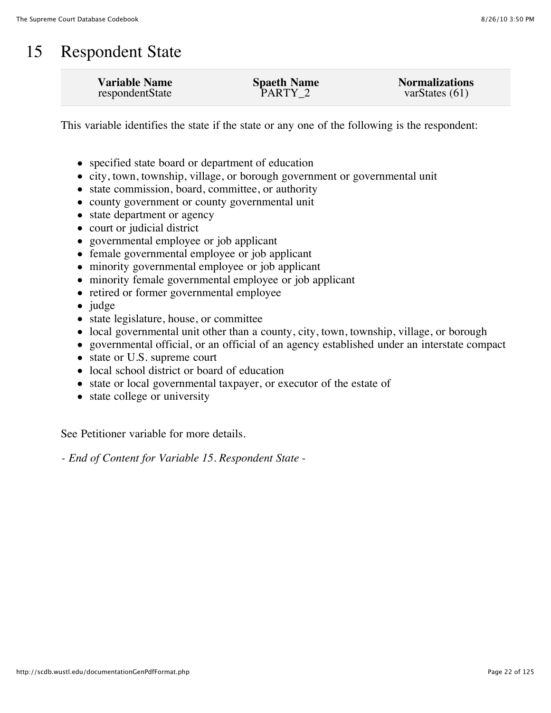### 15 Respondent State

This variable identifies the state if the state or any one of the following is the respondent:

- specified state board or department of education
- city, town, township, village, or borough government or governmental unit
- state commission, board, committee, or authority
- county government or county governmental unit
- state department or agency
- court or judicial district
- governmental employee or job applicant
- female governmental employee or job applicant
- minority governmental employee or job applicant
- minority female governmental employee or job applicant
- retired or former governmental employee
- $\bullet$  judge
- state legislature, house, or committee
- local governmental unit other than a county, city, town, township, village, or borough
- governmental official, or an official of an agency established under an interstate compact
- state or U.S. supreme court
- local school district or board of education
- state or local governmental taxpayer, or executor of the estate of
- state college or university

See Petitioner variable for more details.

*- End of Content for Variable 15. Respondent State -*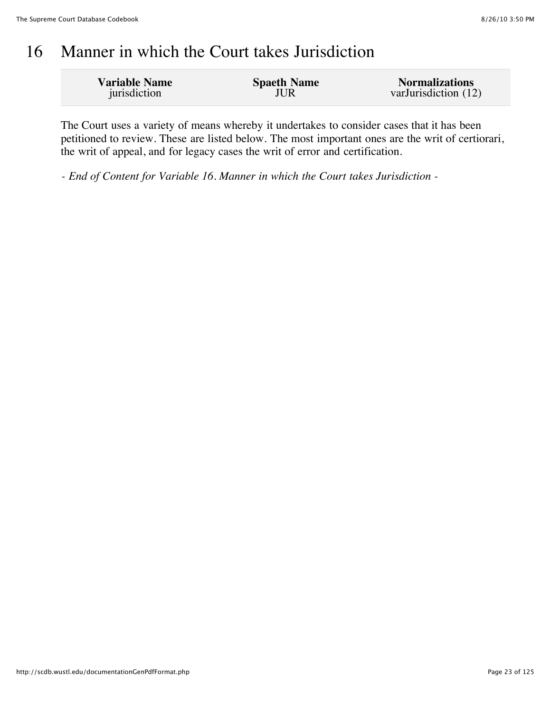#### 16 Manner in which the Court takes Jurisdiction

| <b>Variable Name</b> | <b>Spaeth Name</b> | <b>Normalizations</b> |
|----------------------|--------------------|-----------------------|
| jurisdiction         | JUR                | varJurisdiction (12)  |

The Court uses a variety of means whereby it undertakes to consider cases that it has been petitioned to review. These are listed below. The most important ones are the writ of certiorari, the writ of appeal, and for legacy cases the writ of error and certification.

*- End of Content for Variable 16. Manner in which the Court takes Jurisdiction -*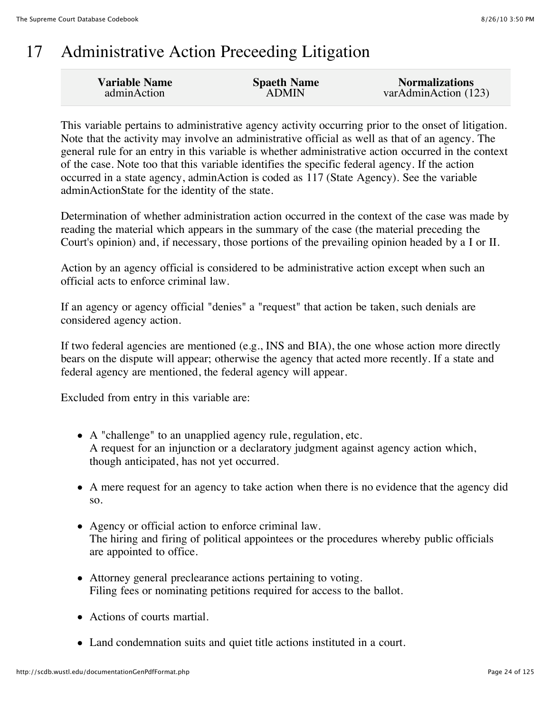## 17 Administrative Action Preceeding Litigation

| <b>Variable Name</b> | <b>Spaeth Name</b> | <b>Normalizations</b> |
|----------------------|--------------------|-----------------------|
| adminAction          | <b>ADMIN</b>       | varAdminAction (123)  |
|                      |                    |                       |

This variable pertains to administrative agency activity occurring prior to the onset of litigation. Note that the activity may involve an administrative official as well as that of an agency. The general rule for an entry in this variable is whether administrative action occurred in the context of the case. Note too that this variable identifies the specific federal agency. If the action occurred in a state agency, adminAction is coded as 117 (State Agency). See the variable adminActionState for the identity of the state.

Determination of whether administration action occurred in the context of the case was made by reading the material which appears in the summary of the case (the material preceding the Court's opinion) and, if necessary, those portions of the prevailing opinion headed by a I or II.

Action by an agency official is considered to be administrative action except when such an official acts to enforce criminal law.

If an agency or agency official "denies" a "request" that action be taken, such denials are considered agency action.

If two federal agencies are mentioned (e.g., INS and BIA), the one whose action more directly bears on the dispute will appear; otherwise the agency that acted more recently. If a state and federal agency are mentioned, the federal agency will appear.

Excluded from entry in this variable are:

- A "challenge" to an unapplied agency rule, regulation, etc. A request for an injunction or a declaratory judgment against agency action which, though anticipated, has not yet occurred.
- A mere request for an agency to take action when there is no evidence that the agency did so.
- Agency or official action to enforce criminal law. The hiring and firing of political appointees or the procedures whereby public officials are appointed to office.
- Attorney general preclearance actions pertaining to voting. Filing fees or nominating petitions required for access to the ballot.
- Actions of courts martial.
- Land condemnation suits and quiet title actions instituted in a court.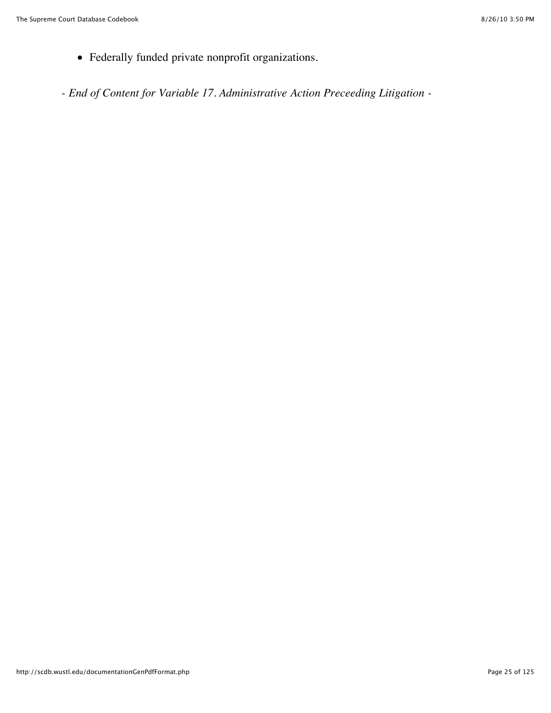- Federally funded private nonprofit organizations.
- *End of Content for Variable 17. Administrative Action Preceeding Litigation -*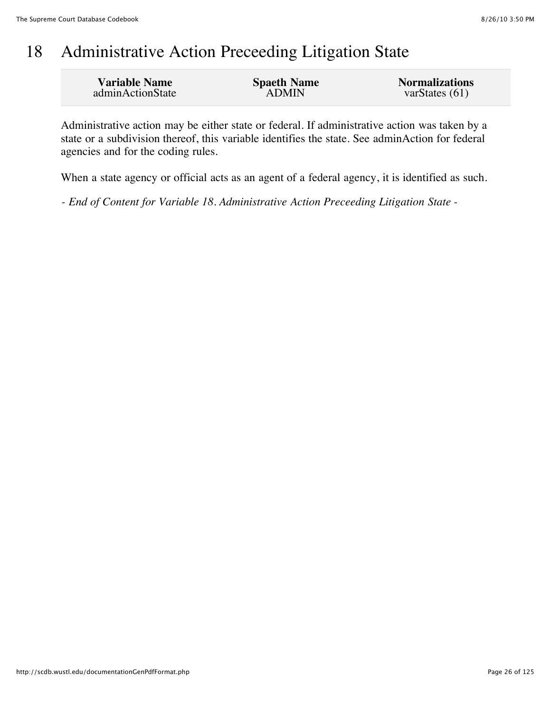## 18 Administrative Action Preceeding Litigation State

| <b>Variable Name</b> | <b>Spaeth Name</b> | <b>Normalizations</b> |
|----------------------|--------------------|-----------------------|
| adminActionState     | <b>ADMIN</b>       | var $States(61)$      |

Administrative action may be either state or federal. If administrative action was taken by a state or a subdivision thereof, this variable identifies the state. See adminAction for federal agencies and for the coding rules.

When a state agency or official acts as an agent of a federal agency, it is identified as such.

*- End of Content for Variable 18. Administrative Action Preceeding Litigation State -*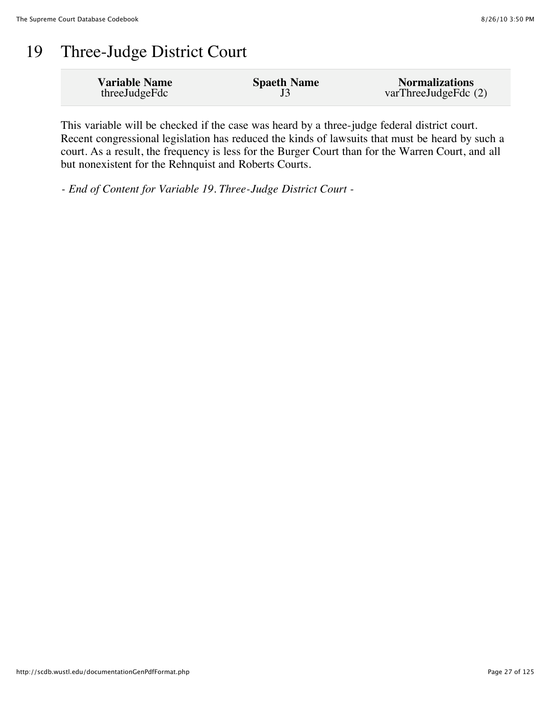## 19 Three-Judge District Court

| <b>Variable Name</b> | <b>Spaeth Name</b> | <b>Normalizations</b>  |
|----------------------|--------------------|------------------------|
| threeJudgeFdc        |                    | varThreeJudgeFdc $(2)$ |

This variable will be checked if the case was heard by a three-judge federal district court. Recent congressional legislation has reduced the kinds of lawsuits that must be heard by such a court. As a result, the frequency is less for the Burger Court than for the Warren Court, and all but nonexistent for the Rehnquist and Roberts Courts.

*- End of Content for Variable 19. Three-Judge District Court -*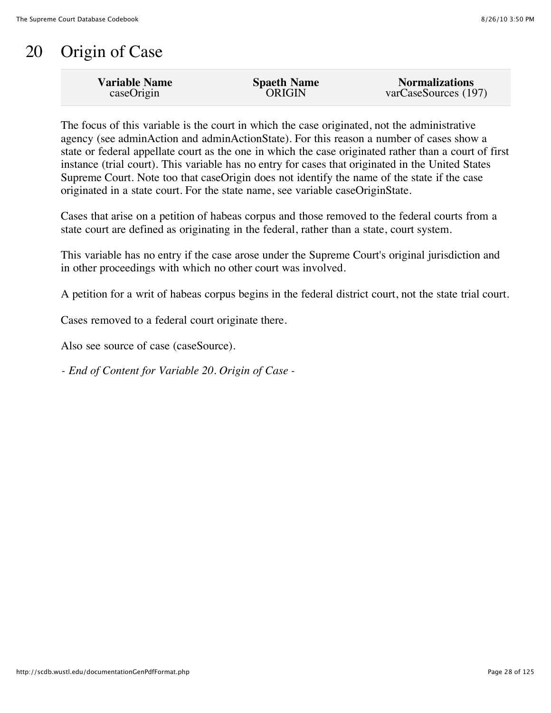## 20 Origin of Case

| <b>Variable Name</b> | <b>Spaeth Name</b> | <b>Normalizations</b> |
|----------------------|--------------------|-----------------------|
| caseOrigin           | <b>ORIGIN</b>      | varCaseSources (197)  |
|                      |                    |                       |

The focus of this variable is the court in which the case originated, not the administrative agency (see adminAction and adminActionState). For this reason a number of cases show a state or federal appellate court as the one in which the case originated rather than a court of first instance (trial court). This variable has no entry for cases that originated in the United States Supreme Court. Note too that caseOrigin does not identify the name of the state if the case originated in a state court. For the state name, see variable caseOriginState.

Cases that arise on a petition of habeas corpus and those removed to the federal courts from a state court are defined as originating in the federal, rather than a state, court system.

This variable has no entry if the case arose under the Supreme Court's original jurisdiction and in other proceedings with which no other court was involved.

A petition for a writ of habeas corpus begins in the federal district court, not the state trial court.

Cases removed to a federal court originate there.

Also see source of case (caseSource).

*- End of Content for Variable 20. Origin of Case -*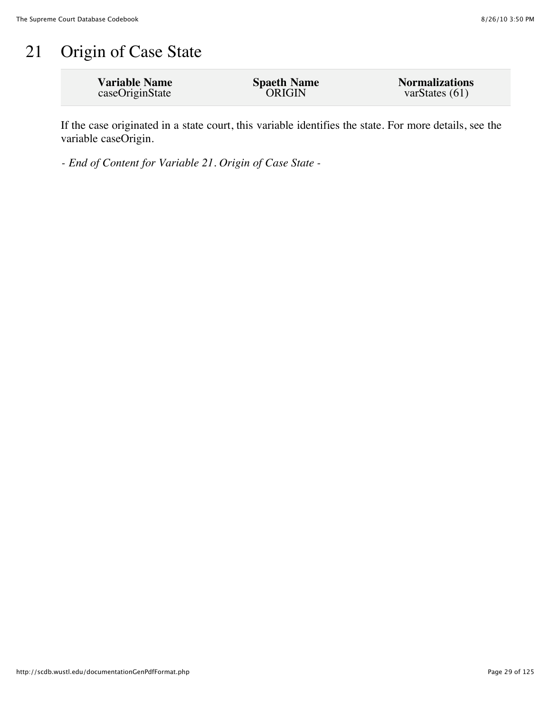## 21 Origin of Case State

| <b>Variable Name</b> | <b>Spaeth Name</b> | <b>Normalizations</b> |
|----------------------|--------------------|-----------------------|
| caseOriginState      | <b>ORIGIN</b>      | varStates $(61)$      |

If the case originated in a state court, this variable identifies the state. For more details, see the variable caseOrigin.

*- End of Content for Variable 21. Origin of Case State -*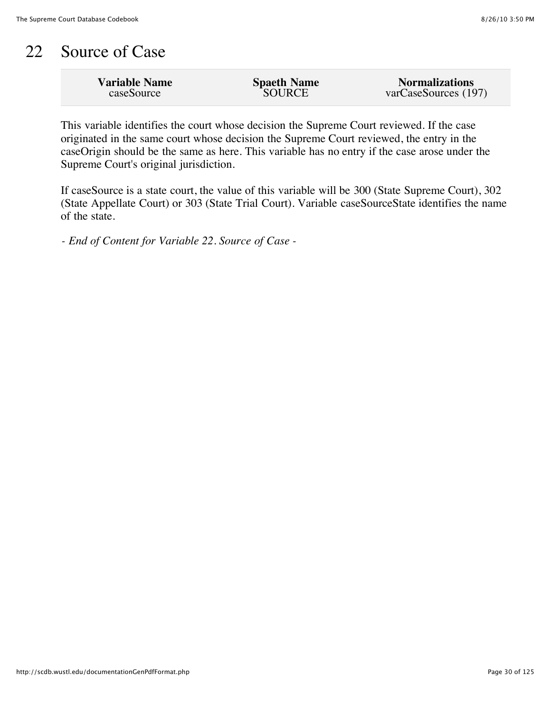#### 22 Source of Case

| <b>SOURCE</b><br>varCaseSources (197)<br>caseSource |
|-----------------------------------------------------|
|-----------------------------------------------------|

This variable identifies the court whose decision the Supreme Court reviewed. If the case originated in the same court whose decision the Supreme Court reviewed, the entry in the caseOrigin should be the same as here. This variable has no entry if the case arose under the Supreme Court's original jurisdiction.

If caseSource is a state court, the value of this variable will be 300 (State Supreme Court), 302 (State Appellate Court) or 303 (State Trial Court). Variable caseSourceState identifies the name of the state.

*- End of Content for Variable 22. Source of Case -*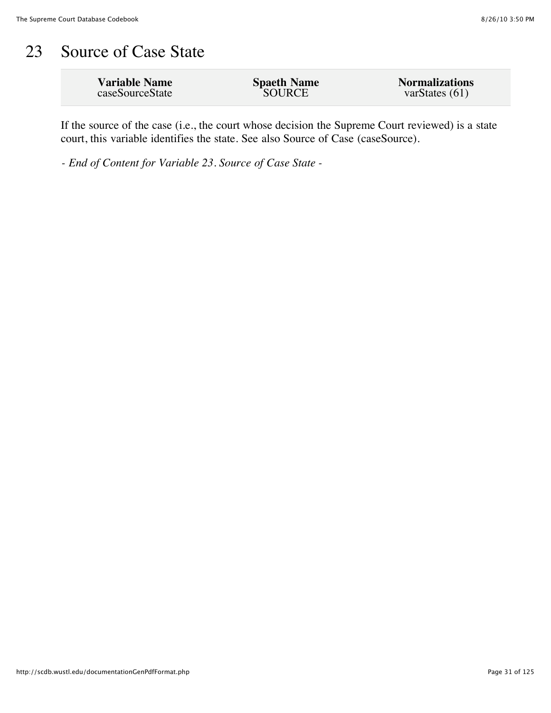#### 23 Source of Case State

| <b>Variable Name</b> | <b>Spaeth Name</b> | <b>Normalizations</b> |
|----------------------|--------------------|-----------------------|
| caseSourceState      | SOURCE             | varStates $(61)$      |
|                      |                    |                       |

If the source of the case (i.e., the court whose decision the Supreme Court reviewed) is a state court, this variable identifies the state. See also Source of Case (caseSource).

*- End of Content for Variable 23. Source of Case State -*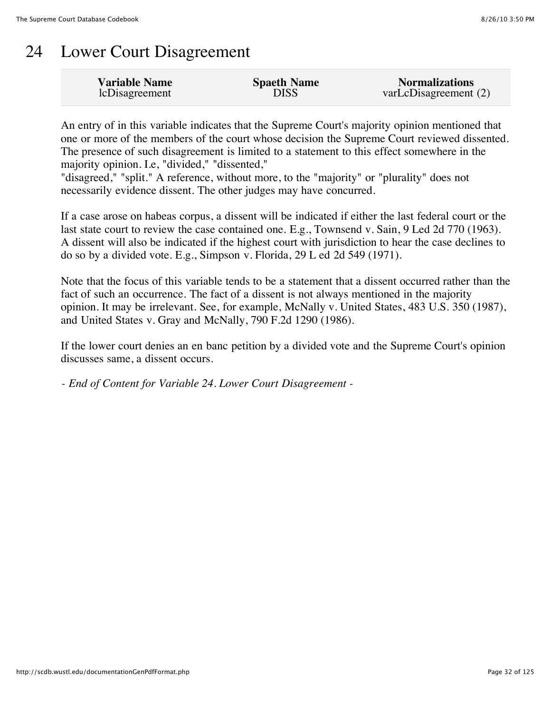## 24 Lower Court Disagreement

| <b>Variable Name</b> | <b>Spaeth Name</b> | <b>Normalizations</b> |
|----------------------|--------------------|-----------------------|
| lcDisagreement       | <b>DISS</b>        | varLcDisagreement (2) |

An entry of in this variable indicates that the Supreme Court's majority opinion mentioned that one or more of the members of the court whose decision the Supreme Court reviewed dissented. The presence of such disagreement is limited to a statement to this effect somewhere in the majority opinion. I.e, "divided," "dissented,"

"disagreed," "split." A reference, without more, to the "majority" or "plurality" does not necessarily evidence dissent. The other judges may have concurred.

If a case arose on habeas corpus, a dissent will be indicated if either the last federal court or the last state court to review the case contained one. E.g., Townsend v. Sain, 9 Led 2d 770 (1963). A dissent will also be indicated if the highest court with jurisdiction to hear the case declines to do so by a divided vote. E.g., Simpson v. Florida, 29 L ed 2d 549 (1971).

Note that the focus of this variable tends to be a statement that a dissent occurred rather than the fact of such an occurrence. The fact of a dissent is not always mentioned in the majority opinion. It may be irrelevant. See, for example, McNally v. United States, 483 U.S. 350 (1987), and United States v. Gray and McNally, 790 F.2d 1290 (1986).

If the lower court denies an en banc petition by a divided vote and the Supreme Court's opinion discusses same, a dissent occurs.

*- End of Content for Variable 24. Lower Court Disagreement -*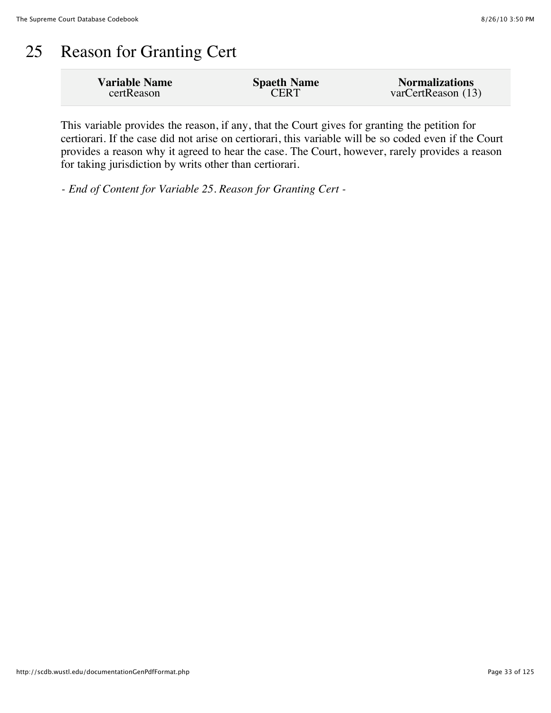#### 25 Reason for Granting Cert

| <b>Variable Name</b> | <b>Spaeth Name</b> | <b>Normalizations</b> |
|----------------------|--------------------|-----------------------|
| certReason           | <b>CERT</b>        | varCertReason (13)    |

This variable provides the reason, if any, that the Court gives for granting the petition for certiorari. If the case did not arise on certiorari, this variable will be so coded even if the Court provides a reason why it agreed to hear the case. The Court, however, rarely provides a reason for taking jurisdiction by writs other than certiorari.

*- End of Content for Variable 25. Reason for Granting Cert -*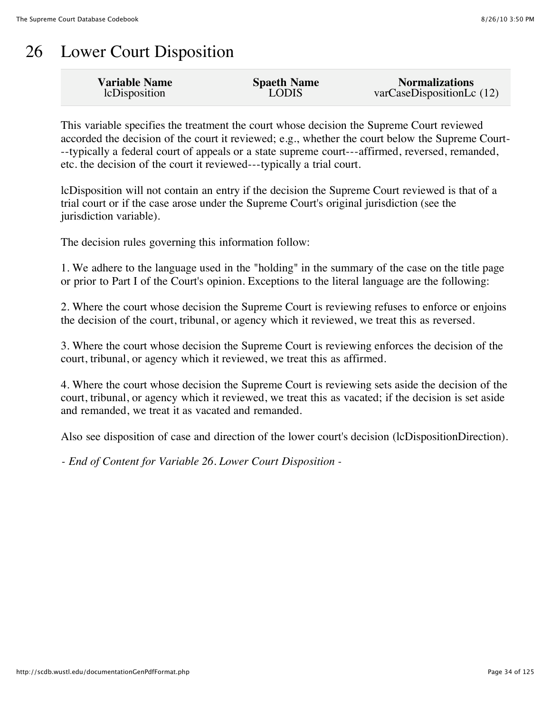## 26 Lower Court Disposition

| <b>Variable Name</b> | <b>Spaeth Name</b> | <b>Normalizations</b>     |
|----------------------|--------------------|---------------------------|
| lcDisposition        | <b>LODIS</b>       | varCaseDispositionLc (12) |
|                      |                    |                           |

This variable specifies the treatment the court whose decision the Supreme Court reviewed accorded the decision of the court it reviewed; e.g., whether the court below the Supreme Court- --typically a federal court of appeals or a state supreme court---affirmed, reversed, remanded, etc. the decision of the court it reviewed---typically a trial court.

lcDisposition will not contain an entry if the decision the Supreme Court reviewed is that of a trial court or if the case arose under the Supreme Court's original jurisdiction (see the jurisdiction variable).

The decision rules governing this information follow:

1. We adhere to the language used in the "holding" in the summary of the case on the title page or prior to Part I of the Court's opinion. Exceptions to the literal language are the following:

2. Where the court whose decision the Supreme Court is reviewing refuses to enforce or enjoins the decision of the court, tribunal, or agency which it reviewed, we treat this as reversed.

3. Where the court whose decision the Supreme Court is reviewing enforces the decision of the court, tribunal, or agency which it reviewed, we treat this as affirmed.

4. Where the court whose decision the Supreme Court is reviewing sets aside the decision of the court, tribunal, or agency which it reviewed, we treat this as vacated; if the decision is set aside and remanded, we treat it as vacated and remanded.

Also see disposition of case and direction of the lower court's decision (lcDispositionDirection).

*- End of Content for Variable 26. Lower Court Disposition -*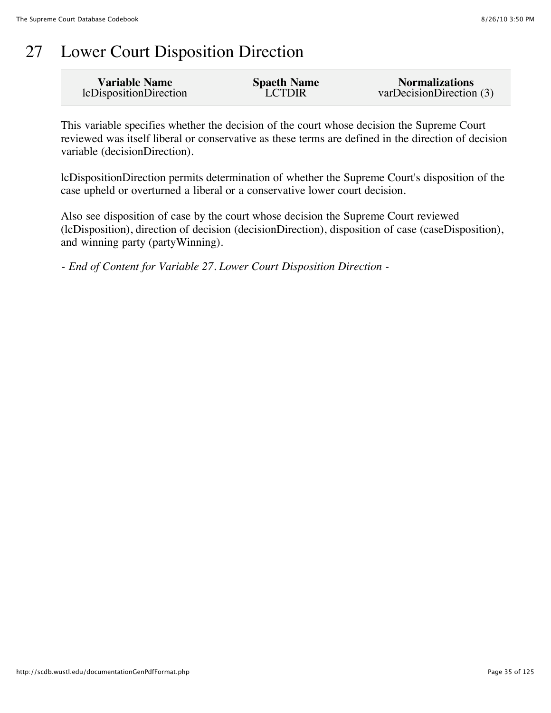### 27 Lower Court Disposition Direction

| <b>Variable Name</b>   | <b>Spaeth Name</b> | <b>Normalizations</b>    |
|------------------------|--------------------|--------------------------|
| lcDispositionDirection | <b>LCTDIR</b>      | varDecisionDirection (3) |

This variable specifies whether the decision of the court whose decision the Supreme Court reviewed was itself liberal or conservative as these terms are defined in the direction of decision variable (decisionDirection).

lcDispositionDirection permits determination of whether the Supreme Court's disposition of the case upheld or overturned a liberal or a conservative lower court decision.

Also see disposition of case by the court whose decision the Supreme Court reviewed (lcDisposition), direction of decision (decisionDirection), disposition of case (caseDisposition), and winning party (partyWinning).

*- End of Content for Variable 27. Lower Court Disposition Direction -*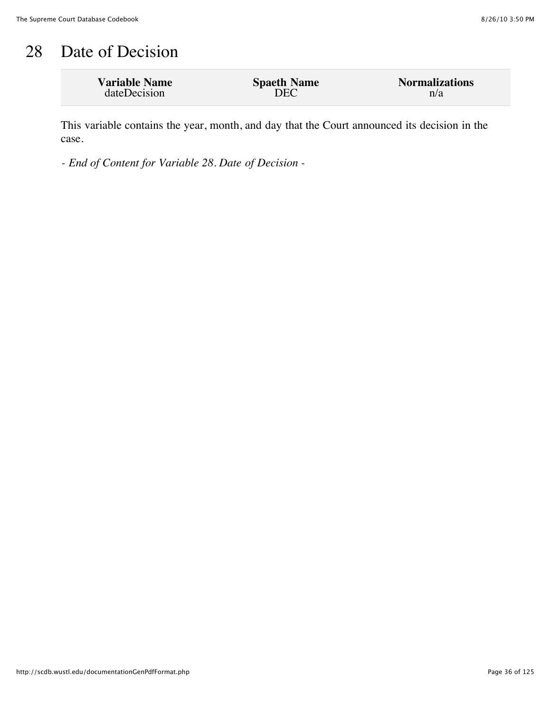### 28 Date of Decision

| <b>Variable Name</b> | <b>Spaeth Name</b> | <b>Normalizations</b> |
|----------------------|--------------------|-----------------------|
| dateDecision         | DEC                | n/a                   |

This variable contains the year, month, and day that the Court announced its decision in the case.

*- End of Content for Variable 28. Date of Decision -*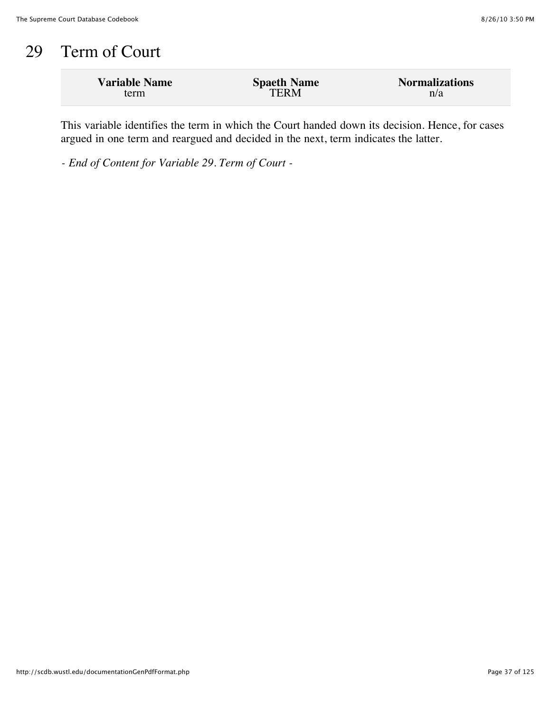# 29 Term of Court

| <b>Variable Name</b> | <b>Spaeth Name</b> | <b>Normalizations</b> |
|----------------------|--------------------|-----------------------|
| term                 | <b>TERM</b>        | n/a                   |

This variable identifies the term in which the Court handed down its decision. Hence, for cases argued in one term and reargued and decided in the next, term indicates the latter.

*- End of Content for Variable 29. Term of Court -*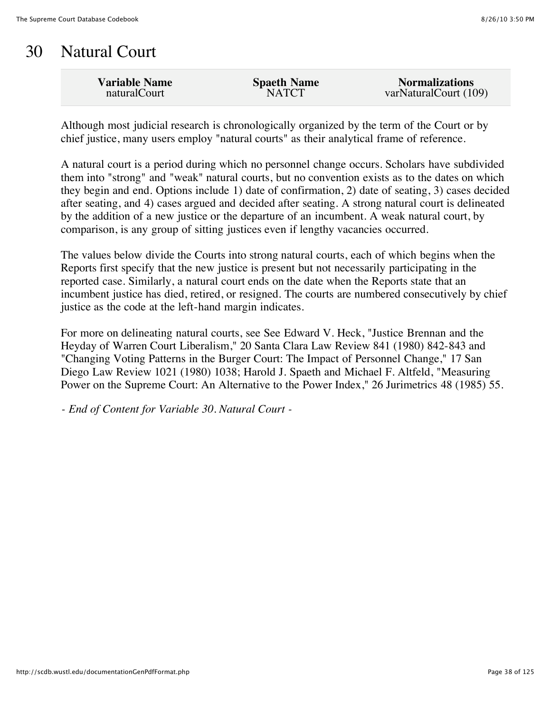### 30 Natural Court

| <b>NATCT</b><br>naturalCourt | <b>Variable Name</b> | <b>Spaeth Name</b> | <b>Normalizations</b><br>varNaturalCourt (109) |
|------------------------------|----------------------|--------------------|------------------------------------------------|
|------------------------------|----------------------|--------------------|------------------------------------------------|

Although most judicial research is chronologically organized by the term of the Court or by chief justice, many users employ "natural courts" as their analytical frame of reference.

A natural court is a period during which no personnel change occurs. Scholars have subdivided them into "strong" and "weak" natural courts, but no convention exists as to the dates on which they begin and end. Options include 1) date of confirmation, 2) date of seating, 3) cases decided after seating, and 4) cases argued and decided after seating. A strong natural court is delineated by the addition of a new justice or the departure of an incumbent. A weak natural court, by comparison, is any group of sitting justices even if lengthy vacancies occurred.

The values below divide the Courts into strong natural courts, each of which begins when the Reports first specify that the new justice is present but not necessarily participating in the reported case. Similarly, a natural court ends on the date when the Reports state that an incumbent justice has died, retired, or resigned. The courts are numbered consecutively by chief justice as the code at the left-hand margin indicates.

For more on delineating natural courts, see See Edward V. Heck, "Justice Brennan and the Heyday of Warren Court Liberalism," 20 Santa Clara Law Review 841 (1980) 842-843 and "Changing Voting Patterns in the Burger Court: The Impact of Personnel Change," 17 San Diego Law Review 1021 (1980) 1038; Harold J. Spaeth and Michael F. Altfeld, "Measuring Power on the Supreme Court: An Alternative to the Power Index," 26 Jurimetrics 48 (1985) 55.

*- End of Content for Variable 30. Natural Court -*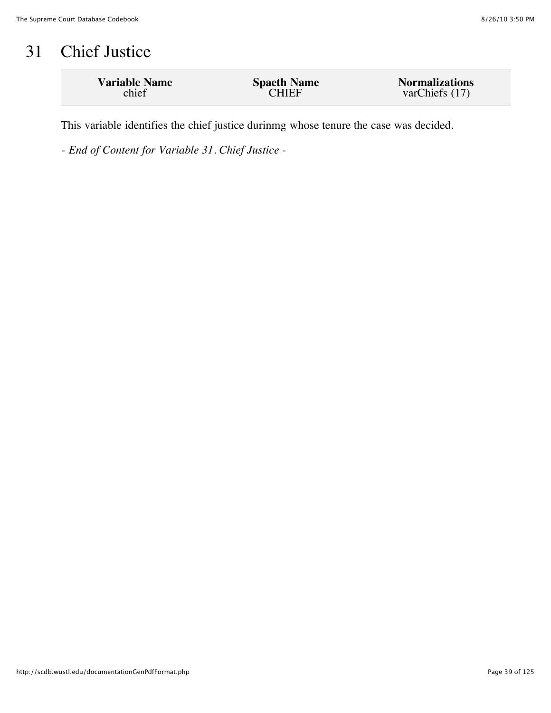# 31 Chief Justice

| <b>Variable Name</b> | <b>Spaeth Name</b> | <b>Normalizations</b> |
|----------------------|--------------------|-----------------------|
| chief                | <b>CHIEF</b>       | varChiefs (17)        |
|                      |                    |                       |

This variable identifies the chief justice durinmg whose tenure the case was decided.

*- End of Content for Variable 31. Chief Justice -*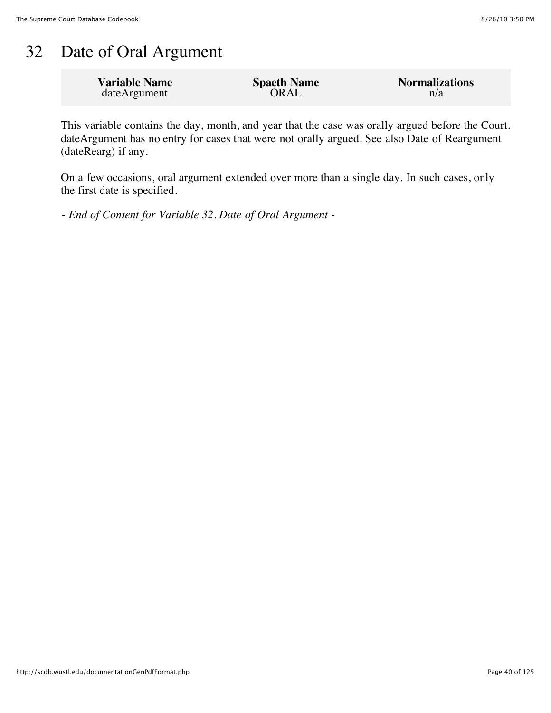## 32 Date of Oral Argument

| <b>Variable Name</b> | <b>Spaeth Name</b> | <b>Normalizations</b> |
|----------------------|--------------------|-----------------------|
| dateArgument         | ORAL               | n/a                   |

This variable contains the day, month, and year that the case was orally argued before the Court. dateArgument has no entry for cases that were not orally argued. See also Date of Reargument (dateRearg) if any.

On a few occasions, oral argument extended over more than a single day. In such cases, only the first date is specified.

*- End of Content for Variable 32. Date of Oral Argument -*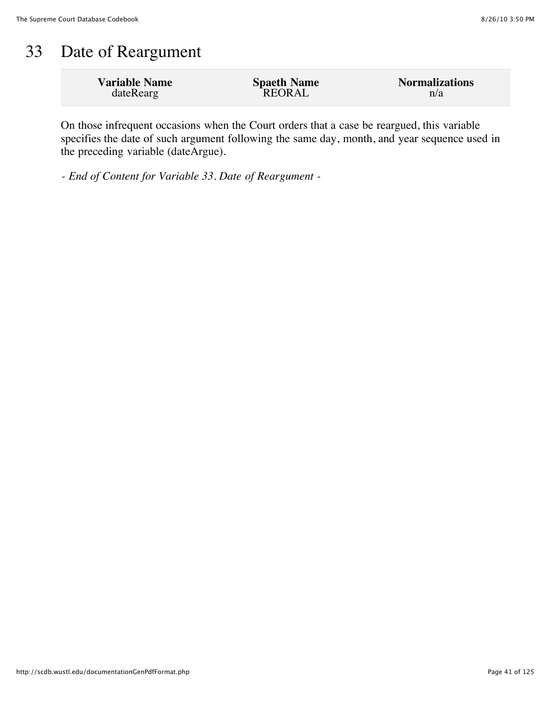### 33 Date of Reargument

| <b>Variable Name</b> | <b>Spaeth Name</b> | <b>Normalizations</b> |
|----------------------|--------------------|-----------------------|
| dateRearg            | REORAL             | n/a                   |

On those infrequent occasions when the Court orders that a case be reargued, this variable specifies the date of such argument following the same day, month, and year sequence used in the preceding variable (dateArgue).

*- End of Content for Variable 33. Date of Reargument -*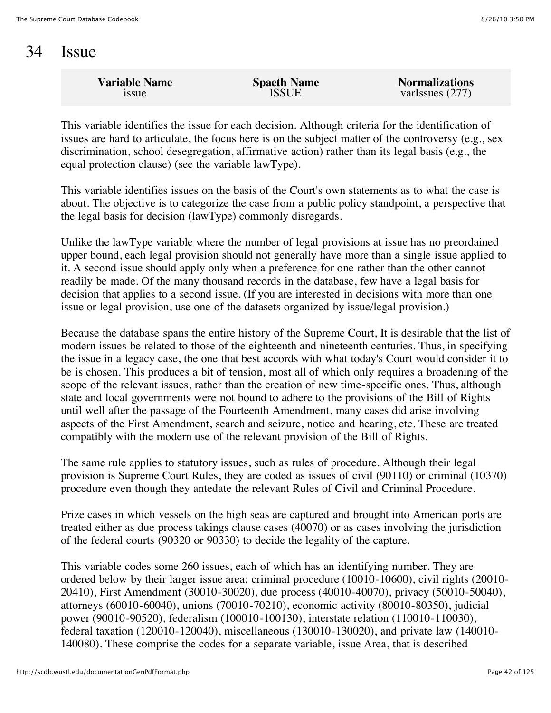#### 34 Issue

| <b>Variable Name</b> | <b>Spaeth Name</b> | <b>Normalizations</b> |
|----------------------|--------------------|-----------------------|
| <b>1SSUE</b>         | ISSUE              | varIssues $(277)$     |
|                      |                    |                       |

This variable identifies the issue for each decision. Although criteria for the identification of issues are hard to articulate, the focus here is on the subject matter of the controversy (e.g., sex discrimination, school desegregation, affirmative action) rather than its legal basis (e.g., the equal protection clause) (see the variable lawType).

This variable identifies issues on the basis of the Court's own statements as to what the case is about. The objective is to categorize the case from a public policy standpoint, a perspective that the legal basis for decision (lawType) commonly disregards.

Unlike the lawType variable where the number of legal provisions at issue has no preordained upper bound, each legal provision should not generally have more than a single issue applied to it. A second issue should apply only when a preference for one rather than the other cannot readily be made. Of the many thousand records in the database, few have a legal basis for decision that applies to a second issue. (If you are interested in decisions with more than one issue or legal provision, use one of the datasets organized by issue/legal provision.)

Because the database spans the entire history of the Supreme Court, It is desirable that the list of modern issues be related to those of the eighteenth and nineteenth centuries. Thus, in specifying the issue in a legacy case, the one that best accords with what today's Court would consider it to be is chosen. This produces a bit of tension, most all of which only requires a broadening of the scope of the relevant issues, rather than the creation of new time-specific ones. Thus, although state and local governments were not bound to adhere to the provisions of the Bill of Rights until well after the passage of the Fourteenth Amendment, many cases did arise involving aspects of the First Amendment, search and seizure, notice and hearing, etc. These are treated compatibly with the modern use of the relevant provision of the Bill of Rights.

The same rule applies to statutory issues, such as rules of procedure. Although their legal provision is Supreme Court Rules, they are coded as issues of civil (90110) or criminal (10370) procedure even though they antedate the relevant Rules of Civil and Criminal Procedure.

Prize cases in which vessels on the high seas are captured and brought into American ports are treated either as due process takings clause cases (40070) or as cases involving the jurisdiction of the federal courts (90320 or 90330) to decide the legality of the capture.

This variable codes some 260 issues, each of which has an identifying number. They are ordered below by their larger issue area: criminal procedure (10010-10600), civil rights (20010- 20410), First Amendment (30010-30020), due process (40010-40070), privacy (50010-50040), attorneys (60010-60040), unions (70010-70210), economic activity (80010-80350), judicial power (90010-90520), federalism (100010-100130), interstate relation (110010-110030), federal taxation (120010-120040), miscellaneous (130010-130020), and private law (140010- 140080). These comprise the codes for a separate variable, issue Area, that is described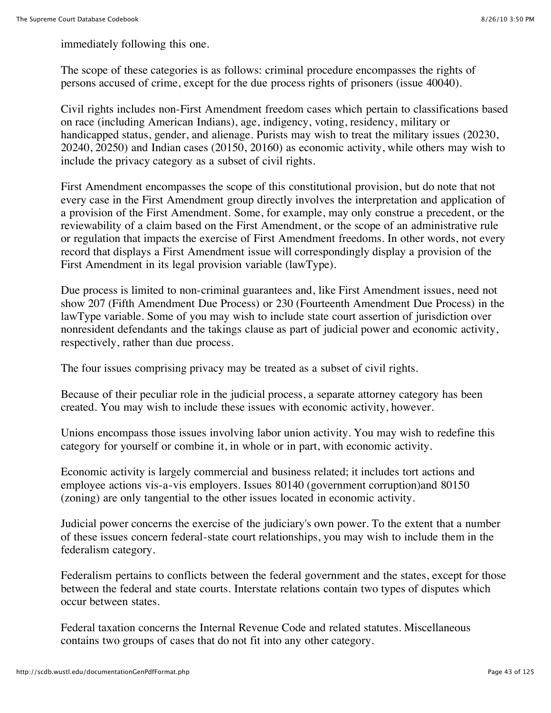immediately following this one.

The scope of these categories is as follows: criminal procedure encompasses the rights of persons accused of crime, except for the due process rights of prisoners (issue 40040).

Civil rights includes non-First Amendment freedom cases which pertain to classifications based on race (including American Indians), age, indigency, voting, residency, military or handicapped status, gender, and alienage. Purists may wish to treat the military issues (20230, 20240, 20250) and Indian cases (20150, 20160) as economic activity, while others may wish to include the privacy category as a subset of civil rights.

First Amendment encompasses the scope of this constitutional provision, but do note that not every case in the First Amendment group directly involves the interpretation and application of a provision of the First Amendment. Some, for example, may only construe a precedent, or the reviewability of a claim based on the First Amendment, or the scope of an administrative rule or regulation that impacts the exercise of First Amendment freedoms. In other words, not every record that displays a First Amendment issue will correspondingly display a provision of the First Amendment in its legal provision variable (lawType).

Due process is limited to non-criminal guarantees and, like First Amendment issues, need not show 207 (Fifth Amendment Due Process) or 230 (Fourteenth Amendment Due Process) in the lawType variable. Some of you may wish to include state court assertion of jurisdiction over nonresident defendants and the takings clause as part of judicial power and economic activity, respectively, rather than due process.

The four issues comprising privacy may be treated as a subset of civil rights.

Because of their peculiar role in the judicial process, a separate attorney category has been created. You may wish to include these issues with economic activity, however.

Unions encompass those issues involving labor union activity. You may wish to redefine this category for yourself or combine it, in whole or in part, with economic activity.

Economic activity is largely commercial and business related; it includes tort actions and employee actions vis-a-vis employers. Issues 80140 (government corruption)and 80150 (zoning) are only tangential to the other issues located in economic activity.

Judicial power concerns the exercise of the judiciary's own power. To the extent that a number of these issues concern federal-state court relationships, you may wish to include them in the federalism category.

Federalism pertains to conflicts between the federal government and the states, except for those between the federal and state courts. Interstate relations contain two types of disputes which occur between states.

Federal taxation concerns the Internal Revenue Code and related statutes. Miscellaneous contains two groups of cases that do not fit into any other category.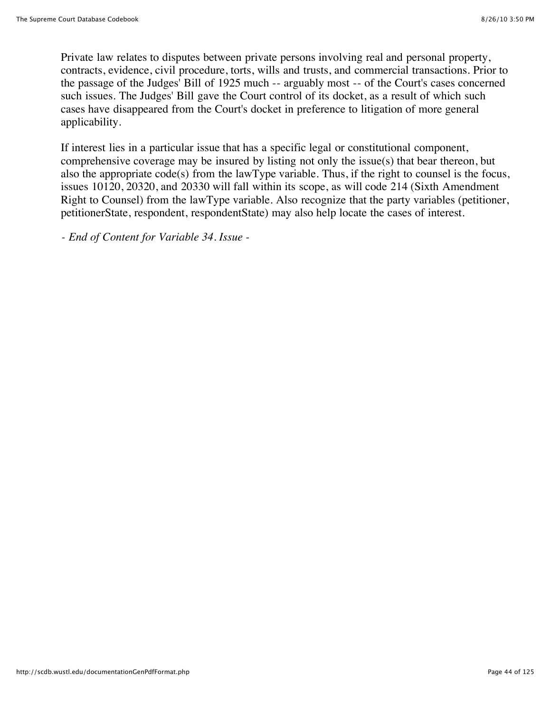Private law relates to disputes between private persons involving real and personal property, contracts, evidence, civil procedure, torts, wills and trusts, and commercial transactions. Prior to the passage of the Judges' Bill of 1925 much -- arguably most -- of the Court's cases concerned such issues. The Judges' Bill gave the Court control of its docket, as a result of which such cases have disappeared from the Court's docket in preference to litigation of more general applicability.

If interest lies in a particular issue that has a specific legal or constitutional component, comprehensive coverage may be insured by listing not only the issue(s) that bear thereon, but also the appropriate code(s) from the lawType variable. Thus, if the right to counsel is the focus, issues 10120, 20320, and 20330 will fall within its scope, as will code 214 (Sixth Amendment Right to Counsel) from the lawType variable. Also recognize that the party variables (petitioner, petitionerState, respondent, respondentState) may also help locate the cases of interest.

*- End of Content for Variable 34. Issue -*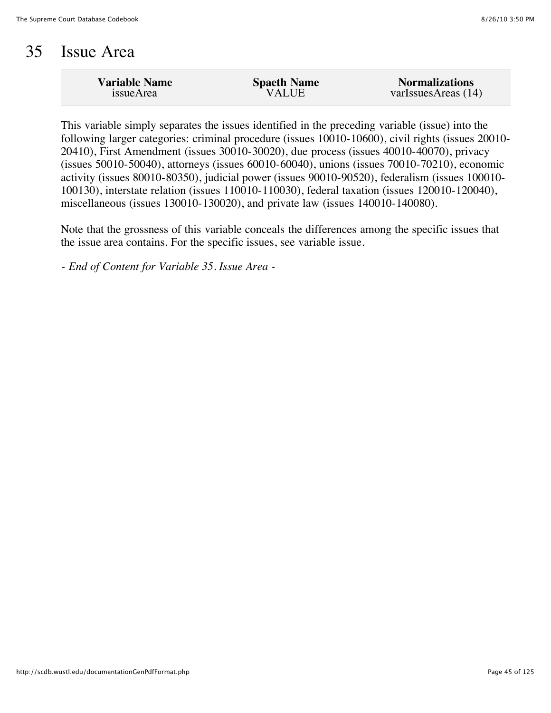#### 35 Issue Area

| <b>Variable Name</b> | <b>Spaeth Name</b> | <b>Normalizations</b> |
|----------------------|--------------------|-----------------------|
| issueArea            | <b>VALUE</b>       | varIssuesAreas (14)   |
|                      |                    |                       |

This variable simply separates the issues identified in the preceding variable (issue) into the following larger categories: criminal procedure (issues 10010-10600), civil rights (issues 20010- 20410), First Amendment (issues 30010-30020), due process (issues 40010-40070), privacy (issues 50010-50040), attorneys (issues 60010-60040), unions (issues 70010-70210), economic activity (issues 80010-80350), judicial power (issues 90010-90520), federalism (issues 100010- 100130), interstate relation (issues 110010-110030), federal taxation (issues 120010-120040), miscellaneous (issues 130010-130020), and private law (issues 140010-140080).

Note that the grossness of this variable conceals the differences among the specific issues that the issue area contains. For the specific issues, see variable issue.

*- End of Content for Variable 35. Issue Area -*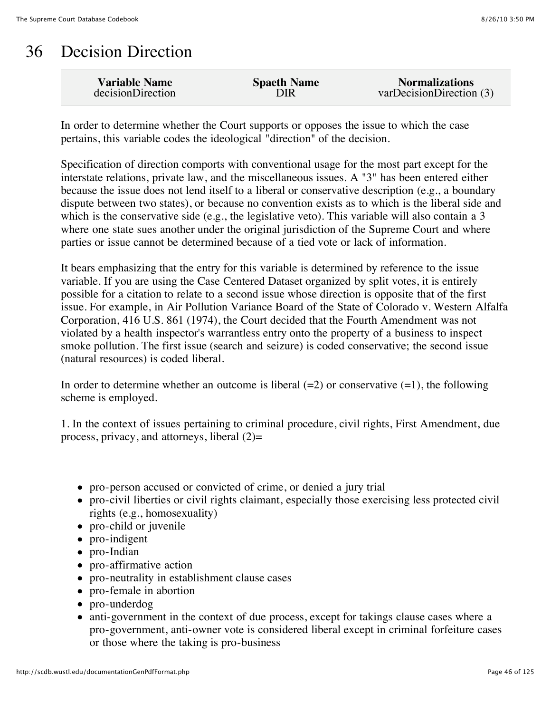# 36 Decision Direction

| <b>Variable Name</b> | <b>Spaeth Name</b> | <b>Normalizations</b>    |
|----------------------|--------------------|--------------------------|
| decisionDirection    | DIR                | varDecisionDirection (3) |

In order to determine whether the Court supports or opposes the issue to which the case pertains, this variable codes the ideological "direction" of the decision.

Specification of direction comports with conventional usage for the most part except for the interstate relations, private law, and the miscellaneous issues. A "3" has been entered either because the issue does not lend itself to a liberal or conservative description (e.g., a boundary dispute between two states), or because no convention exists as to which is the liberal side and which is the conservative side (e.g., the legislative veto). This variable will also contain a 3 where one state sues another under the original jurisdiction of the Supreme Court and where parties or issue cannot be determined because of a tied vote or lack of information.

It bears emphasizing that the entry for this variable is determined by reference to the issue variable. If you are using the Case Centered Dataset organized by split votes, it is entirely possible for a citation to relate to a second issue whose direction is opposite that of the first issue. For example, in Air Pollution Variance Board of the State of Colorado v. Western Alfalfa Corporation, 416 U.S. 861 (1974), the Court decided that the Fourth Amendment was not violated by a health inspector's warrantless entry onto the property of a business to inspect smoke pollution. The first issue (search and seizure) is coded conservative; the second issue (natural resources) is coded liberal.

In order to determine whether an outcome is liberal  $(=2)$  or conservative  $(=1)$ , the following scheme is employed.

1. In the context of issues pertaining to criminal procedure, civil rights, First Amendment, due process, privacy, and attorneys, liberal  $(2)$ =

- pro-person accused or convicted of crime, or denied a jury trial
- pro-civil liberties or civil rights claimant, especially those exercising less protected civil rights (e.g., homosexuality)
- pro-child or juvenile
- pro-indigent
- pro-Indian
- pro-affirmative action
- pro-neutrality in establishment clause cases
- pro-female in abortion
- pro-underdog
- anti-government in the context of due process, except for takings clause cases where a pro-government, anti-owner vote is considered liberal except in criminal forfeiture cases or those where the taking is pro-business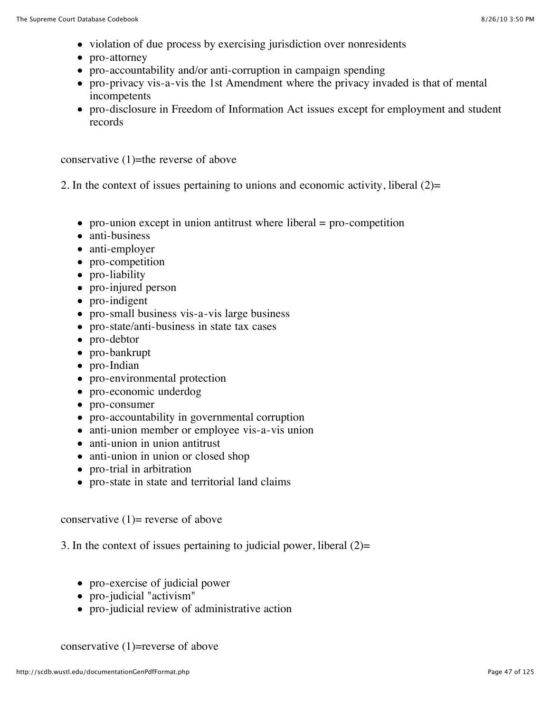- violation of due process by exercising jurisdiction over nonresidents
- pro-attorney
- pro-accountability and/or anti-corruption in campaign spending
- pro-privacy vis-a-vis the 1st Amendment where the privacy invaded is that of mental incompetents
- pro-disclosure in Freedom of Information Act issues except for employment and student records

conservative  $(1)$ =the reverse of above

2. In the context of issues pertaining to unions and economic activity, liberal (2)=

- pro-union except in union antitrust where liberal  $=$  pro-competition
- anti-business
- anti-employer
- pro-competition
- pro-liability
- pro-injured person
- pro-indigent
- pro-small business vis-a-vis large business
- pro-state/anti-business in state tax cases
- pro-debtor
- pro-bankrupt
- pro-Indian
- pro-environmental protection
- pro-economic underdog
- pro-consumer
- pro-accountability in governmental corruption
- anti-union member or employee vis-a-vis union
- anti-union in union antitrust
- anti-union in union or closed shop
- pro-trial in arbitration
- pro-state in state and territorial land claims

conservative  $(1)$ = reverse of above

3. In the context of issues pertaining to judicial power, liberal  $(2)$ =

- pro-exercise of judicial power
- pro-judicial "activism"
- pro-judicial review of administrative action

conservative (1)=reverse of above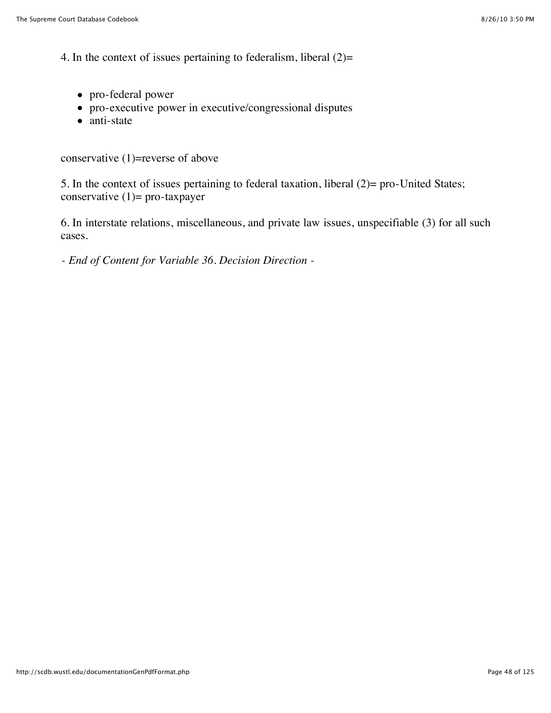4. In the context of issues pertaining to federalism, liberal (2)=

- pro-federal power
- pro-executive power in executive/congressional disputes
- anti-state

conservative (1)=reverse of above

5. In the context of issues pertaining to federal taxation, liberal (2)= pro-United States; conservative (1)= pro-taxpayer

6. In interstate relations, miscellaneous, and private law issues, unspecifiable (3) for all such cases.

*- End of Content for Variable 36. Decision Direction -*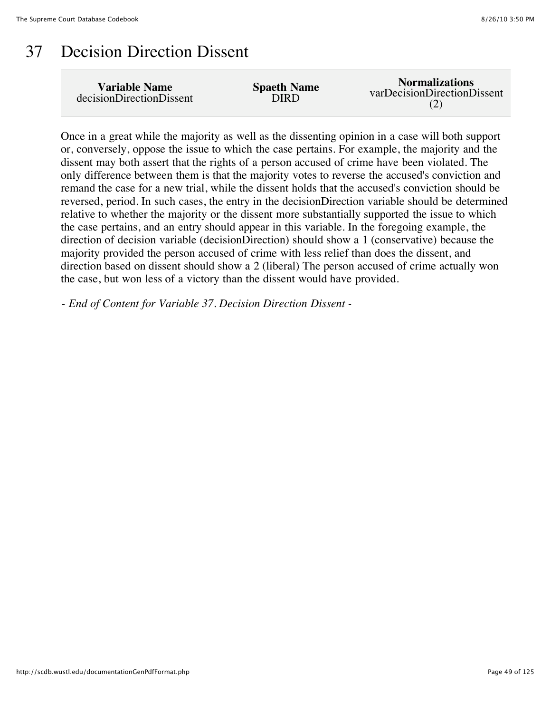### 37 Decision Direction Dissent

| Variable Name            | <b>Spaeth Name</b> | <b>Normalizations</b>       |
|--------------------------|--------------------|-----------------------------|
| decisionDirectionDissent | DIRD               | varDecisionDirectionDissent |

Once in a great while the majority as well as the dissenting opinion in a case will both support or, conversely, oppose the issue to which the case pertains. For example, the majority and the dissent may both assert that the rights of a person accused of crime have been violated. The only difference between them is that the majority votes to reverse the accused's conviction and remand the case for a new trial, while the dissent holds that the accused's conviction should be reversed, period. In such cases, the entry in the decisionDirection variable should be determined relative to whether the majority or the dissent more substantially supported the issue to which the case pertains, and an entry should appear in this variable. In the foregoing example, the direction of decision variable (decisionDirection) should show a 1 (conservative) because the majority provided the person accused of crime with less relief than does the dissent, and direction based on dissent should show a 2 (liberal) The person accused of crime actually won the case, but won less of a victory than the dissent would have provided.

*- End of Content for Variable 37. Decision Direction Dissent -*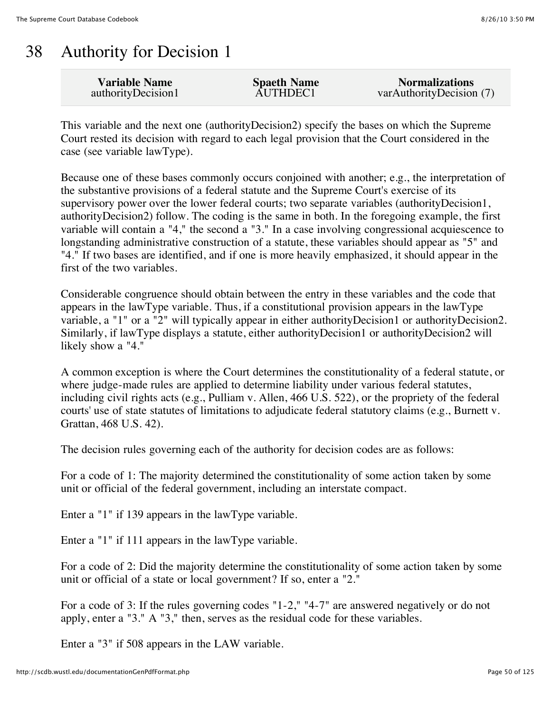# 38 Authority for Decision 1

| <b>Variable Name</b> | <b>Spaeth Name</b> | <b>Normalizations</b>    |
|----------------------|--------------------|--------------------------|
| authorityDecision1   | AUTHDEC1           | varAuthorityDecision (7) |

This variable and the next one (authorityDecision2) specify the bases on which the Supreme Court rested its decision with regard to each legal provision that the Court considered in the case (see variable lawType).

Because one of these bases commonly occurs conjoined with another; e.g., the interpretation of the substantive provisions of a federal statute and the Supreme Court's exercise of its supervisory power over the lower federal courts; two separate variables (authorityDecision1, authorityDecision2) follow. The coding is the same in both. In the foregoing example, the first variable will contain a "4," the second a "3." In a case involving congressional acquiescence to longstanding administrative construction of a statute, these variables should appear as "5" and "4." If two bases are identified, and if one is more heavily emphasized, it should appear in the first of the two variables.

Considerable congruence should obtain between the entry in these variables and the code that appears in the lawType variable. Thus, if a constitutional provision appears in the lawType variable, a "1" or a "2" will typically appear in either authorityDecision1 or authorityDecision2. Similarly, if lawType displays a statute, either authorityDecision1 or authorityDecision2 will likely show a "4."

A common exception is where the Court determines the constitutionality of a federal statute, or where judge-made rules are applied to determine liability under various federal statutes, including civil rights acts (e.g., Pulliam v. Allen, 466 U.S. 522), or the propriety of the federal courts' use of state statutes of limitations to adjudicate federal statutory claims (e.g., Burnett v. Grattan, 468 U.S. 42).

The decision rules governing each of the authority for decision codes are as follows:

For a code of 1: The majority determined the constitutionality of some action taken by some unit or official of the federal government, including an interstate compact.

Enter a "1" if 139 appears in the lawType variable.

Enter a "1" if 111 appears in the lawType variable.

For a code of 2: Did the majority determine the constitutionality of some action taken by some unit or official of a state or local government? If so, enter a "2."

For a code of 3: If the rules governing codes "1-2," "4-7" are answered negatively or do not apply, enter a "3." A "3," then, serves as the residual code for these variables.

Enter a "3" if 508 appears in the LAW variable.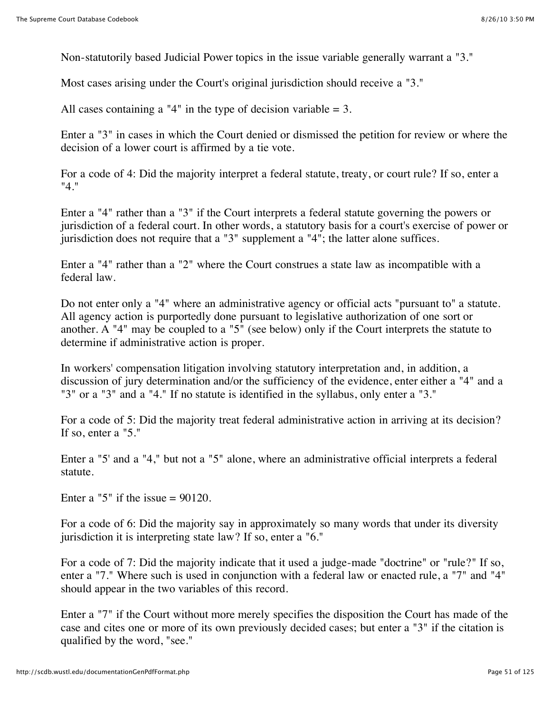Non-statutorily based Judicial Power topics in the issue variable generally warrant a "3."

Most cases arising under the Court's original jurisdiction should receive a "3."

All cases containing a "4" in the type of decision variable  $= 3$ .

Enter a "3" in cases in which the Court denied or dismissed the petition for review or where the decision of a lower court is affirmed by a tie vote.

For a code of 4: Did the majority interpret a federal statute, treaty, or court rule? If so, enter a "4."

Enter a "4" rather than a "3" if the Court interprets a federal statute governing the powers or jurisdiction of a federal court. In other words, a statutory basis for a court's exercise of power or jurisdiction does not require that a "3" supplement a "4"; the latter alone suffices.

Enter a "4" rather than a "2" where the Court construes a state law as incompatible with a federal law.

Do not enter only a "4" where an administrative agency or official acts "pursuant to" a statute. All agency action is purportedly done pursuant to legislative authorization of one sort or another. A "4" may be coupled to a "5" (see below) only if the Court interprets the statute to determine if administrative action is proper.

In workers' compensation litigation involving statutory interpretation and, in addition, a discussion of jury determination and/or the sufficiency of the evidence, enter either a "4" and a "3" or a "3" and a "4." If no statute is identified in the syllabus, only enter a "3."

For a code of 5: Did the majority treat federal administrative action in arriving at its decision? If so, enter a "5."

Enter a "5' and a "4," but not a "5" alone, where an administrative official interprets a federal statute.

Enter a "5" if the issue  $= 90120$ .

For a code of 6: Did the majority say in approximately so many words that under its diversity jurisdiction it is interpreting state law? If so, enter a "6."

For a code of 7: Did the majority indicate that it used a judge-made "doctrine" or "rule?" If so, enter a "7." Where such is used in conjunction with a federal law or enacted rule, a "7" and "4" should appear in the two variables of this record.

Enter a "7" if the Court without more merely specifies the disposition the Court has made of the case and cites one or more of its own previously decided cases; but enter a "3" if the citation is qualified by the word, "see."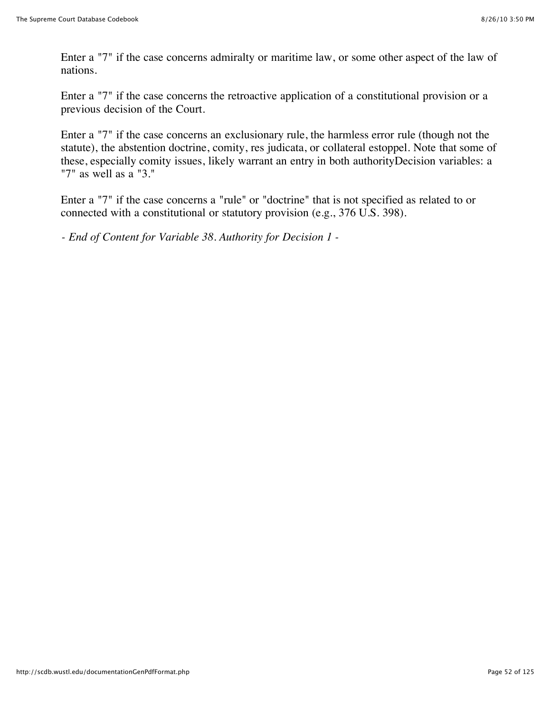Enter a "7" if the case concerns admiralty or maritime law, or some other aspect of the law of nations.

Enter a "7" if the case concerns the retroactive application of a constitutional provision or a previous decision of the Court.

Enter a "7" if the case concerns an exclusionary rule, the harmless error rule (though not the statute), the abstention doctrine, comity, res judicata, or collateral estoppel. Note that some of these, especially comity issues, likely warrant an entry in both authorityDecision variables: a "7" as well as a "3."

Enter a "7" if the case concerns a "rule" or "doctrine" that is not specified as related to or connected with a constitutional or statutory provision (e.g., 376 U.S. 398).

*- End of Content for Variable 38. Authority for Decision 1 -*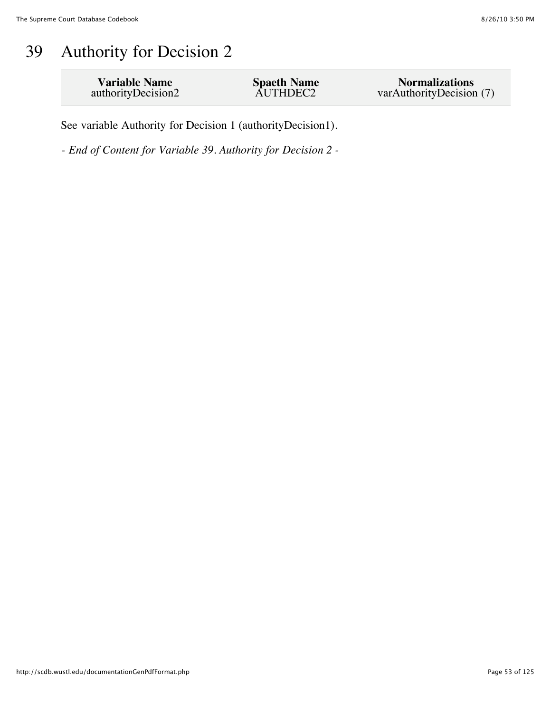# 39 Authority for Decision 2

| <b>Variable Name</b><br><b>Spaeth Name</b><br>AUTHDEC2<br>authorityDecision2 | <b>Normalizations</b><br>varAuthorityDecision (7) |
|------------------------------------------------------------------------------|---------------------------------------------------|
|------------------------------------------------------------------------------|---------------------------------------------------|

See variable Authority for Decision 1 (authorityDecision1).

*- End of Content for Variable 39. Authority for Decision 2 -*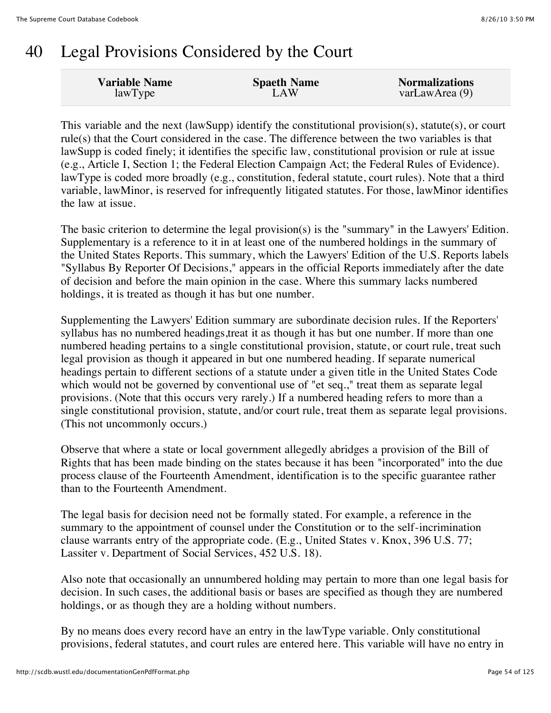# 40 Legal Provisions Considered by the Court

| <b>Variable Name</b> | <b>Spaeth Name</b> | <b>Normalizations</b> |
|----------------------|--------------------|-----------------------|
| lawType              | LAW                | varLawArea $(9)$      |
|                      |                    |                       |

This variable and the next (lawSupp) identify the constitutional provision(s), statute(s), or court rule(s) that the Court considered in the case. The difference between the two variables is that lawSupp is coded finely; it identifies the specific law, constitutional provision or rule at issue (e.g., Article I, Section 1; the Federal Election Campaign Act; the Federal Rules of Evidence). lawType is coded more broadly (e.g., constitution, federal statute, court rules). Note that a third variable, lawMinor, is reserved for infrequently litigated statutes. For those, lawMinor identifies the law at issue.

The basic criterion to determine the legal provision(s) is the "summary" in the Lawyers' Edition. Supplementary is a reference to it in at least one of the numbered holdings in the summary of the United States Reports. This summary, which the Lawyers' Edition of the U.S. Reports labels "Syllabus By Reporter Of Decisions," appears in the official Reports immediately after the date of decision and before the main opinion in the case. Where this summary lacks numbered holdings, it is treated as though it has but one number.

Supplementing the Lawyers' Edition summary are subordinate decision rules. If the Reporters' syllabus has no numbered headings,treat it as though it has but one number. If more than one numbered heading pertains to a single constitutional provision, statute, or court rule, treat such legal provision as though it appeared in but one numbered heading. If separate numerical headings pertain to different sections of a statute under a given title in the United States Code which would not be governed by conventional use of "et seq.," treat them as separate legal provisions. (Note that this occurs very rarely.) If a numbered heading refers to more than a single constitutional provision, statute, and/or court rule, treat them as separate legal provisions. (This not uncommonly occurs.)

Observe that where a state or local government allegedly abridges a provision of the Bill of Rights that has been made binding on the states because it has been "incorporated" into the due process clause of the Fourteenth Amendment, identification is to the specific guarantee rather than to the Fourteenth Amendment.

The legal basis for decision need not be formally stated. For example, a reference in the summary to the appointment of counsel under the Constitution or to the self-incrimination clause warrants entry of the appropriate code. (E.g., United States v. Knox, 396 U.S. 77; Lassiter v. Department of Social Services, 452 U.S. 18).

Also note that occasionally an unnumbered holding may pertain to more than one legal basis for decision. In such cases, the additional basis or bases are specified as though they are numbered holdings, or as though they are a holding without numbers.

By no means does every record have an entry in the lawType variable. Only constitutional provisions, federal statutes, and court rules are entered here. This variable will have no entry in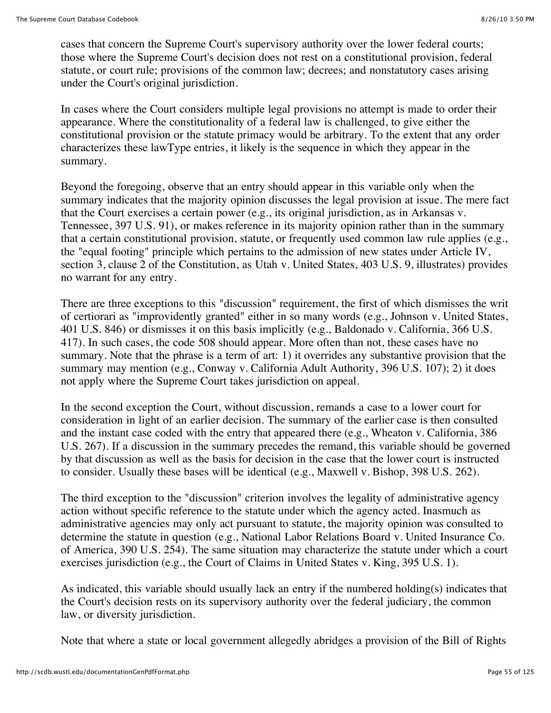cases that concern the Supreme Court's supervisory authority over the lower federal courts; those where the Supreme Court's decision does not rest on a constitutional provision, federal statute, or court rule; provisions of the common law; decrees; and nonstatutory cases arising under the Court's original jurisdiction.

In cases where the Court considers multiple legal provisions no attempt is made to order their appearance. Where the constitutionality of a federal law is challenged, to give either the constitutional provision or the statute primacy would be arbitrary. To the extent that any order characterizes these lawType entries, it likely is the sequence in which they appear in the summary.

Beyond the foregoing, observe that an entry should appear in this variable only when the summary indicates that the majority opinion discusses the legal provision at issue. The mere fact that the Court exercises a certain power (e.g., its original jurisdiction, as in Arkansas v. Tennessee, 397 U.S. 91), or makes reference in its majority opinion rather than in the summary that a certain constitutional provision, statute, or frequently used common law rule applies (e.g., the "equal footing" principle which pertains to the admission of new states under Article IV, section 3, clause 2 of the Constitution, as Utah v. United States, 403 U.S. 9, illustrates) provides no warrant for any entry.

There are three exceptions to this "discussion" requirement, the first of which dismisses the writ of certiorari as "improvidently granted" either in so many words (e.g., Johnson v. United States, 401 U.S. 846) or dismisses it on this basis implicitly (e.g., Baldonado v. California, 366 U.S. 417). In such cases, the code 508 should appear. More often than not, these cases have no summary. Note that the phrase is a term of art: 1) it overrides any substantive provision that the summary may mention (e.g., Conway v. California Adult Authority, 396 U.S. 107); 2) it does not apply where the Supreme Court takes jurisdiction on appeal.

In the second exception the Court, without discussion, remands a case to a lower court for consideration in light of an earlier decision. The summary of the earlier case is then consulted and the instant case coded with the entry that appeared there (e.g., Wheaton v. California, 386 U.S. 267). If a discussion in the summary precedes the remand, this variable should be governed by that discussion as well as the basis for decision in the case that the lower court is instructed to consider. Usually these bases will be identical (e.g., Maxwell v. Bishop, 398 U.S. 262).

The third exception to the "discussion" criterion involves the legality of administrative agency action without specific reference to the statute under which the agency acted. Inasmuch as administrative agencies may only act pursuant to statute, the majority opinion was consulted to determine the statute in question (e.g., National Labor Relations Board v. United Insurance Co. of America, 390 U.S. 254). The same situation may characterize the statute under which a court exercises jurisdiction (e.g., the Court of Claims in United States v. King, 395 U.S. 1).

As indicated, this variable should usually lack an entry if the numbered holding(s) indicates that the Court's decision rests on its supervisory authority over the federal judiciary, the common law, or diversity jurisdiction.

Note that where a state or local government allegedly abridges a provision of the Bill of Rights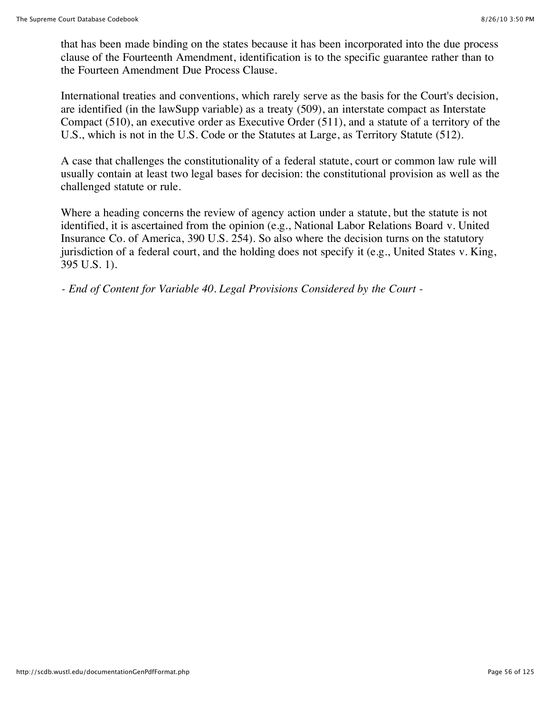that has been made binding on the states because it has been incorporated into the due process clause of the Fourteenth Amendment, identification is to the specific guarantee rather than to the Fourteen Amendment Due Process Clause.

International treaties and conventions, which rarely serve as the basis for the Court's decision, are identified (in the lawSupp variable) as a treaty (509), an interstate compact as Interstate Compact (510), an executive order as Executive Order (511), and a statute of a territory of the U.S., which is not in the U.S. Code or the Statutes at Large, as Territory Statute (512).

A case that challenges the constitutionality of a federal statute, court or common law rule will usually contain at least two legal bases for decision: the constitutional provision as well as the challenged statute or rule.

Where a heading concerns the review of agency action under a statute, but the statute is not identified, it is ascertained from the opinion (e.g., National Labor Relations Board v. United Insurance Co. of America, 390 U.S. 254). So also where the decision turns on the statutory jurisdiction of a federal court, and the holding does not specify it (e.g., United States v. King, 395 U.S. 1).

*- End of Content for Variable 40. Legal Provisions Considered by the Court -*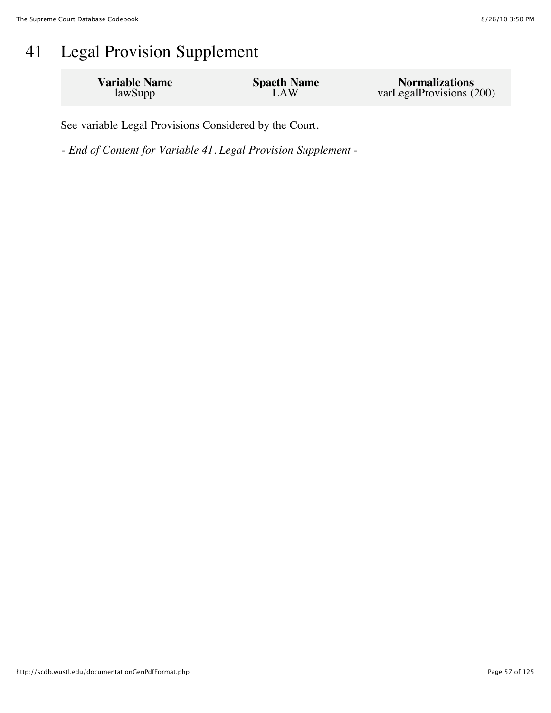# 41 Legal Provision Supplement

| <b>Variable Name</b> | <b>Spaeth Name</b> | <b>Normalizations</b>    |
|----------------------|--------------------|--------------------------|
| lawSupp              | LAW                | varLegalProvisions (200) |

See variable Legal Provisions Considered by the Court.

*- End of Content for Variable 41. Legal Provision Supplement -*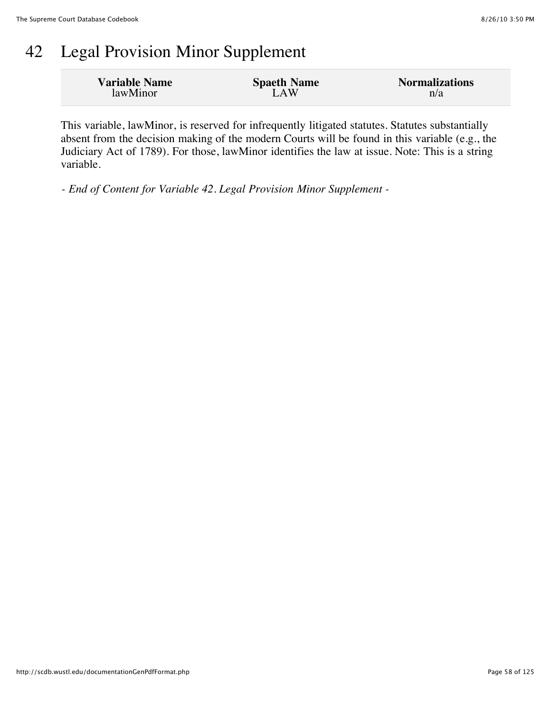# 42 Legal Provision Minor Supplement

| <b>Variable Name</b> | <b>Spaeth Name</b> | <b>Normalizations</b> |
|----------------------|--------------------|-----------------------|
| lawMinor             | LAW                | n/a                   |

This variable, lawMinor, is reserved for infrequently litigated statutes. Statutes substantially absent from the decision making of the modern Courts will be found in this variable (e.g., the Judiciary Act of 1789). For those, lawMinor identifies the law at issue. Note: This is a string variable.

*- End of Content for Variable 42. Legal Provision Minor Supplement -*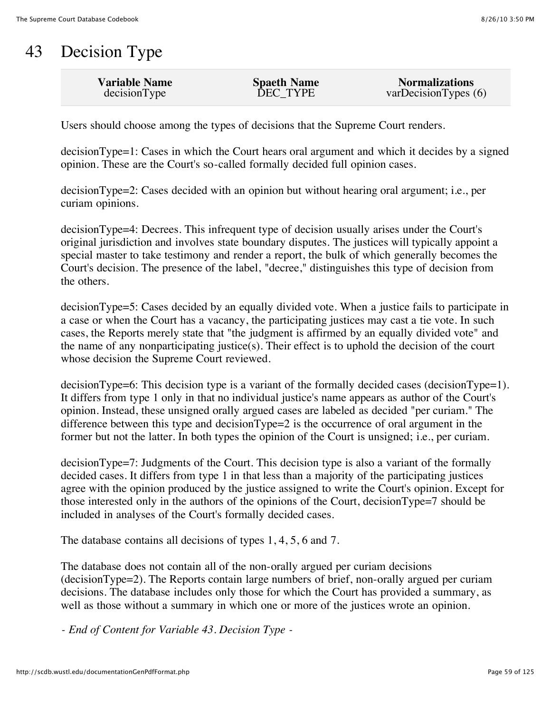# 43 Decision Type

| <b>Variable Name</b> | <b>Spaeth Name</b> | <b>Normalizations</b> |
|----------------------|--------------------|-----------------------|
| decisionType         | DEC TYPE           | varDecisionTypes(6)   |
|                      |                    |                       |

Users should choose among the types of decisions that the Supreme Court renders.

decisionType=1: Cases in which the Court hears oral argument and which it decides by a signed opinion. These are the Court's so-called formally decided full opinion cases.

decisionType=2: Cases decided with an opinion but without hearing oral argument; i.e., per curiam opinions.

decisionType=4: Decrees. This infrequent type of decision usually arises under the Court's original jurisdiction and involves state boundary disputes. The justices will typically appoint a special master to take testimony and render a report, the bulk of which generally becomes the Court's decision. The presence of the label, "decree," distinguishes this type of decision from the others.

decisionType=5: Cases decided by an equally divided vote. When a justice fails to participate in a case or when the Court has a vacancy, the participating justices may cast a tie vote. In such cases, the Reports merely state that "the judgment is affirmed by an equally divided vote" and the name of any nonparticipating justice(s). Their effect is to uphold the decision of the court whose decision the Supreme Court reviewed.

decisionType=6: This decision type is a variant of the formally decided cases (decisionType=1). It differs from type 1 only in that no individual justice's name appears as author of the Court's opinion. Instead, these unsigned orally argued cases are labeled as decided "per curiam." The difference between this type and decisionType=2 is the occurrence of oral argument in the former but not the latter. In both types the opinion of the Court is unsigned; i.e., per curiam.

decisionType=7: Judgments of the Court. This decision type is also a variant of the formally decided cases. It differs from type 1 in that less than a majority of the participating justices agree with the opinion produced by the justice assigned to write the Court's opinion. Except for those interested only in the authors of the opinions of the Court, decisionType=7 should be included in analyses of the Court's formally decided cases.

The database contains all decisions of types 1, 4, 5, 6 and 7.

The database does not contain all of the non-orally argued per curiam decisions (decisionType=2). The Reports contain large numbers of brief, non-orally argued per curiam decisions. The database includes only those for which the Court has provided a summary, as well as those without a summary in which one or more of the justices wrote an opinion.

*- End of Content for Variable 43. Decision Type -*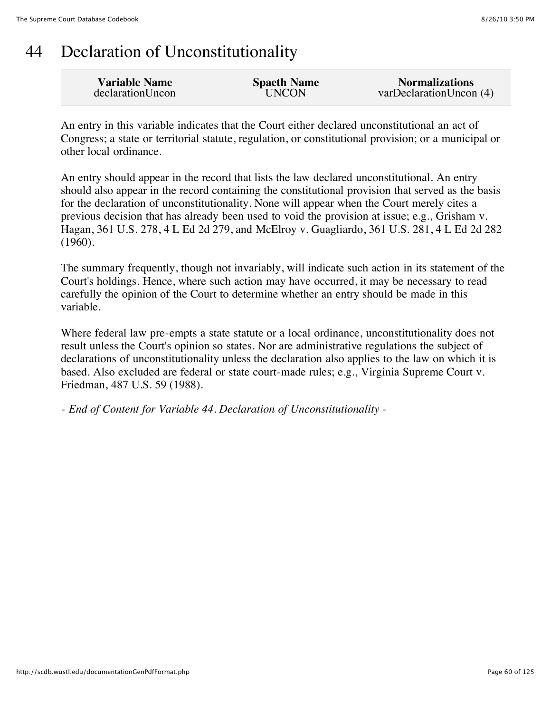### 44 Declaration of Unconstitutionality

| <b>Variable Name</b> | <b>Spaeth Name</b> | <b>Normalizations</b>   |
|----------------------|--------------------|-------------------------|
| declarationUncon     | <b>UNCON</b>       | varDeclarationUncon (4) |

An entry in this variable indicates that the Court either declared unconstitutional an act of Congress; a state or territorial statute, regulation, or constitutional provision; or a municipal or other local ordinance.

An entry should appear in the record that lists the law declared unconstitutional. An entry should also appear in the record containing the constitutional provision that served as the basis for the declaration of unconstitutionality. None will appear when the Court merely cites a previous decision that has already been used to void the provision at issue; e.g., Grisham v. Hagan, 361 U.S. 278, 4 L Ed 2d 279, and McElroy v. Guagliardo, 361 U.S. 281, 4 L Ed 2d 282 (1960).

The summary frequently, though not invariably, will indicate such action in its statement of the Court's holdings. Hence, where such action may have occurred, it may be necessary to read carefully the opinion of the Court to determine whether an entry should be made in this variable.

Where federal law pre-empts a state statute or a local ordinance, unconstitutionality does not result unless the Court's opinion so states. Nor are administrative regulations the subject of declarations of unconstitutionality unless the declaration also applies to the law on which it is based. Also excluded are federal or state court-made rules; e.g., Virginia Supreme Court v. Friedman, 487 U.S. 59 (1988).

*- End of Content for Variable 44. Declaration of Unconstitutionality -*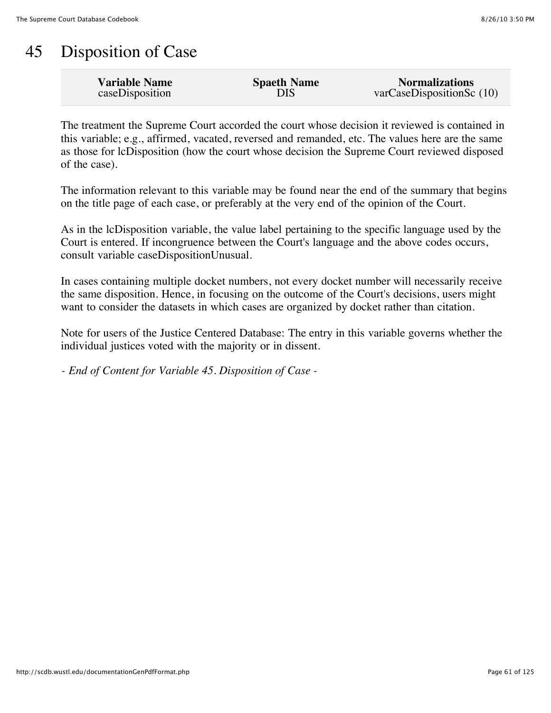### 45 Disposition of Case

| <b>Variable Name</b> | <b>Spaeth Name</b> | <b>Normalizations</b>        |
|----------------------|--------------------|------------------------------|
| caseDisposition      | <b>DIS</b>         | $varCase$ DispositionSc (10) |

The treatment the Supreme Court accorded the court whose decision it reviewed is contained in this variable; e.g., affirmed, vacated, reversed and remanded, etc. The values here are the same as those for lcDisposition (how the court whose decision the Supreme Court reviewed disposed of the case).

The information relevant to this variable may be found near the end of the summary that begins on the title page of each case, or preferably at the very end of the opinion of the Court.

As in the lcDisposition variable, the value label pertaining to the specific language used by the Court is entered. If incongruence between the Court's language and the above codes occurs, consult variable caseDispositionUnusual.

In cases containing multiple docket numbers, not every docket number will necessarily receive the same disposition. Hence, in focusing on the outcome of the Court's decisions, users might want to consider the datasets in which cases are organized by docket rather than citation.

Note for users of the Justice Centered Database: The entry in this variable governs whether the individual justices voted with the majority or in dissent.

*- End of Content for Variable 45. Disposition of Case -*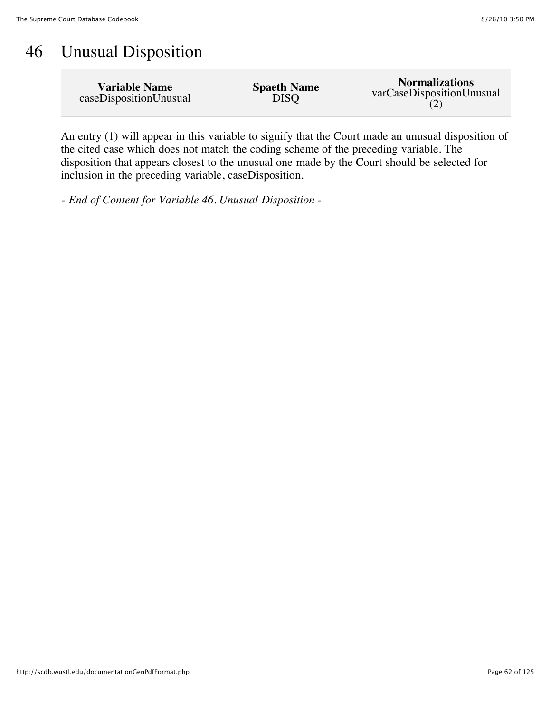# 46 Unusual Disposition

| <b>Variable Name</b>   | <b>Spaeth Name</b> | <b>Normalizations</b>     |
|------------------------|--------------------|---------------------------|
| caseDispositionUnusual | <b>DISO</b>        | varCaseDispositionUnusual |

An entry (1) will appear in this variable to signify that the Court made an unusual disposition of the cited case which does not match the coding scheme of the preceding variable. The disposition that appears closest to the unusual one made by the Court should be selected for inclusion in the preceding variable, caseDisposition.

*- End of Content for Variable 46. Unusual Disposition -*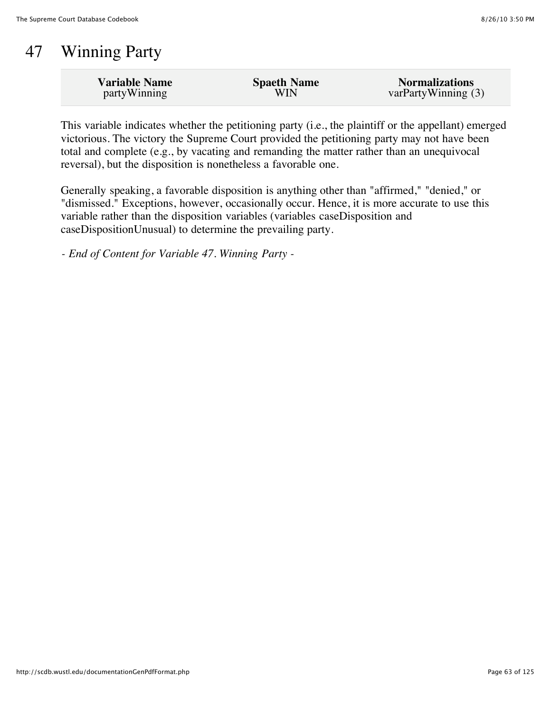# 47 Winning Party

| <b>Variable Name</b> | <b>Spaeth Name</b> | <b>Normalizations</b> |
|----------------------|--------------------|-----------------------|
| partyWinning         | WIN                | varPartyWinning (3)   |

This variable indicates whether the petitioning party (i.e., the plaintiff or the appellant) emerged victorious. The victory the Supreme Court provided the petitioning party may not have been total and complete (e.g., by vacating and remanding the matter rather than an unequivocal reversal), but the disposition is nonetheless a favorable one.

Generally speaking, a favorable disposition is anything other than "affirmed," "denied," or "dismissed." Exceptions, however, occasionally occur. Hence, it is more accurate to use this variable rather than the disposition variables (variables caseDisposition and caseDispositionUnusual) to determine the prevailing party.

*- End of Content for Variable 47. Winning Party -*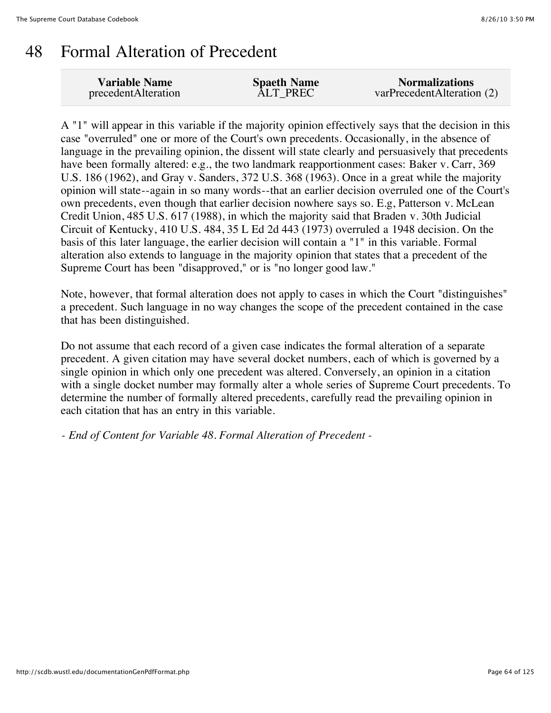#### 48 Formal Alteration of Precedent

| <b>Variable Name</b> | <b>Spaeth Name</b> | <b>Normalizations</b>      |
|----------------------|--------------------|----------------------------|
| precedentAlteration  | <b>ALT PREC</b>    | varPrecedentAlteration (2) |

A "1" will appear in this variable if the majority opinion effectively says that the decision in this case "overruled" one or more of the Court's own precedents. Occasionally, in the absence of language in the prevailing opinion, the dissent will state clearly and persuasively that precedents have been formally altered: e.g., the two landmark reapportionment cases: Baker v. Carr, 369 U.S. 186 (1962), and Gray v. Sanders, 372 U.S. 368 (1963). Once in a great while the majority opinion will state--again in so many words--that an earlier decision overruled one of the Court's own precedents, even though that earlier decision nowhere says so. E.g, Patterson v. McLean Credit Union, 485 U.S. 617 (1988), in which the majority said that Braden v. 30th Judicial Circuit of Kentucky, 410 U.S. 484, 35 L Ed 2d 443 (1973) overruled a 1948 decision. On the basis of this later language, the earlier decision will contain a "1" in this variable. Formal alteration also extends to language in the majority opinion that states that a precedent of the Supreme Court has been "disapproved," or is "no longer good law."

Note, however, that formal alteration does not apply to cases in which the Court "distinguishes" a precedent. Such language in no way changes the scope of the precedent contained in the case that has been distinguished.

Do not assume that each record of a given case indicates the formal alteration of a separate precedent. A given citation may have several docket numbers, each of which is governed by a single opinion in which only one precedent was altered. Conversely, an opinion in a citation with a single docket number may formally alter a whole series of Supreme Court precedents. To determine the number of formally altered precedents, carefully read the prevailing opinion in each citation that has an entry in this variable.

*- End of Content for Variable 48. Formal Alteration of Precedent -*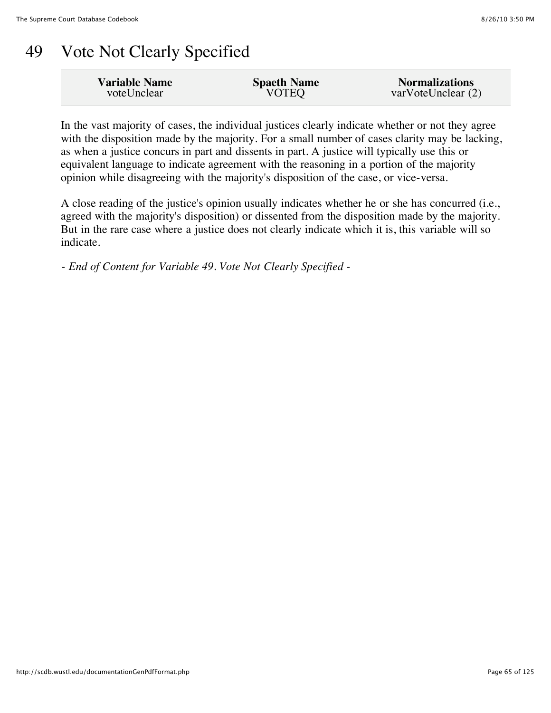# 49 Vote Not Clearly Specified

| <b>Variable Name</b> | <b>Spaeth Name</b> | <b>Normalizations</b> |
|----------------------|--------------------|-----------------------|
| voteUnclear          | <b>VOTEQ</b>       | varVoteUnclear(2)     |
|                      |                    |                       |

In the vast majority of cases, the individual justices clearly indicate whether or not they agree with the disposition made by the majority. For a small number of cases clarity may be lacking, as when a justice concurs in part and dissents in part. A justice will typically use this or equivalent language to indicate agreement with the reasoning in a portion of the majority opinion while disagreeing with the majority's disposition of the case, or vice-versa.

A close reading of the justice's opinion usually indicates whether he or she has concurred (i.e., agreed with the majority's disposition) or dissented from the disposition made by the majority. But in the rare case where a justice does not clearly indicate which it is, this variable will so indicate.

*- End of Content for Variable 49. Vote Not Clearly Specified -*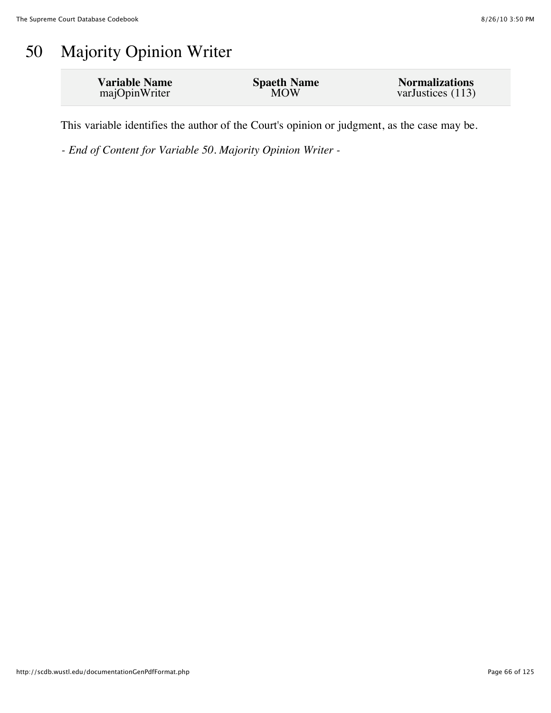# 50 Majority Opinion Writer

| <b>Variable Name</b> | <b>Spaeth Name</b> | <b>Normalizations</b> |
|----------------------|--------------------|-----------------------|
| majOpinWriter        | <b>MOW</b>         | varJustices (113)     |
|                      |                    |                       |

This variable identifies the author of the Court's opinion or judgment, as the case may be.

*- End of Content for Variable 50. Majority Opinion Writer -*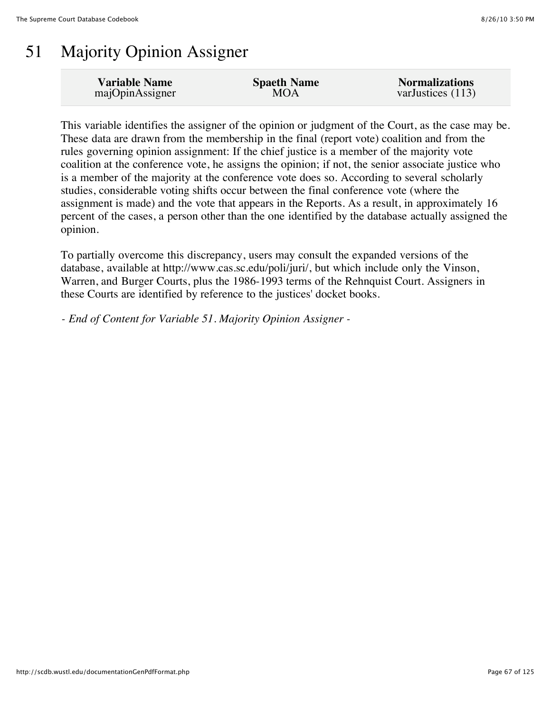# 51 Majority Opinion Assigner

| <b>Variable Name</b> | <b>Spaeth Name</b> | <b>Normalizations</b> |
|----------------------|--------------------|-----------------------|
| majOpinAssigner      | MOA                | varJustices (113)     |

This variable identifies the assigner of the opinion or judgment of the Court, as the case may be. These data are drawn from the membership in the final (report vote) coalition and from the rules governing opinion assignment: If the chief justice is a member of the majority vote coalition at the conference vote, he assigns the opinion; if not, the senior associate justice who is a member of the majority at the conference vote does so. According to several scholarly studies, considerable voting shifts occur between the final conference vote (where the assignment is made) and the vote that appears in the Reports. As a result, in approximately 16 percent of the cases, a person other than the one identified by the database actually assigned the opinion.

To partially overcome this discrepancy, users may consult the expanded versions of the database, available at http://www.cas.sc.edu/poli/juri/, but which include only the Vinson, Warren, and Burger Courts, plus the 1986-1993 terms of the Rehnquist Court. Assigners in these Courts are identified by reference to the justices' docket books.

*- End of Content for Variable 51. Majority Opinion Assigner -*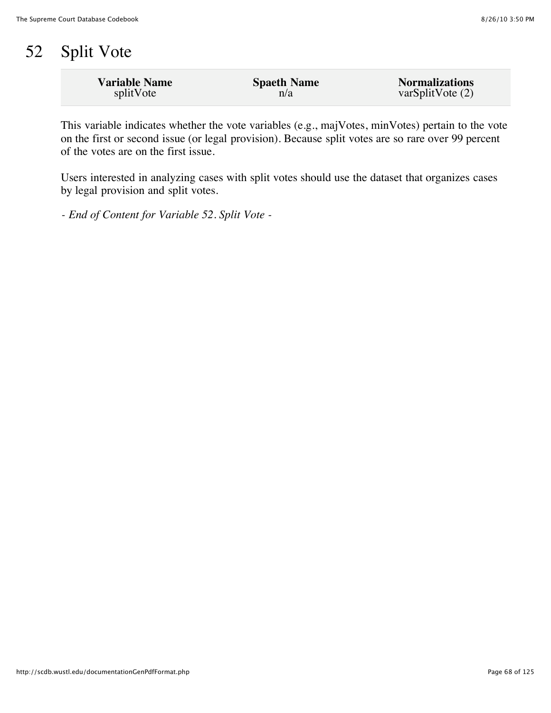# 52 Split Vote

| <b>Variable Name</b> | <b>Spaeth Name</b> | <b>Normalizations</b> |
|----------------------|--------------------|-----------------------|
| splitVote            | n/a                | varSplitVote(2)       |

This variable indicates whether the vote variables (e.g., majVotes, minVotes) pertain to the vote on the first or second issue (or legal provision). Because split votes are so rare over 99 percent of the votes are on the first issue.

Users interested in analyzing cases with split votes should use the dataset that organizes cases by legal provision and split votes.

*- End of Content for Variable 52. Split Vote -*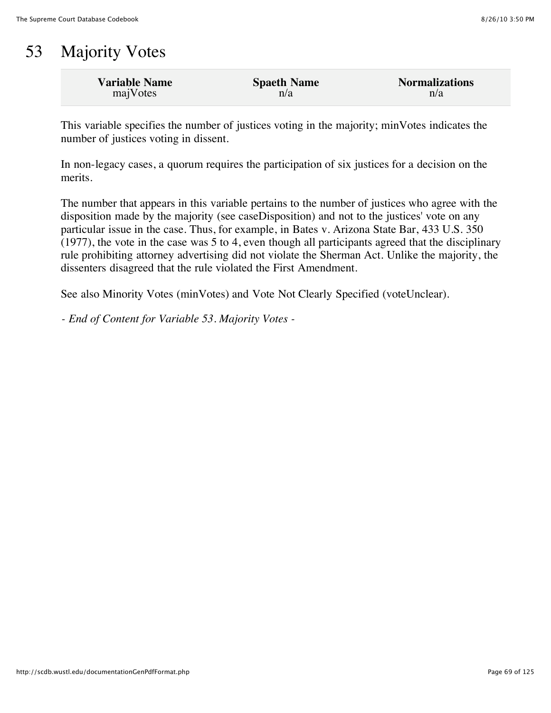### 53 Majority Votes

| <b>Variable Name</b> | <b>Spaeth Name</b> | <b>Normalizations</b> |
|----------------------|--------------------|-----------------------|
| majVotes             | n/a                | n/a                   |

This variable specifies the number of justices voting in the majority; minVotes indicates the number of justices voting in dissent.

In non-legacy cases, a quorum requires the participation of six justices for a decision on the merits.

The number that appears in this variable pertains to the number of justices who agree with the disposition made by the majority (see caseDisposition) and not to the justices' vote on any particular issue in the case. Thus, for example, in Bates v. Arizona State Bar, 433 U.S. 350 (1977), the vote in the case was 5 to 4, even though all participants agreed that the disciplinary rule prohibiting attorney advertising did not violate the Sherman Act. Unlike the majority, the dissenters disagreed that the rule violated the First Amendment.

See also Minority Votes (minVotes) and Vote Not Clearly Specified (voteUnclear).

*- End of Content for Variable 53. Majority Votes -*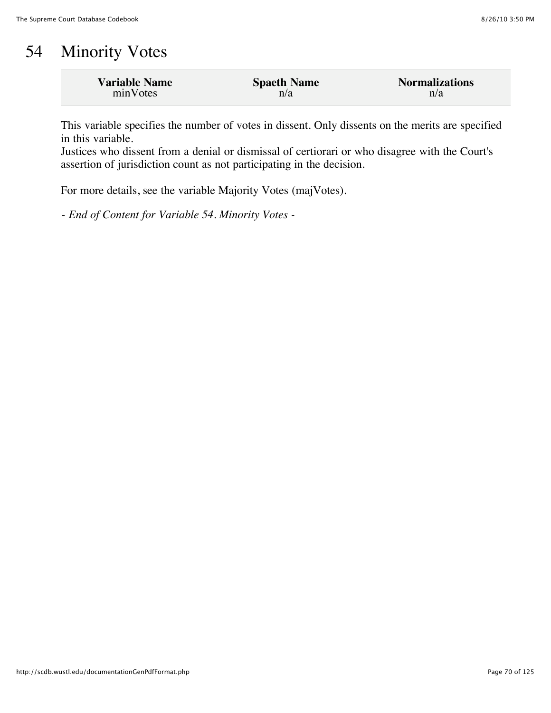# 54 Minority Votes

| <b>Variable Name</b> | <b>Spaeth Name</b> | <b>Normalizations</b> |
|----------------------|--------------------|-----------------------|
| minVotes             | n/a                | n/a                   |

This variable specifies the number of votes in dissent. Only dissents on the merits are specified in this variable.

Justices who dissent from a denial or dismissal of certiorari or who disagree with the Court's assertion of jurisdiction count as not participating in the decision.

For more details, see the variable Majority Votes (majVotes).

*- End of Content for Variable 54. Minority Votes -*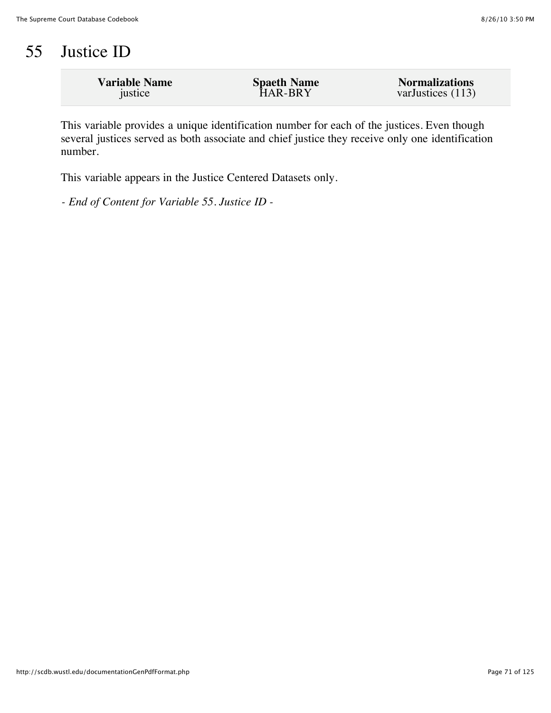# 55 Justice ID

| <b>Variable Name</b> | <b>Spaeth Name</b> | <b>Normalizations</b> |
|----------------------|--------------------|-----------------------|
| justice              | HAR-BRY            | varJustices (113)     |
|                      |                    |                       |

This variable provides a unique identification number for each of the justices. Even though several justices served as both associate and chief justice they receive only one identification number.

This variable appears in the Justice Centered Datasets only.

*- End of Content for Variable 55. Justice ID -*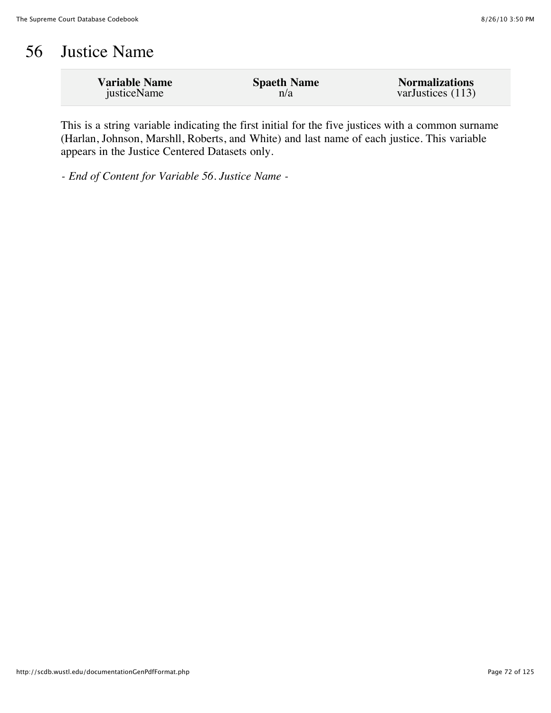### 56 Justice Name

| <b>Variable Name</b> | <b>Spaeth Name</b> | <b>Normalizations</b> |
|----------------------|--------------------|-----------------------|
| justiceName          | n/a                | varJustices (113)     |

This is a string variable indicating the first initial for the five justices with a common surname (Harlan, Johnson, Marshll, Roberts, and White) and last name of each justice. This variable appears in the Justice Centered Datasets only.

*- End of Content for Variable 56. Justice Name -*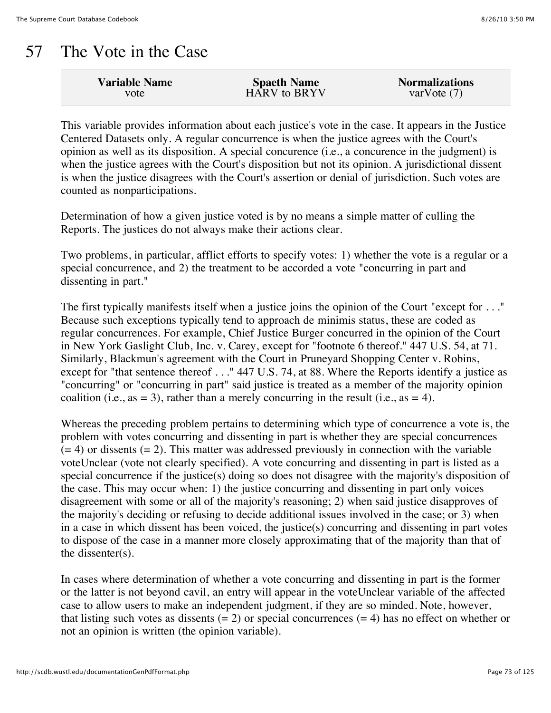## 57 The Vote in the Case

| <b>Variable Name</b> | <b>Spaeth Name</b>  | <b>Normalizations</b> |
|----------------------|---------------------|-----------------------|
| vote                 | <b>HARV</b> to BRYV | var $V$ ote $(7)$     |
|                      |                     |                       |

This variable provides information about each justice's vote in the case. It appears in the Justice Centered Datasets only. A regular concurrence is when the justice agrees with the Court's opinion as well as its disposition. A special concurence (i.e., a concurence in the judgment) is when the justice agrees with the Court's disposition but not its opinion. A jurisdictional dissent is when the justice disagrees with the Court's assertion or denial of jurisdiction. Such votes are counted as nonparticipations.

Determination of how a given justice voted is by no means a simple matter of culling the Reports. The justices do not always make their actions clear.

Two problems, in particular, afflict efforts to specify votes: 1) whether the vote is a regular or a special concurrence, and 2) the treatment to be accorded a vote "concurring in part and dissenting in part."

The first typically manifests itself when a justice joins the opinion of the Court "except for . . ." Because such exceptions typically tend to approach de minimis status, these are coded as regular concurrences. For example, Chief Justice Burger concurred in the opinion of the Court in New York Gaslight Club, Inc. v. Carey, except for "footnote 6 thereof." 447 U.S. 54, at 71. Similarly, Blackmun's agreement with the Court in Pruneyard Shopping Center v. Robins, except for "that sentence thereof . . ." 447 U.S. 74, at 88. Where the Reports identify a justice as "concurring" or "concurring in part" said justice is treated as a member of the majority opinion coalition (i.e., as = 3), rather than a merely concurring in the result (i.e., as = 4).

Whereas the preceding problem pertains to determining which type of concurrence a vote is, the problem with votes concurring and dissenting in part is whether they are special concurrences  $(= 4)$  or dissents  $(= 2)$ . This matter was addressed previously in connection with the variable voteUnclear (vote not clearly specified). A vote concurring and dissenting in part is listed as a special concurrence if the justice(s) doing so does not disagree with the majority's disposition of the case. This may occur when: 1) the justice concurring and dissenting in part only voices disagreement with some or all of the majority's reasoning; 2) when said justice disapproves of the majority's deciding or refusing to decide additional issues involved in the case; or 3) when in a case in which dissent has been voiced, the justice(s) concurring and dissenting in part votes to dispose of the case in a manner more closely approximating that of the majority than that of the dissenter(s).

In cases where determination of whether a vote concurring and dissenting in part is the former or the latter is not beyond cavil, an entry will appear in the voteUnclear variable of the affected case to allow users to make an independent judgment, if they are so minded. Note, however, that listing such votes as dissents  $(= 2)$  or special concurrences  $(= 4)$  has no effect on whether or not an opinion is written (the opinion variable).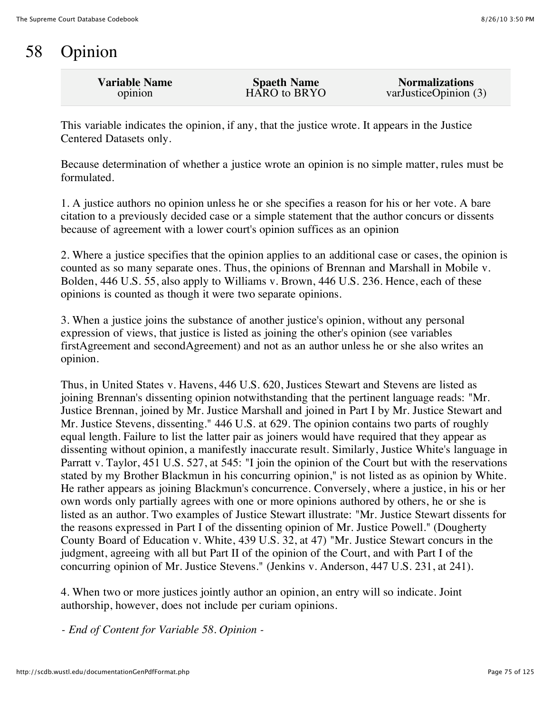## 58 Opinion

| <b>Variable Name</b> | <b>Spaeth Name</b> | <b>Normalizations</b> |
|----------------------|--------------------|-----------------------|
| opinion              | HARO to BRYO       | varJusticeOpinion (3) |
|                      |                    |                       |

This variable indicates the opinion, if any, that the justice wrote. It appears in the Justice Centered Datasets only.

Because determination of whether a justice wrote an opinion is no simple matter, rules must be formulated.

1. A justice authors no opinion unless he or she specifies a reason for his or her vote. A bare citation to a previously decided case or a simple statement that the author concurs or dissents because of agreement with a lower court's opinion suffices as an opinion

2. Where a justice specifies that the opinion applies to an additional case or cases, the opinion is counted as so many separate ones. Thus, the opinions of Brennan and Marshall in Mobile v. Bolden, 446 U.S. 55, also apply to Williams v. Brown, 446 U.S. 236. Hence, each of these opinions is counted as though it were two separate opinions.

3. When a justice joins the substance of another justice's opinion, without any personal expression of views, that justice is listed as joining the other's opinion (see variables firstAgreement and secondAgreement) and not as an author unless he or she also writes an opinion.

Thus, in United States v. Havens, 446 U.S. 620, Justices Stewart and Stevens are listed as joining Brennan's dissenting opinion notwithstanding that the pertinent language reads: "Mr. Justice Brennan, joined by Mr. Justice Marshall and joined in Part I by Mr. Justice Stewart and Mr. Justice Stevens, dissenting." 446 U.S. at 629. The opinion contains two parts of roughly equal length. Failure to list the latter pair as joiners would have required that they appear as dissenting without opinion, a manifestly inaccurate result. Similarly, Justice White's language in Parratt v. Taylor, 451 U.S. 527, at 545: "I join the opinion of the Court but with the reservations stated by my Brother Blackmun in his concurring opinion," is not listed as as opinion by White. He rather appears as joining Blackmun's concurrence. Conversely, where a justice, in his or her own words only partially agrees with one or more opinions authored by others, he or she is listed as an author. Two examples of Justice Stewart illustrate: "Mr. Justice Stewart dissents for the reasons expressed in Part I of the dissenting opinion of Mr. Justice Powell." (Dougherty County Board of Education v. White, 439 U.S. 32, at 47) "Mr. Justice Stewart concurs in the judgment, agreeing with all but Part II of the opinion of the Court, and with Part I of the concurring opinion of Mr. Justice Stevens." (Jenkins v. Anderson, 447 U.S. 231, at 241).

4. When two or more justices jointly author an opinion, an entry will so indicate. Joint authorship, however, does not include per curiam opinions.

*- End of Content for Variable 58. Opinion -*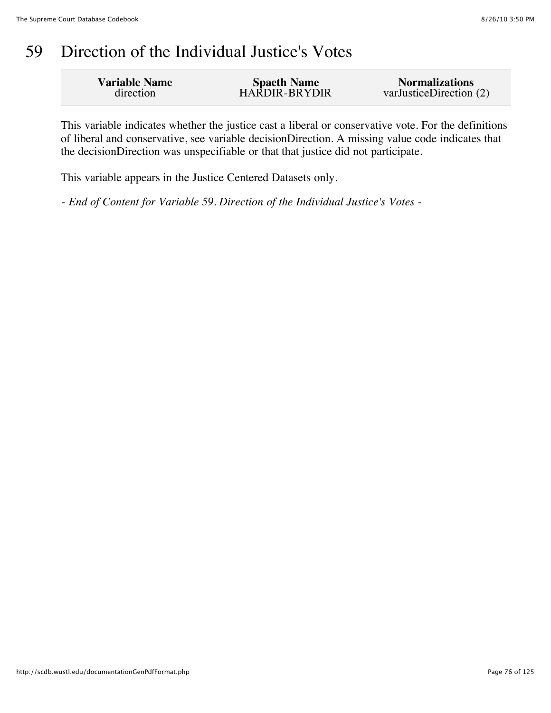## 59 Direction of the Individual Justice's Votes

| <b>Variable Name</b> | <b>Spaeth Name</b> | <b>Normalizations</b>   |
|----------------------|--------------------|-------------------------|
| direction            | HARDIR-BRYDIR      | varJusticeDirection (2) |
|                      |                    |                         |

This variable indicates whether the justice cast a liberal or conservative vote. For the definitions of liberal and conservative, see variable decisionDirection. A missing value code indicates that the decisionDirection was unspecifiable or that that justice did not participate.

This variable appears in the Justice Centered Datasets only.

*- End of Content for Variable 59. Direction of the Individual Justice's Votes -*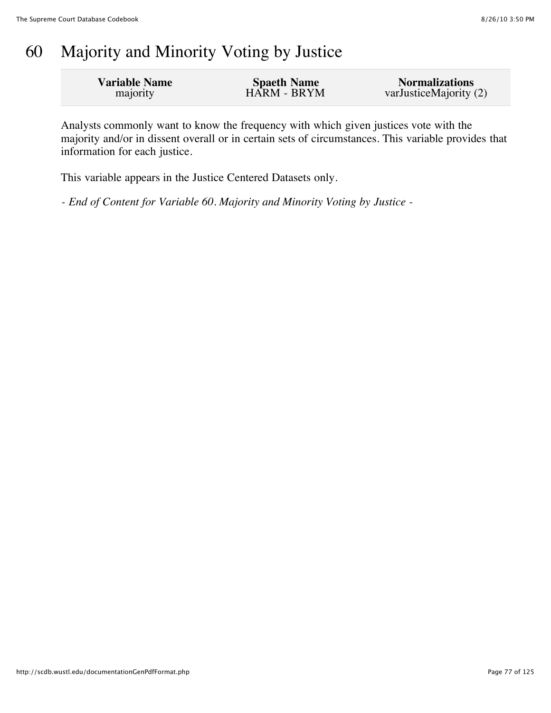## 60 Majority and Minority Voting by Justice

| <b>Variable Name</b> | <b>Spaeth Name</b> | <b>Normalizations</b>  |
|----------------------|--------------------|------------------------|
| majority             | HARM - BRYM        | varJusticeMajority (2) |

Analysts commonly want to know the frequency with which given justices vote with the majority and/or in dissent overall or in certain sets of circumstances. This variable provides that information for each justice.

This variable appears in the Justice Centered Datasets only.

*- End of Content for Variable 60. Majority and Minority Voting by Justice -*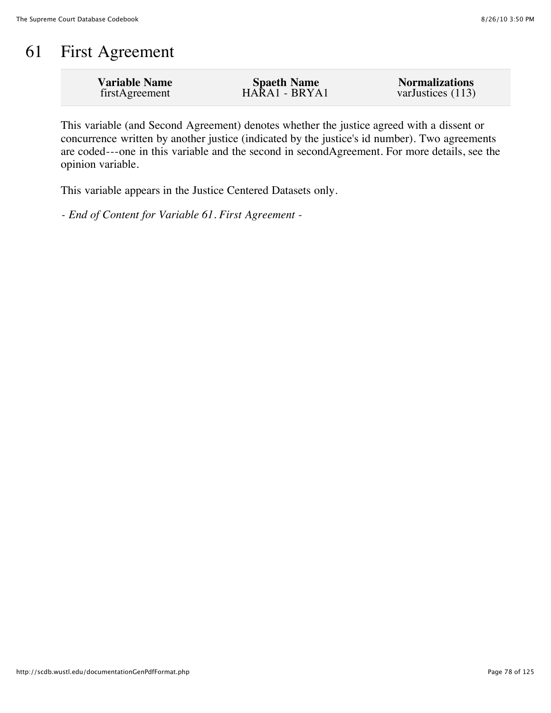## 61 First Agreement

| <b>Variable Name</b> | <b>Spaeth Name</b> | <b>Normalizations</b> |
|----------------------|--------------------|-----------------------|
| firstAgreement       | HARA1 - BRYA1      | varJustices $(113)$   |
|                      |                    |                       |

This variable (and Second Agreement) denotes whether the justice agreed with a dissent or concurrence written by another justice (indicated by the justice's id number). Two agreements are coded---one in this variable and the second in secondAgreement. For more details, see the opinion variable.

This variable appears in the Justice Centered Datasets only.

*- End of Content for Variable 61. First Agreement -*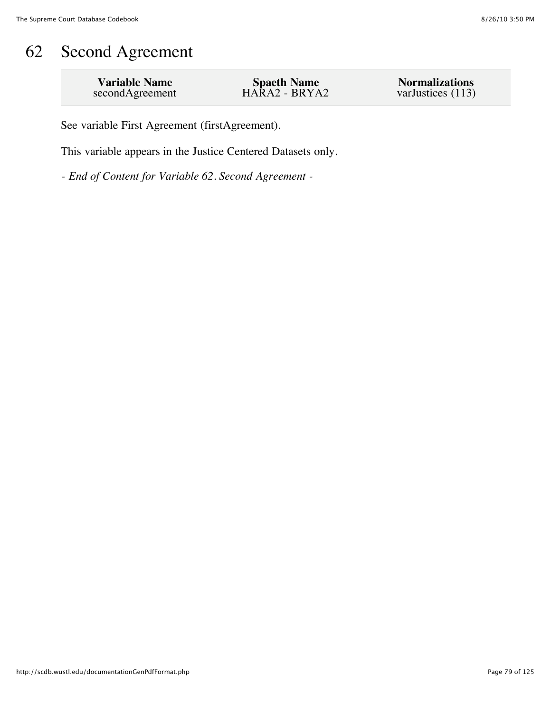## 62 Second Agreement

| <b>Variable Name</b> | <b>Spaeth Name</b> | <b>Normalizations</b> |
|----------------------|--------------------|-----------------------|
| secondAgreement      | HARA2 - BRYA2      | varJustices $(113)$   |

See variable First Agreement (firstAgreement).

This variable appears in the Justice Centered Datasets only.

*- End of Content for Variable 62. Second Agreement -*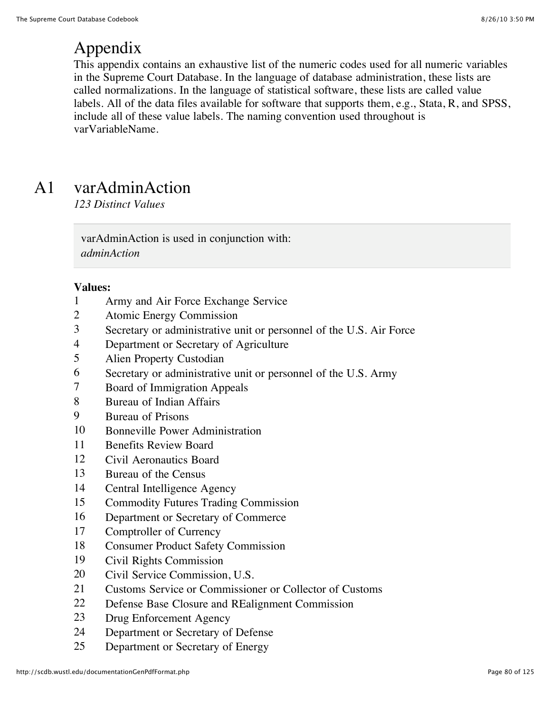## Appendix

This appendix contains an exhaustive list of the numeric codes used for all numeric variables in the Supreme Court Database. In the language of database administration, these lists are called normalizations. In the language of statistical software, these lists are called value labels. All of the data files available for software that supports them, e.g., Stata, R, and SPSS, include all of these value labels. The naming convention used throughout is varVariableName.

## A1 varAdminAction

*123 Distinct Values*

varAdminAction is used in conjunction with: *adminAction*

- Army and Air Force Exchange Service
- Atomic Energy Commission
- Secretary or administrative unit or personnel of the U.S. Air Force
- Department or Secretary of Agriculture
- Alien Property Custodian
- Secretary or administrative unit or personnel of the U.S. Army
- Board of Immigration Appeals
- Bureau of Indian Affairs
- Bureau of Prisons
- Bonneville Power Administration
- Benefits Review Board
- Civil Aeronautics Board
- Bureau of the Census
- Central Intelligence Agency
- Commodity Futures Trading Commission
- Department or Secretary of Commerce
- Comptroller of Currency
- Consumer Product Safety Commission
- Civil Rights Commission
- Civil Service Commission, U.S.
- Customs Service or Commissioner or Collector of Customs
- Defense Base Closure and REalignment Commission
- Drug Enforcement Agency
- Department or Secretary of Defense
- Department or Secretary of Energy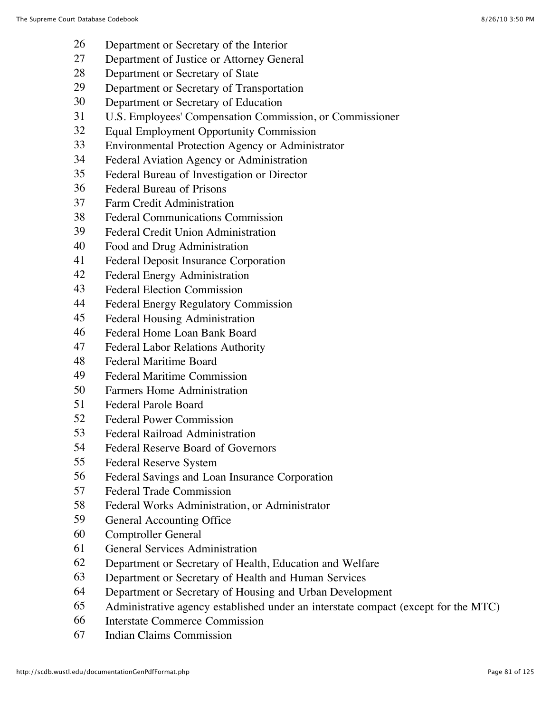- Department or Secretary of the Interior
- Department of Justice or Attorney General
- Department or Secretary of State
- Department or Secretary of Transportation
- Department or Secretary of Education
- U.S. Employees' Compensation Commission, or Commissioner
- Equal Employment Opportunity Commission
- Environmental Protection Agency or Administrator
- Federal Aviation Agency or Administration
- Federal Bureau of Investigation or Director
- Federal Bureau of Prisons
- Farm Credit Administration
- Federal Communications Commission
- Federal Credit Union Administration
- Food and Drug Administration
- Federal Deposit Insurance Corporation
- Federal Energy Administration
- Federal Election Commission
- Federal Energy Regulatory Commission
- Federal Housing Administration
- Federal Home Loan Bank Board
- Federal Labor Relations Authority
- Federal Maritime Board
- Federal Maritime Commission
- Farmers Home Administration
- Federal Parole Board
- Federal Power Commission
- Federal Railroad Administration
- Federal Reserve Board of Governors
- Federal Reserve System
- Federal Savings and Loan Insurance Corporation
- Federal Trade Commission
- Federal Works Administration, or Administrator
- General Accounting Office
- Comptroller General
- General Services Administration
- Department or Secretary of Health, Education and Welfare
- Department or Secretary of Health and Human Services
- Department or Secretary of Housing and Urban Development
- Administrative agency established under an interstate compact (except for the MTC)
- Interstate Commerce Commission
- Indian Claims Commission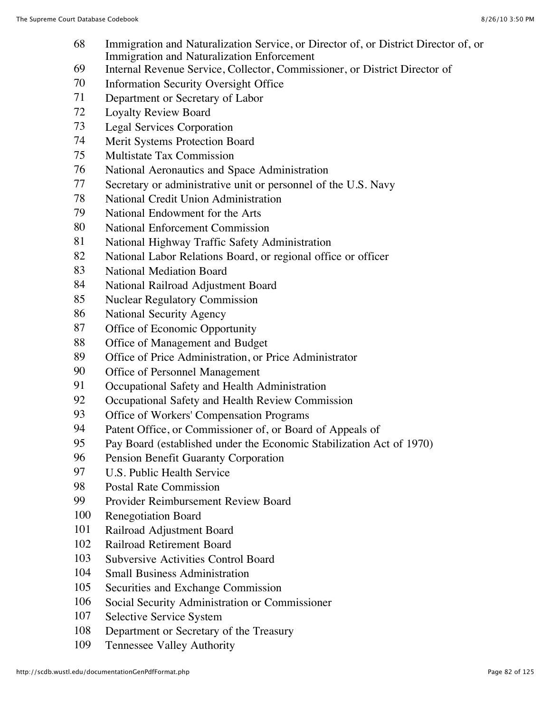- Immigration and Naturalization Service, or Director of, or District Director of, or Immigration and Naturalization Enforcement
- Internal Revenue Service, Collector, Commissioner, or District Director of
- Information Security Oversight Office
- Department or Secretary of Labor
- Loyalty Review Board
- Legal Services Corporation
- Merit Systems Protection Board
- Multistate Tax Commission
- National Aeronautics and Space Administration
- Secretary or administrative unit or personnel of the U.S. Navy
- National Credit Union Administration
- National Endowment for the Arts
- National Enforcement Commission
- National Highway Traffic Safety Administration
- National Labor Relations Board, or regional office or officer
- National Mediation Board
- National Railroad Adjustment Board
- Nuclear Regulatory Commission
- National Security Agency
- Office of Economic Opportunity
- Office of Management and Budget
- Office of Price Administration, or Price Administrator
- Office of Personnel Management
- Occupational Safety and Health Administration
- 92 Occupational Safety and Health Review Commission
- Office of Workers' Compensation Programs
- 94 Patent Office, or Commissioner of, or Board of Appeals of
- Pay Board (established under the Economic Stabilization Act of 1970)
- Pension Benefit Guaranty Corporation
- U.S. Public Health Service
- Postal Rate Commission
- Provider Reimbursement Review Board
- Renegotiation Board
- Railroad Adjustment Board
- Railroad Retirement Board
- Subversive Activities Control Board
- Small Business Administration
- Securities and Exchange Commission
- Social Security Administration or Commissioner
- Selective Service System
- Department or Secretary of the Treasury
- Tennessee Valley Authority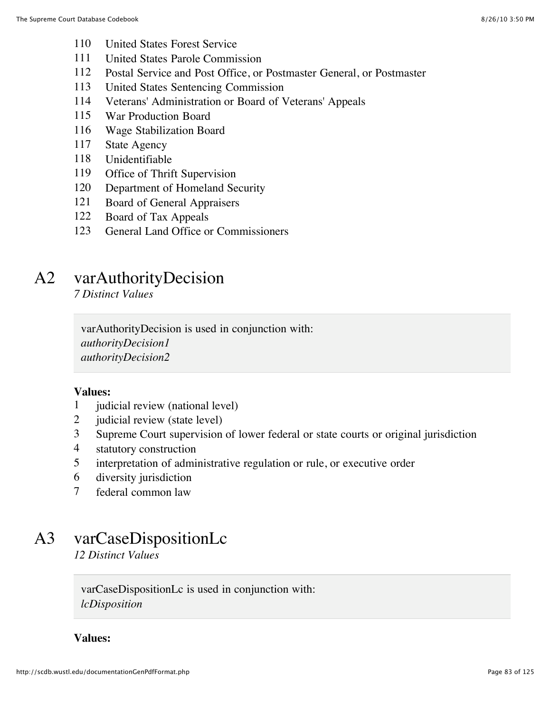- United States Forest Service
- United States Parole Commission
- Postal Service and Post Office, or Postmaster General, or Postmaster
- United States Sentencing Commission
- Veterans' Administration or Board of Veterans' Appeals
- War Production Board
- Wage Stabilization Board
- State Agency
- Unidentifiable
- Office of Thrift Supervision
- Department of Homeland Security
- Board of General Appraisers
- Board of Tax Appeals
- General Land Office or Commissioners

### A2 varAuthorityDecision

*7 Distinct Values*

varAuthorityDecision is used in conjunction with: *authorityDecision1 authorityDecision2*

#### **Values:**

- judicial review (national level)
- judicial review (state level)
- Supreme Court supervision of lower federal or state courts or original jurisdiction
- statutory construction
- interpretation of administrative regulation or rule, or executive order
- diversity jurisdiction
- federal common law

### A3 varCaseDispositionLc

*12 Distinct Values*

varCaseDispositionLc is used in conjunction with: *lcDisposition*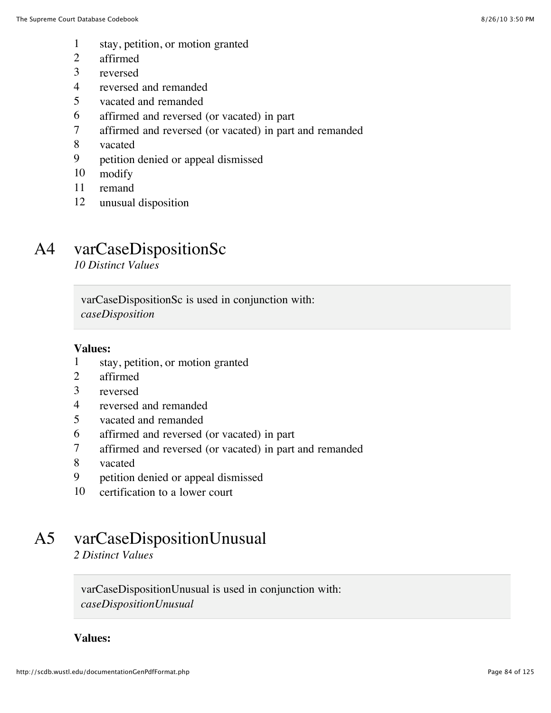- stay, petition, or motion granted
- affirmed
- reversed
- reversed and remanded
- vacated and remanded
- affirmed and reversed (or vacated) in part
- affirmed and reversed (or vacated) in part and remanded
- vacated
- petition denied or appeal dismissed
- modify
- remand
- unusual disposition

## A4 varCaseDispositionSc

*10 Distinct Values*

varCaseDispositionSc is used in conjunction with: *caseDisposition*

#### **Values:**

- stay, petition, or motion granted
- affirmed
- reversed
- reversed and remanded
- vacated and remanded
- affirmed and reversed (or vacated) in part
- affirmed and reversed (or vacated) in part and remanded
- vacated
- petition denied or appeal dismissed
- certification to a lower court

## A5 varCaseDispositionUnusual

*2 Distinct Values*

varCaseDispositionUnusual is used in conjunction with: *caseDispositionUnusual*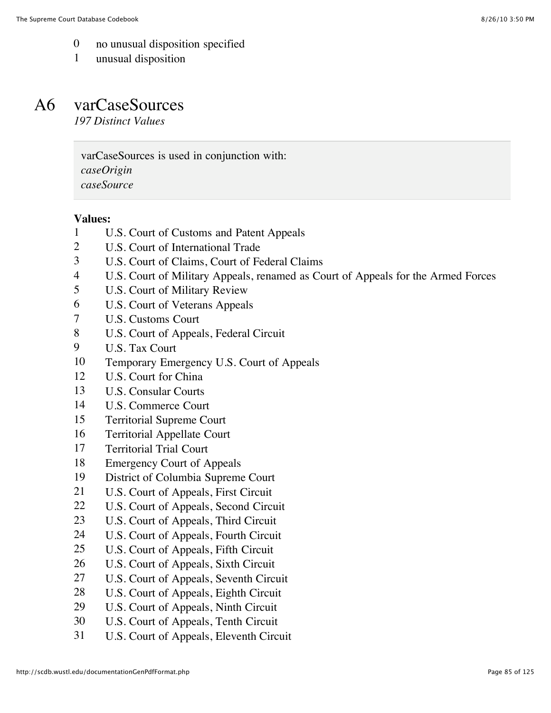- no unusual disposition specified
- unusual disposition

### A6 varCaseSources

*197 Distinct Values*

varCaseSources is used in conjunction with: *caseOrigin caseSource*

- U.S. Court of Customs and Patent Appeals
- U.S. Court of International Trade
- U.S. Court of Claims, Court of Federal Claims
- U.S. Court of Military Appeals, renamed as Court of Appeals for the Armed Forces
- U.S. Court of Military Review
- U.S. Court of Veterans Appeals
- U.S. Customs Court
- U.S. Court of Appeals, Federal Circuit
- U.S. Tax Court
- Temporary Emergency U.S. Court of Appeals
- U.S. Court for China
- U.S. Consular Courts
- U.S. Commerce Court
- Territorial Supreme Court
- Territorial Appellate Court
- Territorial Trial Court
- Emergency Court of Appeals
- District of Columbia Supreme Court
- U.S. Court of Appeals, First Circuit
- 22 U.S. Court of Appeals, Second Circuit
- U.S. Court of Appeals, Third Circuit
- U.S. Court of Appeals, Fourth Circuit
- U.S. Court of Appeals, Fifth Circuit
- U.S. Court of Appeals, Sixth Circuit
- U.S. Court of Appeals, Seventh Circuit
- U.S. Court of Appeals, Eighth Circuit
- U.S. Court of Appeals, Ninth Circuit
- U.S. Court of Appeals, Tenth Circuit
- U.S. Court of Appeals, Eleventh Circuit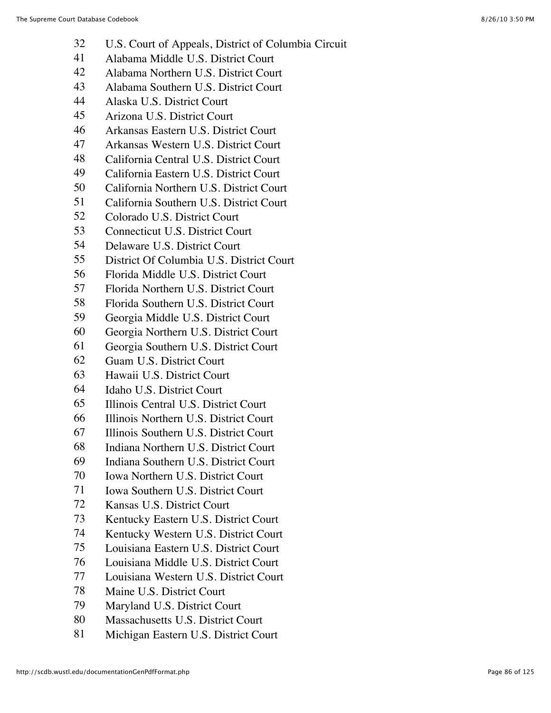- U.S. Court of Appeals, District of Columbia Circuit
- Alabama Middle U.S. District Court
- Alabama Northern U.S. District Court
- Alabama Southern U.S. District Court
- Alaska U.S. District Court
- Arizona U.S. District Court
- Arkansas Eastern U.S. District Court
- Arkansas Western U.S. District Court
- California Central U.S. District Court
- California Eastern U.S. District Court
- California Northern U.S. District Court
- California Southern U.S. District Court
- Colorado U.S. District Court
- Connecticut U.S. District Court
- Delaware U.S. District Court
- District Of Columbia U.S. District Court
- Florida Middle U.S. District Court
- Florida Northern U.S. District Court
- Florida Southern U.S. District Court
- Georgia Middle U.S. District Court
- Georgia Northern U.S. District Court
- Georgia Southern U.S. District Court
- Guam U.S. District Court
- Hawaii U.S. District Court
- Idaho U.S. District Court
- Illinois Central U.S. District Court
- Illinois Northern U.S. District Court
- Illinois Southern U.S. District Court
- Indiana Northern U.S. District Court
- Indiana Southern U.S. District Court
- Iowa Northern U.S. District Court
- Iowa Southern U.S. District Court
- Kansas U.S. District Court
- Kentucky Eastern U.S. District Court
- Kentucky Western U.S. District Court
- Louisiana Eastern U.S. District Court
- Louisiana Middle U.S. District Court
- Louisiana Western U.S. District Court
- Maine U.S. District Court
- Maryland U.S. District Court
- Massachusetts U.S. District Court
- Michigan Eastern U.S. District Court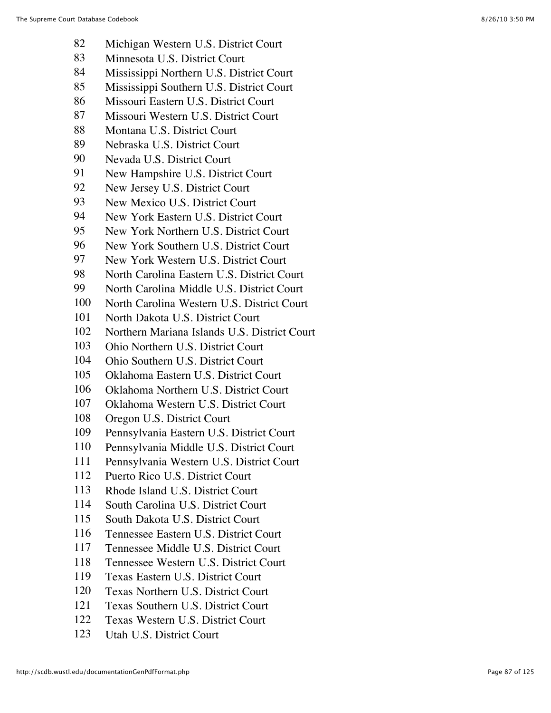- Michigan Western U.S. District Court
- Minnesota U.S. District Court
- Mississippi Northern U.S. District Court
- Mississippi Southern U.S. District Court
- Missouri Eastern U.S. District Court
- Missouri Western U.S. District Court
- Montana U.S. District Court
- Nebraska U.S. District Court
- Nevada U.S. District Court
- New Hampshire U.S. District Court
- New Jersey U.S. District Court
- New Mexico U.S. District Court
- New York Eastern U.S. District Court
- New York Northern U.S. District Court
- New York Southern U.S. District Court
- New York Western U.S. District Court
- North Carolina Eastern U.S. District Court
- North Carolina Middle U.S. District Court
- North Carolina Western U.S. District Court
- North Dakota U.S. District Court
- Northern Mariana Islands U.S. District Court
- Ohio Northern U.S. District Court
- Ohio Southern U.S. District Court
- Oklahoma Eastern U.S. District Court
- Oklahoma Northern U.S. District Court
- Oklahoma Western U.S. District Court
- Oregon U.S. District Court
- Pennsylvania Eastern U.S. District Court
- Pennsylvania Middle U.S. District Court
- Pennsylvania Western U.S. District Court
- Puerto Rico U.S. District Court
- Rhode Island U.S. District Court
- South Carolina U.S. District Court
- South Dakota U.S. District Court
- Tennessee Eastern U.S. District Court
- Tennessee Middle U.S. District Court
- Tennessee Western U.S. District Court
- Texas Eastern U.S. District Court
- Texas Northern U.S. District Court
- Texas Southern U.S. District Court
- Texas Western U.S. District Court
- Utah U.S. District Court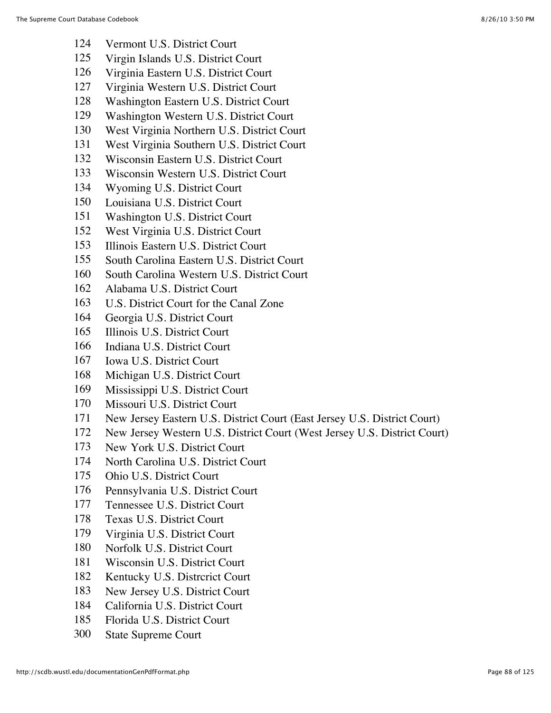- Vermont U.S. District Court
- Virgin Islands U.S. District Court
- Virginia Eastern U.S. District Court
- Virginia Western U.S. District Court
- Washington Eastern U.S. District Court
- Washington Western U.S. District Court
- West Virginia Northern U.S. District Court
- West Virginia Southern U.S. District Court
- Wisconsin Eastern U.S. District Court
- Wisconsin Western U.S. District Court
- Wyoming U.S. District Court
- Louisiana U.S. District Court
- Washington U.S. District Court
- West Virginia U.S. District Court
- Illinois Eastern U.S. District Court
- South Carolina Eastern U.S. District Court
- South Carolina Western U.S. District Court
- Alabama U.S. District Court
- U.S. District Court for the Canal Zone
- Georgia U.S. District Court
- Illinois U.S. District Court
- Indiana U.S. District Court
- Iowa U.S. District Court
- Michigan U.S. District Court
- Mississippi U.S. District Court
- Missouri U.S. District Court
- New Jersey Eastern U.S. District Court (East Jersey U.S. District Court)
- New Jersey Western U.S. District Court (West Jersey U.S. District Court)
- New York U.S. District Court
- North Carolina U.S. District Court
- Ohio U.S. District Court
- Pennsylvania U.S. District Court
- Tennessee U.S. District Court
- Texas U.S. District Court
- Virginia U.S. District Court
- Norfolk U.S. District Court
- Wisconsin U.S. District Court
- Kentucky U.S. Distrcrict Court
- New Jersey U.S. District Court
- California U.S. District Court
- Florida U.S. District Court
- State Supreme Court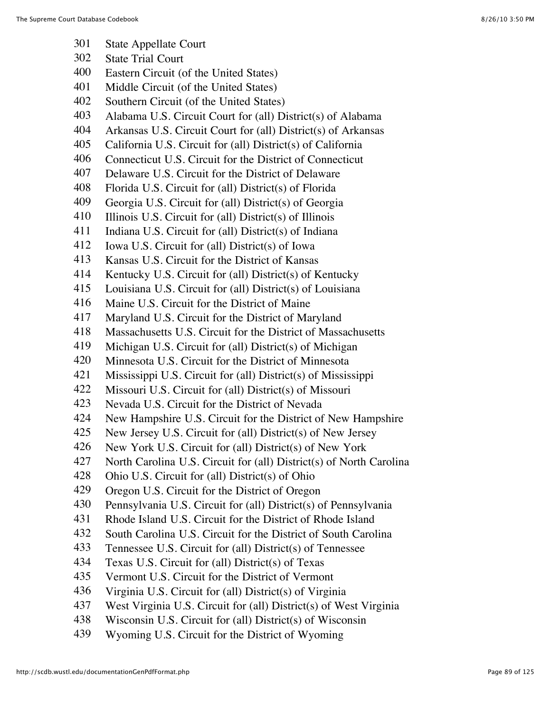- State Appellate Court
- State Trial Court
- Eastern Circuit (of the United States)
- Middle Circuit (of the United States)
- Southern Circuit (of the United States)
- Alabama U.S. Circuit Court for (all) District(s) of Alabama
- Arkansas U.S. Circuit Court for (all) District(s) of Arkansas
- California U.S. Circuit for (all) District(s) of California
- Connecticut U.S. Circuit for the District of Connecticut
- Delaware U.S. Circuit for the District of Delaware
- Florida U.S. Circuit for (all) District(s) of Florida
- Georgia U.S. Circuit for (all) District(s) of Georgia
- Illinois U.S. Circuit for (all) District(s) of Illinois
- Indiana U.S. Circuit for (all) District(s) of Indiana
- Iowa U.S. Circuit for (all) District(s) of Iowa
- Kansas U.S. Circuit for the District of Kansas
- Kentucky U.S. Circuit for (all) District(s) of Kentucky
- Louisiana U.S. Circuit for (all) District(s) of Louisiana
- Maine U.S. Circuit for the District of Maine
- Maryland U.S. Circuit for the District of Maryland
- Massachusetts U.S. Circuit for the District of Massachusetts
- Michigan U.S. Circuit for (all) District(s) of Michigan
- Minnesota U.S. Circuit for the District of Minnesota
- Mississippi U.S. Circuit for (all) District(s) of Mississippi
- Missouri U.S. Circuit for (all) District(s) of Missouri
- Nevada U.S. Circuit for the District of Nevada
- New Hampshire U.S. Circuit for the District of New Hampshire
- New Jersey U.S. Circuit for (all) District(s) of New Jersey
- New York U.S. Circuit for (all) District(s) of New York
- North Carolina U.S. Circuit for (all) District(s) of North Carolina
- Ohio U.S. Circuit for (all) District(s) of Ohio
- Oregon U.S. Circuit for the District of Oregon
- Pennsylvania U.S. Circuit for (all) District(s) of Pennsylvania
- Rhode Island U.S. Circuit for the District of Rhode Island
- South Carolina U.S. Circuit for the District of South Carolina
- Tennessee U.S. Circuit for (all) District(s) of Tennessee
- Texas U.S. Circuit for (all) District(s) of Texas
- Vermont U.S. Circuit for the District of Vermont
- Virginia U.S. Circuit for (all) District(s) of Virginia
- West Virginia U.S. Circuit for (all) District(s) of West Virginia
- Wisconsin U.S. Circuit for (all) District(s) of Wisconsin
- Wyoming U.S. Circuit for the District of Wyoming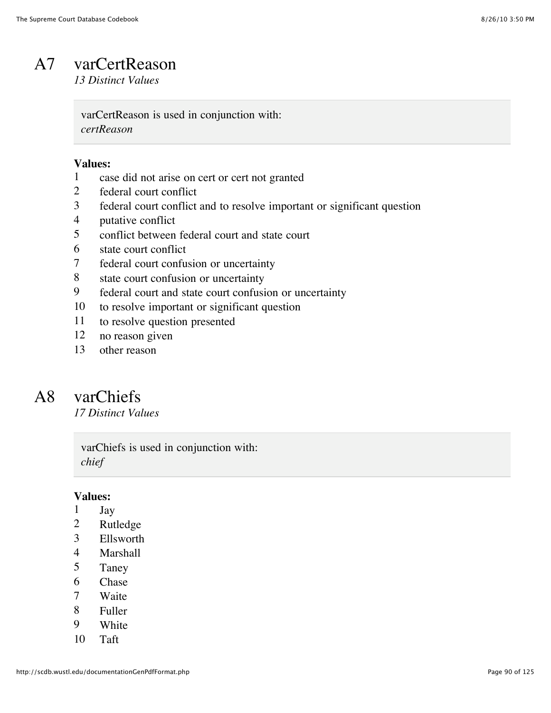# A7 varCertReason

*13 Distinct Values*

varCertReason is used in conjunction with: *certReason*

#### **Values:**

- case did not arise on cert or cert not granted
- federal court conflict
- federal court conflict and to resolve important or significant question
- putative conflict
- conflict between federal court and state court
- state court conflict
- federal court confusion or uncertainty
- state court confusion or uncertainty
- federal court and state court confusion or uncertainty
- to resolve important or significant question
- to resolve question presented
- no reason given
- other reason

### A8 varChiefs

*17 Distinct Values*

varChiefs is used in conjunction with: *chief*

- Jay
- Rutledge
- Ellsworth
- Marshall
- Taney
- Chase
- Waite
- Fuller
- White
- Taft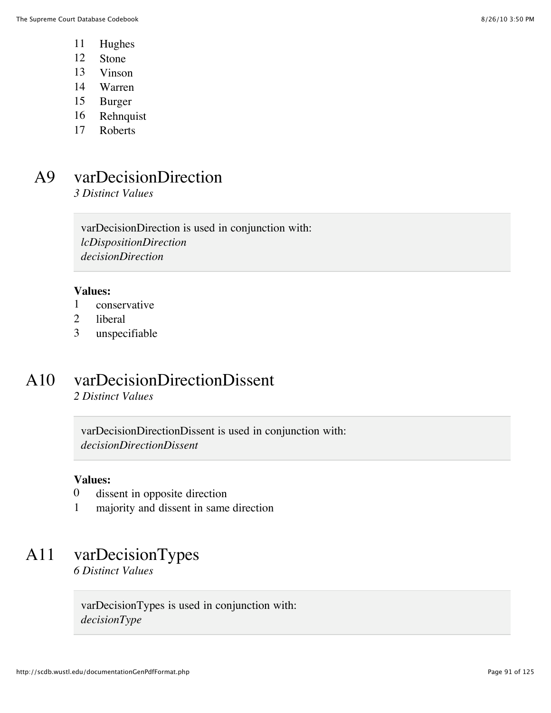- 11 Hughes
- 12 Stone
- 13 Vinson
- 14 Warren
- 15 Burger
- 16 Rehnquist
- 17 Roberts

### A9 varDecisionDirection

*3 Distinct Values*

varDecisionDirection is used in conjunction with: *lcDispositionDirection decisionDirection*

#### **Values:**

- 1 conservative
- 2 liberal
- 3 unspecifiable

### A10 varDecisionDirectionDissent

*2 Distinct Values*

varDecisionDirectionDissent is used in conjunction with: *decisionDirectionDissent*

#### **Values:**

- 0 dissent in opposite direction
- 1 majority and dissent in same direction

### A11 varDecisionTypes

*6 Distinct Values*

varDecisionTypes is used in conjunction with: *decisionType*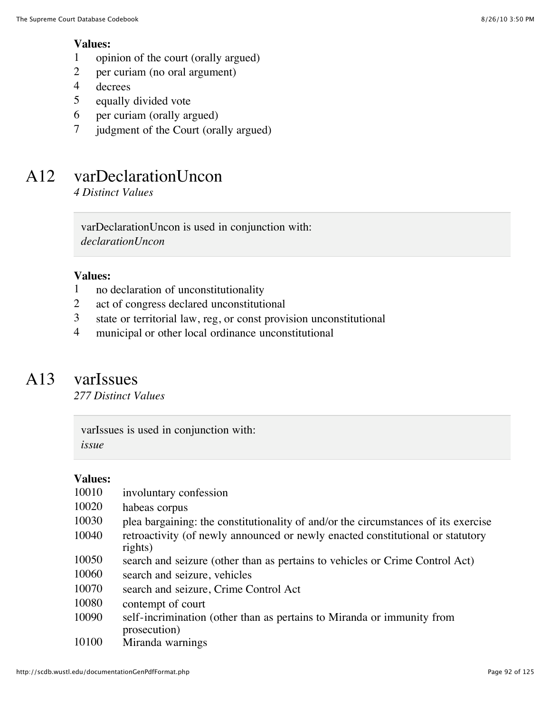#### **Values:**

- 1 opinion of the court (orally argued)
- 2 per curiam (no oral argument)
- 4 decrees
- 5 equally divided vote
- 6 per curiam (orally argued)
- 7 judgment of the Court (orally argued)

## A12 varDeclarationUncon

*4 Distinct Values*

varDeclarationUncon is used in conjunction with: *declarationUncon*

#### **Values:**

- 1 no declaration of unconstitutionality
- 2 act of congress declared unconstitutional
- 3 state or territorial law, reg, or const provision unconstitutional
- 4 municipal or other local ordinance unconstitutional

### A13 varIssues

*277 Distinct Values*

varIssues is used in conjunction with: *issue*

#### **Values:**

| 10010 | involuntary confession                                                                    |
|-------|-------------------------------------------------------------------------------------------|
| 10020 | habeas corpus                                                                             |
| 10030 | plea bargaining: the constitutionality of and/or the circumstances of its exercise        |
| 10040 | retroactivity (of newly announced or newly enacted constitutional or statutory<br>rights) |
| 10050 | search and seizure (other than as pertains to vehicles or Crime Control Act)              |
| 10060 | search and seizure, vehicles                                                              |
| 10070 | search and seizure, Crime Control Act                                                     |
| 10080 | contempt of court                                                                         |
| 10090 | self-incrimination (other than as pertains to Miranda or immunity from<br>prosecution)    |
| 10100 | Miranda warnings                                                                          |

http://scdb.wustl.edu/documentationGenPdfFormat.php **Page 92** of 125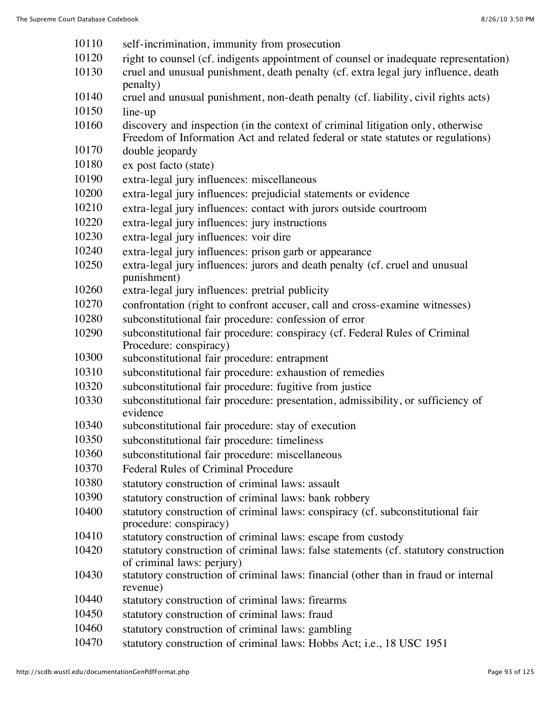- self-incrimination, immunity from prosecution
- right to counsel (cf. indigents appointment of counsel or inadequate representation)
- cruel and unusual punishment, death penalty (cf. extra legal jury influence, death penalty)
- cruel and unusual punishment, non-death penalty (cf. liability, civil rights acts)
- line-up
- discovery and inspection (in the context of criminal litigation only, otherwise Freedom of Information Act and related federal or state statutes or regulations)
- double jeopardy
- ex post facto (state)
- extra-legal jury influences: miscellaneous
- extra-legal jury influences: prejudicial statements or evidence
- extra-legal jury influences: contact with jurors outside courtroom
- extra-legal jury influences: jury instructions
- extra-legal jury influences: voir dire
- extra-legal jury influences: prison garb or appearance
- extra-legal jury influences: jurors and death penalty (cf. cruel and unusual punishment)
- extra-legal jury influences: pretrial publicity
- confrontation (right to confront accuser, call and cross-examine witnesses)
- subconstitutional fair procedure: confession of error
- subconstitutional fair procedure: conspiracy (cf. Federal Rules of Criminal Procedure: conspiracy)
- subconstitutional fair procedure: entrapment
- subconstitutional fair procedure: exhaustion of remedies
- subconstitutional fair procedure: fugitive from justice
- subconstitutional fair procedure: presentation, admissibility, or sufficiency of evidence
- subconstitutional fair procedure: stay of execution
- subconstitutional fair procedure: timeliness
- subconstitutional fair procedure: miscellaneous
- Federal Rules of Criminal Procedure
- statutory construction of criminal laws: assault
- statutory construction of criminal laws: bank robbery
- statutory construction of criminal laws: conspiracy (cf. subconstitutional fair procedure: conspiracy)
- statutory construction of criminal laws: escape from custody
- statutory construction of criminal laws: false statements (cf. statutory construction of criminal laws: perjury)
- statutory construction of criminal laws: financial (other than in fraud or internal revenue)
- statutory construction of criminal laws: firearms
- statutory construction of criminal laws: fraud
- statutory construction of criminal laws: gambling
- statutory construction of criminal laws: Hobbs Act; i.e., 18 USC 1951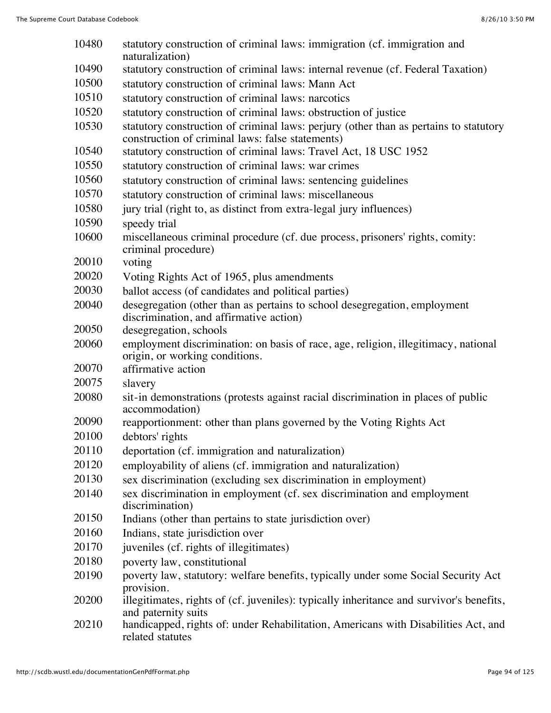| 10480 | statutory construction of criminal laws: immigration (cf. immigration and<br>naturalization)                                              |
|-------|-------------------------------------------------------------------------------------------------------------------------------------------|
| 10490 | statutory construction of criminal laws: internal revenue (cf. Federal Taxation)                                                          |
| 10500 | statutory construction of criminal laws: Mann Act                                                                                         |
| 10510 | statutory construction of criminal laws: narcotics                                                                                        |
| 10520 | statutory construction of criminal laws: obstruction of justice                                                                           |
| 10530 | statutory construction of criminal laws: perjury (other than as pertains to statutory<br>construction of criminal laws: false statements) |
| 10540 | statutory construction of criminal laws: Travel Act, 18 USC 1952                                                                          |
| 10550 | statutory construction of criminal laws: war crimes                                                                                       |
| 10560 | statutory construction of criminal laws: sentencing guidelines                                                                            |
| 10570 | statutory construction of criminal laws: miscellaneous                                                                                    |
| 10580 | jury trial (right to, as distinct from extra-legal jury influences)                                                                       |
| 10590 | speedy trial                                                                                                                              |
| 10600 | miscellaneous criminal procedure (cf. due process, prisoners' rights, comity:<br>criminal procedure)                                      |
| 20010 | voting                                                                                                                                    |
| 20020 | Voting Rights Act of 1965, plus amendments                                                                                                |
| 20030 | ballot access (of candidates and political parties)                                                                                       |
| 20040 | desegregation (other than as pertains to school desegregation, employment<br>discrimination, and affirmative action)                      |
| 20050 | desegregation, schools                                                                                                                    |
| 20060 | employment discrimination: on basis of race, age, religion, illegitimacy, national<br>origin, or working conditions.                      |
| 20070 | affirmative action                                                                                                                        |
| 20075 | slavery                                                                                                                                   |
| 20080 | sit-in demonstrations (protests against racial discrimination in places of public<br>accommodation)                                       |
| 20090 | reapportionment: other than plans governed by the Voting Rights Act                                                                       |
| 20100 | debtors' rights                                                                                                                           |
| 20110 | deportation (cf. immigration and naturalization)                                                                                          |
| 20120 | employability of aliens (cf. immigration and naturalization)                                                                              |
| 20130 | sex discrimination (excluding sex discrimination in employment)                                                                           |
| 20140 | sex discrimination in employment (cf. sex discrimination and employment<br>discrimination)                                                |
| 20150 | Indians (other than pertains to state jurisdiction over)                                                                                  |
| 20160 | Indians, state jurisdiction over                                                                                                          |
| 20170 | juveniles (cf. rights of illegitimates)                                                                                                   |
| 20180 | poverty law, constitutional                                                                                                               |
| 20190 | poverty law, statutory: welfare benefits, typically under some Social Security Act<br>provision.                                          |
| 20200 | illegitimates, rights of (cf. juveniles): typically inheritance and survivor's benefits,<br>and paternity suits                           |
| 20210 | handicapped, rights of: under Rehabilitation, Americans with Disabilities Act, and                                                        |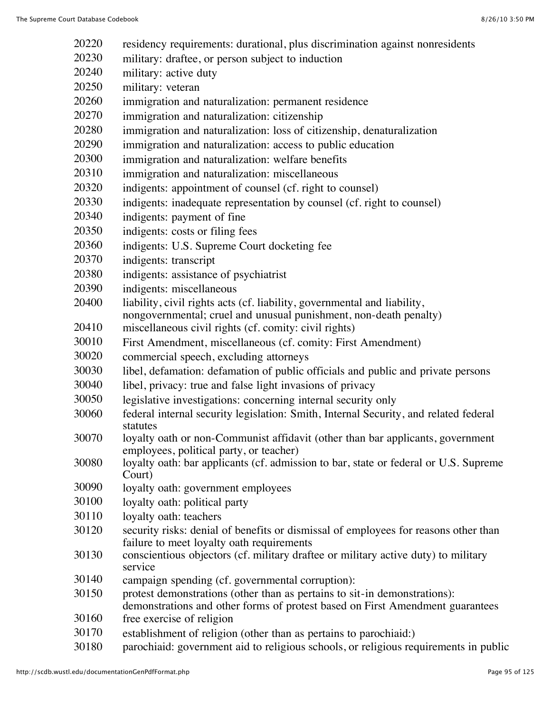| 20220 | residency requirements: durational, plus discrimination against nonresidents                  |
|-------|-----------------------------------------------------------------------------------------------|
| 20230 | military: draftee, or person subject to induction                                             |
| 20240 | military: active duty                                                                         |
| 20250 | military: veteran                                                                             |
| 20260 | immigration and naturalization: permanent residence                                           |
| 20270 | immigration and naturalization: citizenship                                                   |
| 20280 | immigration and naturalization: loss of citizenship, denaturalization                         |
| 20290 | immigration and naturalization: access to public education                                    |
| 20300 | immigration and naturalization: welfare benefits                                              |
| 20310 | immigration and naturalization: miscellaneous                                                 |
| 20320 | indigents: appointment of counsel (cf. right to counsel)                                      |
| 20330 | indigents: inadequate representation by counsel (cf. right to counsel)                        |
| 20340 | indigents: payment of fine                                                                    |
| 20350 | indigents: costs or filing fees                                                               |
| 20360 | indigents: U.S. Supreme Court docketing fee                                                   |
| 20370 | indigents: transcript                                                                         |
| 20380 | indigents: assistance of psychiatrist                                                         |
| 20390 | indigents: miscellaneous                                                                      |
| 20400 | liability, civil rights acts (cf. liability, governmental and liability,                      |
|       | nongovernmental; cruel and unusual punishment, non-death penalty)                             |
| 20410 | miscellaneous civil rights (cf. comity: civil rights)                                         |
| 30010 | First Amendment, miscellaneous (cf. comity: First Amendment)                                  |
| 30020 | commercial speech, excluding attorneys                                                        |
| 30030 | libel, defamation: defamation of public officials and public and private persons              |
| 30040 | libel, privacy: true and false light invasions of privacy                                     |
| 30050 | legislative investigations: concerning internal security only                                 |
| 30060 | federal internal security legislation: Smith, Internal Security, and related federal          |
| 30070 | statutes<br>loyalty oath or non-Communist affidavit (other than bar applicants, government    |
|       | employees, political party, or teacher)                                                       |
| 30080 | loyalty oath: bar applicants (cf. admission to bar, state or federal or U.S. Supreme          |
|       | Court)                                                                                        |
| 30090 | loyalty oath: government employees                                                            |
| 30100 | loyalty oath: political party                                                                 |
| 30110 | loyalty oath: teachers                                                                        |
| 30120 | security risks: denial of benefits or dismissal of employees for reasons other than           |
|       | failure to meet loyalty oath requirements                                                     |
| 30130 | conscientious objectors (cf. military draftee or military active duty) to military<br>service |
| 30140 | campaign spending (cf. governmental corruption):                                              |
| 30150 | protest demonstrations (other than as pertains to sit-in demonstrations):                     |
|       | demonstrations and other forms of protest based on First Amendment guarantees                 |
| 30160 | free exercise of religion                                                                     |
| 30170 | establishment of religion (other than as pertains to parochiaid:)                             |

parochiaid: government aid to religious schools, or religious requirements in public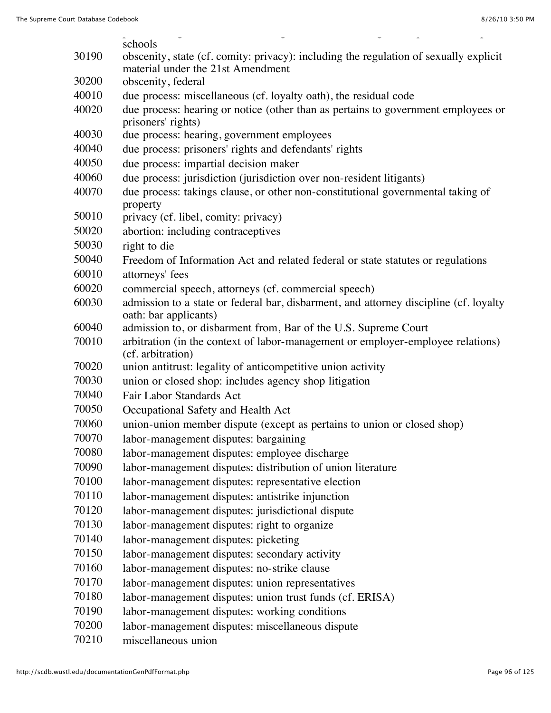|       | schools                                                                                                                    |
|-------|----------------------------------------------------------------------------------------------------------------------------|
| 30190 | obscenity, state (cf. comity: privacy): including the regulation of sexually explicit<br>material under the 21st Amendment |
| 30200 | obscenity, federal                                                                                                         |
| 40010 | due process: miscellaneous (cf. loyalty oath), the residual code                                                           |
| 40020 | due process: hearing or notice (other than as pertains to government employees or                                          |
|       | prisoners' rights)                                                                                                         |
| 40030 | due process: hearing, government employees                                                                                 |
| 40040 | due process: prisoners' rights and defendants' rights                                                                      |
| 40050 | due process: impartial decision maker                                                                                      |
| 40060 | due process: jurisdiction (jurisdiction over non-resident litigants)                                                       |
| 40070 | due process: takings clause, or other non-constitutional governmental taking of<br>property                                |
| 50010 | privacy (cf. libel, comity: privacy)                                                                                       |
| 50020 | abortion: including contraceptives                                                                                         |
| 50030 | right to die                                                                                                               |
| 50040 | Freedom of Information Act and related federal or state statutes or regulations                                            |
| 60010 | attorneys' fees                                                                                                            |
| 60020 | commercial speech, attorneys (cf. commercial speech)                                                                       |
| 60030 | admission to a state or federal bar, disbarment, and attorney discipline (cf. loyalty                                      |
| 60040 | oath: bar applicants)<br>admission to, or disbarment from, Bar of the U.S. Supreme Court                                   |
| 70010 | arbitration (in the context of labor-management or employer-employee relations)                                            |
|       | (cf. arbitration)                                                                                                          |
| 70020 | union antitrust: legality of anticompetitive union activity                                                                |
| 70030 | union or closed shop: includes agency shop litigation                                                                      |
| 70040 | Fair Labor Standards Act                                                                                                   |
| 70050 | Occupational Safety and Health Act                                                                                         |
| 70060 | union-union member dispute (except as pertains to union or closed shop)                                                    |
| 70070 | labor-management disputes: bargaining                                                                                      |
| 70080 | labor-management disputes: employee discharge                                                                              |
| 70090 | labor-management disputes: distribution of union literature                                                                |
| 70100 | labor-management disputes: representative election                                                                         |
| 70110 | labor-management disputes: antistrike injunction                                                                           |
| 70120 | labor-management disputes: jurisdictional dispute                                                                          |
| 70130 | labor-management disputes: right to organize                                                                               |
| 70140 | labor-management disputes: picketing                                                                                       |
| 70150 | labor-management disputes: secondary activity                                                                              |
| 70160 | labor-management disputes: no-strike clause                                                                                |
| 70170 | labor-management disputes: union representatives                                                                           |
| 70180 | labor-management disputes: union trust funds (cf. ERISA)                                                                   |
| 70190 | labor-management disputes: working conditions                                                                              |
| 70200 | labor-management disputes: miscellaneous dispute                                                                           |
| 70210 | miscellaneous union                                                                                                        |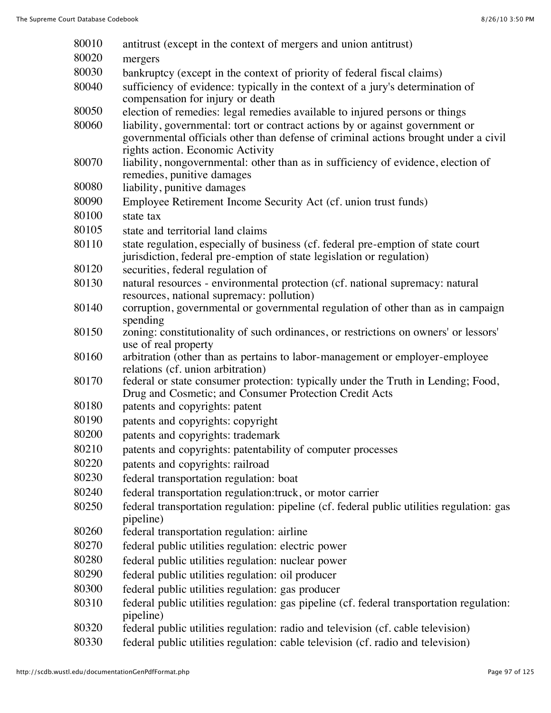| 80010 | antitrust (except in the context of mergers and union antitrust)                                                                                                                                         |
|-------|----------------------------------------------------------------------------------------------------------------------------------------------------------------------------------------------------------|
| 80020 | mergers                                                                                                                                                                                                  |
| 80030 | bankruptcy (except in the context of priority of federal fiscal claims)                                                                                                                                  |
| 80040 | sufficiency of evidence: typically in the context of a jury's determination of                                                                                                                           |
|       | compensation for injury or death                                                                                                                                                                         |
| 80050 | election of remedies: legal remedies available to injured persons or things                                                                                                                              |
| 80060 | liability, governmental: tort or contract actions by or against government or<br>governmental officials other than defense of criminal actions brought under a civil<br>rights action. Economic Activity |
| 80070 | liability, nongovernmental: other than as in sufficiency of evidence, election of                                                                                                                        |
|       | remedies, punitive damages                                                                                                                                                                               |
| 80080 | liability, punitive damages                                                                                                                                                                              |
| 80090 | Employee Retirement Income Security Act (cf. union trust funds)                                                                                                                                          |
| 80100 | state tax                                                                                                                                                                                                |
| 80105 | state and territorial land claims                                                                                                                                                                        |
| 80110 | state regulation, especially of business (cf. federal pre-emption of state court<br>jurisdiction, federal pre-emption of state legislation or regulation)                                                |
| 80120 | securities, federal regulation of                                                                                                                                                                        |
| 80130 | natural resources - environmental protection (cf. national supremacy: natural                                                                                                                            |
| 80140 | resources, national supremacy: pollution)                                                                                                                                                                |
|       | corruption, governmental or governmental regulation of other than as in campaign<br>spending                                                                                                             |
| 80150 | zoning: constitutionality of such ordinances, or restrictions on owners' or lessors'                                                                                                                     |
|       | use of real property                                                                                                                                                                                     |
| 80160 | arbitration (other than as pertains to labor-management or employer-employee<br>relations (cf. union arbitration)                                                                                        |
| 80170 | federal or state consumer protection: typically under the Truth in Lending; Food,<br>Drug and Cosmetic; and Consumer Protection Credit Acts                                                              |
| 80180 | patents and copyrights: patent                                                                                                                                                                           |
| 80190 | patents and copyrights: copyright                                                                                                                                                                        |
| 80200 | patents and copyrights: trademark                                                                                                                                                                        |
| 80210 | patents and copyrights: patentability of computer processes                                                                                                                                              |
| 80220 | patents and copyrights: railroad                                                                                                                                                                         |
| 80230 | federal transportation regulation: boat                                                                                                                                                                  |
| 80240 | federal transportation regulation:truck, or motor carrier                                                                                                                                                |
| 80250 | federal transportation regulation: pipeline (cf. federal public utilities regulation: gas<br>pipeline)                                                                                                   |
| 80260 | federal transportation regulation: airline                                                                                                                                                               |
| 80270 | federal public utilities regulation: electric power                                                                                                                                                      |
| 80280 | federal public utilities regulation: nuclear power                                                                                                                                                       |
| 80290 | federal public utilities regulation: oil producer                                                                                                                                                        |
| 80300 | federal public utilities regulation: gas producer                                                                                                                                                        |
| 80310 | federal public utilities regulation: gas pipeline (cf. federal transportation regulation:                                                                                                                |
|       | pipeline)                                                                                                                                                                                                |
| 80320 | federal public utilities regulation: radio and television (cf. cable television)                                                                                                                         |
| 80330 | federal public utilities regulation: cable television (cf. radio and television)                                                                                                                         |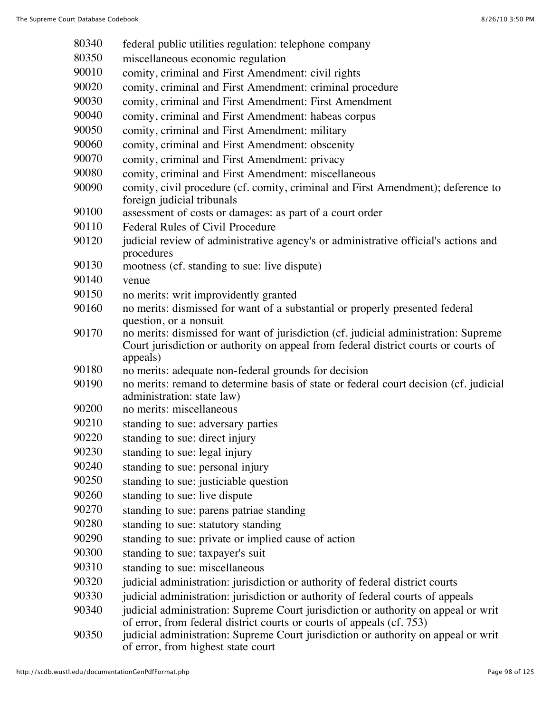federal public utilities regulation: telephone company miscellaneous economic regulation 90010 comity, criminal and First Amendment: civil rights comity, criminal and First Amendment: criminal procedure comity, criminal and First Amendment: First Amendment comity, criminal and First Amendment: habeas corpus comity, criminal and First Amendment: military comity, criminal and First Amendment: obscenity comity, criminal and First Amendment: privacy comity, criminal and First Amendment: miscellaneous comity, civil procedure (cf. comity, criminal and First Amendment); deference to foreign judicial tribunals assessment of costs or damages: as part of a court order Federal Rules of Civil Procedure 90120 judicial review of administrative agency's or administrative official's actions and procedures mootness (cf. standing to sue: live dispute) venue no merits: writ improvidently granted no merits: dismissed for want of a substantial or properly presented federal question, or a nonsuit no merits: dismissed for want of jurisdiction (cf. judicial administration: Supreme Court jurisdiction or authority on appeal from federal district courts or courts of appeals) no merits: adequate non-federal grounds for decision no merits: remand to determine basis of state or federal court decision (cf. judicial administration: state law) no merits: miscellaneous standing to sue: adversary parties standing to sue: direct injury standing to sue: legal injury standing to sue: personal injury standing to sue: justiciable question standing to sue: live dispute standing to sue: parens patriae standing standing to sue: statutory standing standing to sue: private or implied cause of action standing to sue: taxpayer's suit standing to sue: miscellaneous judicial administration: jurisdiction or authority of federal district courts 90330 judicial administration: jurisdiction or authority of federal courts of appeals 90340 judicial administration: Supreme Court jurisdiction or authority on appeal or writ of error, from federal district courts or courts of appeals (cf. 753) 90350 judicial administration: Supreme Court jurisdiction or authority on appeal or writ of error, from highest state court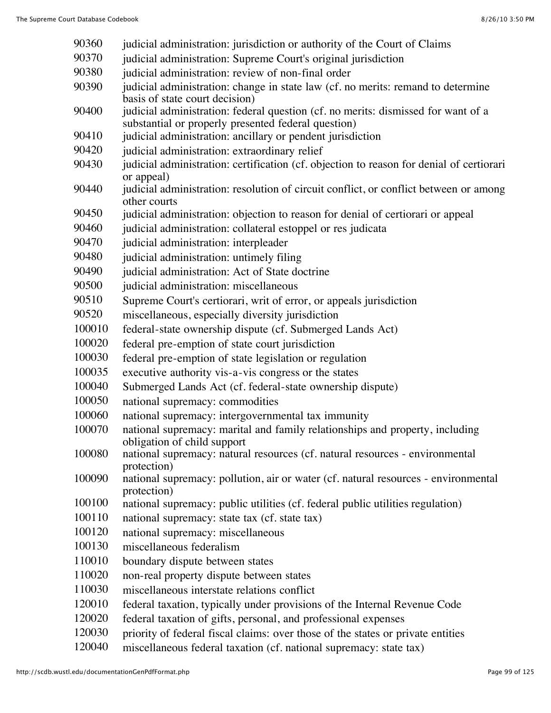- 90360 judicial administration: jurisdiction or authority of the Court of Claims
- 90370 judicial administration: Supreme Court's original jurisdiction
- judicial administration: review of non-final order
- judicial administration: change in state law (cf. no merits: remand to determine basis of state court decision)
- judicial administration: federal question (cf. no merits: dismissed for want of a substantial or properly presented federal question)
- 90410 judicial administration: ancillary or pendent jurisdiction
- judicial administration: extraordinary relief
- 90430 judicial administration: certification (cf. objection to reason for denial of certiorari or appeal)
- 90440 judicial administration: resolution of circuit conflict, or conflict between or among other courts
- judicial administration: objection to reason for denial of certiorari or appeal
- 90460 judicial administration: collateral estoppel or res judicata
- 90470 judicial administration: interpleader
- judicial administration: untimely filing
- judicial administration: Act of State doctrine
- judicial administration: miscellaneous
- Supreme Court's certiorari, writ of error, or appeals jurisdiction
- miscellaneous, especially diversity jurisdiction
- federal-state ownership dispute (cf. Submerged Lands Act)
- federal pre-emption of state court jurisdiction
- federal pre-emption of state legislation or regulation
- executive authority vis-a-vis congress or the states
- Submerged Lands Act (cf. federal-state ownership dispute)
- national supremacy: commodities
- national supremacy: intergovernmental tax immunity
- national supremacy: marital and family relationships and property, including obligation of child support
- national supremacy: natural resources (cf. natural resources environmental protection)
- national supremacy: pollution, air or water (cf. natural resources environmental protection)
- national supremacy: public utilities (cf. federal public utilities regulation)
- national supremacy: state tax (cf. state tax)
- national supremacy: miscellaneous
- miscellaneous federalism
- boundary dispute between states
- non-real property dispute between states
- miscellaneous interstate relations conflict
- federal taxation, typically under provisions of the Internal Revenue Code
- federal taxation of gifts, personal, and professional expenses
- priority of federal fiscal claims: over those of the states or private entities
- miscellaneous federal taxation (cf. national supremacy: state tax)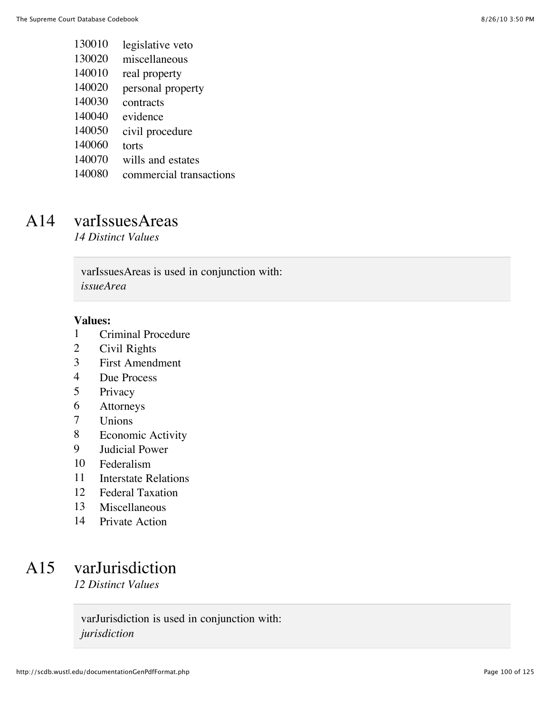- legislative veto
- miscellaneous
- real property
- personal property
- contracts
- evidence
- civil procedure
- torts
- wills and estates
- commercial transactions

### A14 varIssuesAreas

*14 Distinct Values*

varIssuesAreas is used in conjunction with: *issueArea*

#### **Values:**

- 1 Criminal Procedure<br>2 Civil Rights
- Civil Rights
- First Amendment
- Due Process
- Privacy
- Attorneys
- Unions
- Economic Activity
- Judicial Power
- Federalism
- Interstate Relations
- Federal Taxation
- Miscellaneous
- Private Action

### A15 varJurisdiction

*12 Distinct Values*

varJurisdiction is used in conjunction with: *jurisdiction*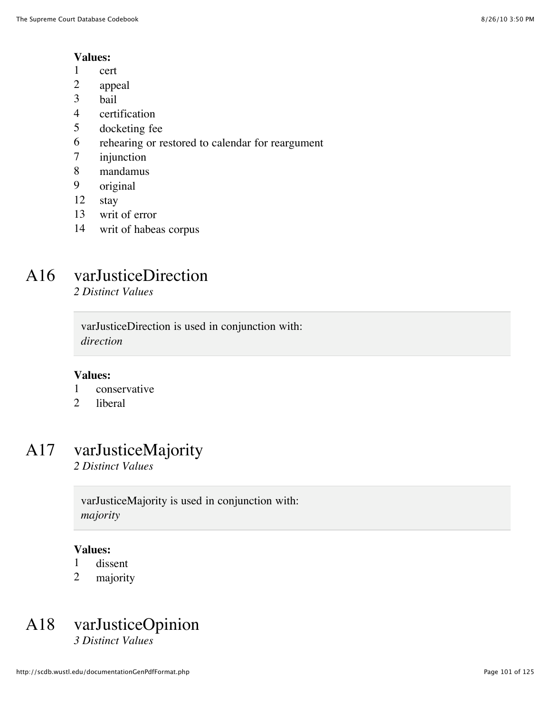#### **Values:**

- 1 cert
- 2 appeal
- 3 bail
- 4 certification
- 5 docketing fee
- 6 rehearing or restored to calendar for reargument
- 7 injunction
- 8 mandamus
- 9 original
- 12 stay
- 13 writ of error
- 14 writ of habeas corpus

## A16 varJusticeDirection

*2 Distinct Values*

varJusticeDirection is used in conjunction with: *direction*

#### **Values:**

- 1 conservative
- 2 liberal

## A17 varJusticeMajority

*2 Distinct Values*

varJusticeMajority is used in conjunction with: *majority*

#### **Values:**

- 1 dissent
- 2 majority

### A18 varJusticeOpinion *3 Distinct Values*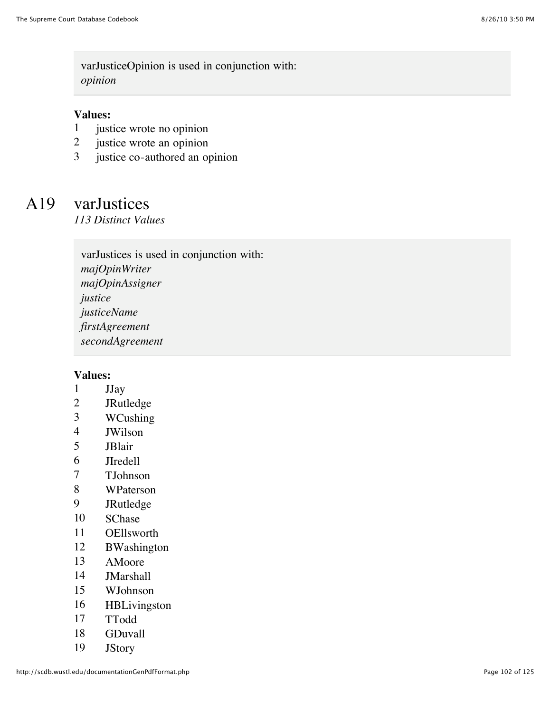varJusticeOpinion is used in conjunction with: *opinion*

#### **Values:**

- 1 justice wrote no opinion
- 2 justice wrote an opinion
- 3 justice co-authored an opinion

## A19 varJustices

*113 Distinct Values*

varJustices is used in conjunction with: *majOpinWriter majOpinAssigner justice justiceName firstAgreement secondAgreement*

- 1 JJay
- 2 JRutledge
- 3 WCushing
- 4 JWilson
- 5 JBlair
- 6 JIredell
- 7 TJohnson
- 8 WPaterson
- 9 JRutledge
- 10 SChase
- 11 OEllsworth
- 12 BWashington
- 13 AMoore
- 14 JMarshall
- 15 WJohnson
- 16 HBLivingston
- 17 TTodd
- 18 GDuvall
- 19 JStory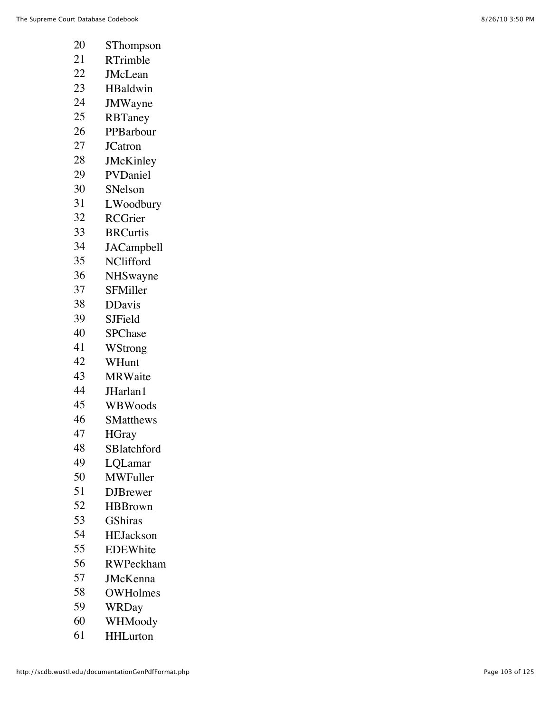- SThompson
- RTrimble
- JMcLean
- HBaldwin
- JMWayne
- RBTaney
- PPBarbour
- JCatron
- JMcKinley
- PVDaniel
- SNelson
- LWoodbury
- RCGrier
- BRCurtis
- JACampbell
- NClifford
- NHSwayne
- SFMiller
- DDavis
- SJField
- SPChase
- WStrong
- WHunt
- MRWaite
- JHarlan1
- WBWoods
- SMatthews
- HGray
- SBlatchford
- LQLamar
- MWFuller
- DJBrewer
- HBBrown
- GShiras
- HEJackson
- EDEWhite
- RWPeckham
- JMcKenna
- OWHolmes
- WRDay
- WHMoody
- HHLurton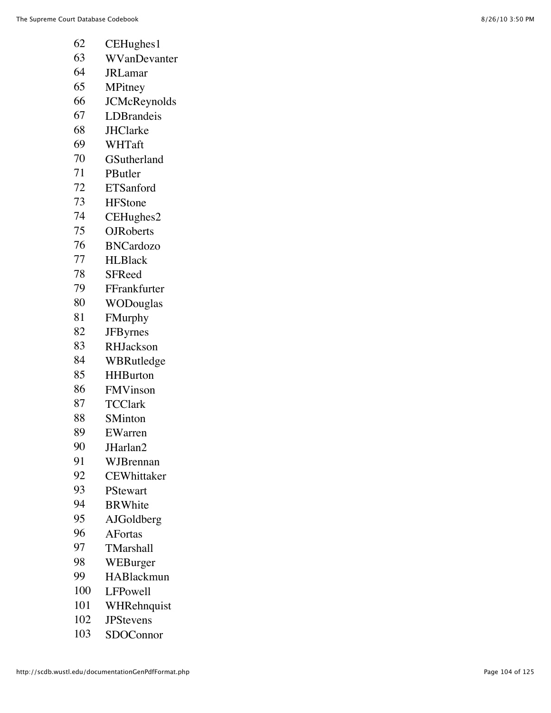- CEHughes1
- WVanDevanter
- JRLamar
- MPitney
- JCMcReynolds
- LDBrandeis
- JHClarke
- WHTaft
- GSutherland
- PButler
- ETSanford
- HFStone
- CEHughes2
- OJRoberts
- BNCardozo
- HLBlack
- SFReed
- FFrankfurter
- WODouglas
- FMurphy
- JFByrnes
- RHJackson
- WBRutledge
- HHBurton
- FMVinson
- TCClark
- SMinton
- EWarren
- JHarlan2
- WJBrennan
- CEWhittaker
- PStewart
- BRWhite
- AJGoldberg
- AFortas
- TMarshall
- WEBurger
- HABlackmun
- LFPowell
- WHRehnquist
- JPStevens
- SDOConnor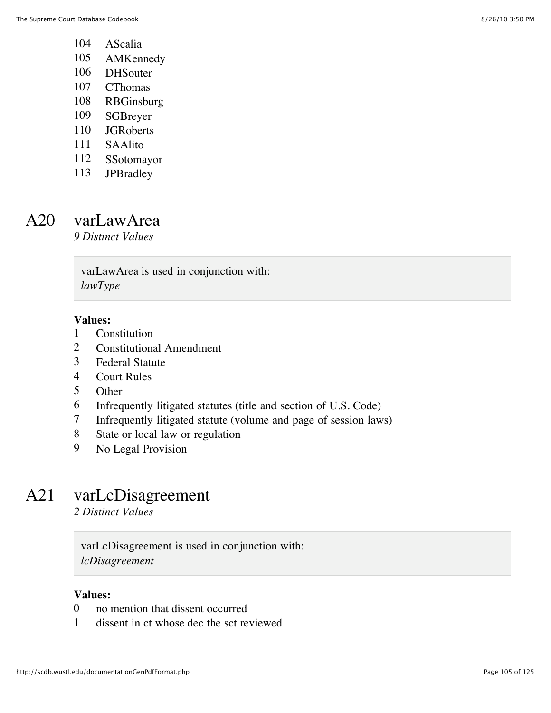- AScalia
- AMKennedy
- DHSouter
- CThomas
- RBGinsburg
- SGBreyer
- JGRoberts
- SAAlito
- SSotomayor
- JPBradley

### A20 varLawArea

*9 Distinct Values*

varLawArea is used in conjunction with: *lawType*

#### **Values:**

- Constitution
- Constitutional Amendment
- Federal Statute
- Court Rules
- Other
- Infrequently litigated statutes (title and section of U.S. Code)
- Infrequently litigated statute (volume and page of session laws)
- State or local law or regulation
- No Legal Provision

### A21 varLcDisagreement

*2 Distinct Values*

varLcDisagreement is used in conjunction with: *lcDisagreement*

- no mention that dissent occurred
- dissent in ct whose dec the sct reviewed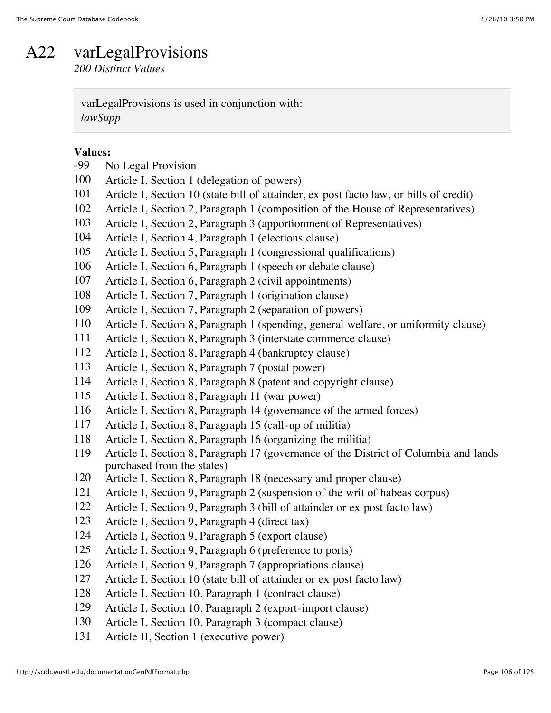### A22 varLegalProvisions

*200 Distinct Values*

varLegalProvisions is used in conjunction with: *lawSupp*

# **Values:**<br>-99 N

| -99 | No Legal Provision                                                                     |
|-----|----------------------------------------------------------------------------------------|
| 100 | Article I, Section 1 (delegation of powers)                                            |
| 101 | Article I, Section 10 (state bill of attainder, ex post facto law, or bills of credit) |
| 102 | Article I, Section 2, Paragraph 1 (composition of the House of Representatives)        |
| 103 | Article I, Section 2, Paragraph 3 (apportionment of Representatives)                   |
| 104 | Article I, Section 4, Paragraph 1 (elections clause)                                   |
| 105 | Article I, Section 5, Paragraph 1 (congressional qualifications)                       |
| 106 | Article I, Section 6, Paragraph 1 (speech or debate clause)                            |
| 107 | Article I, Section 6, Paragraph 2 (civil appointments)                                 |
| 108 | Article I, Section 7, Paragraph 1 (origination clause)                                 |
| 109 | Article I, Section 7, Paragraph 2 (separation of powers)                               |
| 110 | Article I, Section 8, Paragraph 1 (spending, general welfare, or uniformity clause)    |
| 111 | Article I, Section 8, Paragraph 3 (interstate commerce clause)                         |
| 112 | Article I, Section 8, Paragraph 4 (bankruptcy clause)                                  |
| 113 | Article I, Section 8, Paragraph 7 (postal power)                                       |
| 114 | Article I, Section 8, Paragraph 8 (patent and copyright clause)                        |
| 115 | Article I, Section 8, Paragraph 11 (war power)                                         |
| 116 | Article I, Section 8, Paragraph 14 (governance of the armed forces)                    |
| 117 | Article I, Section 8, Paragraph 15 (call-up of militia)                                |
| 118 | Article I, Section 8, Paragraph 16 (organizing the militia)                            |
| 119 | Article I, Section 8, Paragraph 17 (governance of the District of Columbia and lands   |
|     | purchased from the states)                                                             |
| 120 | Article I, Section 8, Paragraph 18 (necessary and proper clause)                       |
| 121 | Article I, Section 9, Paragraph 2 (suspension of the writ of habeas corpus)            |
| 122 | Article I, Section 9, Paragraph 3 (bill of attainder or ex post facto law)             |
| 123 | Article I, Section 9, Paragraph 4 (direct tax)                                         |
| 124 | Article I, Section 9, Paragraph 5 (export clause)                                      |
| 125 | Article I, Section 9, Paragraph 6 (preference to ports)                                |
| 126 | Article I, Section 9, Paragraph 7 (appropriations clause)                              |
| 127 | Article I, Section 10 (state bill of attainder or ex post facto law)                   |
| 128 | Article I, Section 10, Paragraph 1 (contract clause)                                   |
| 129 | Article I, Section 10, Paragraph 2 (export-import clause)                              |
| 130 | Article I, Section 10, Paragraph 3 (compact clause)                                    |
| 131 | Article II, Section 1 (executive power)                                                |
|     |                                                                                        |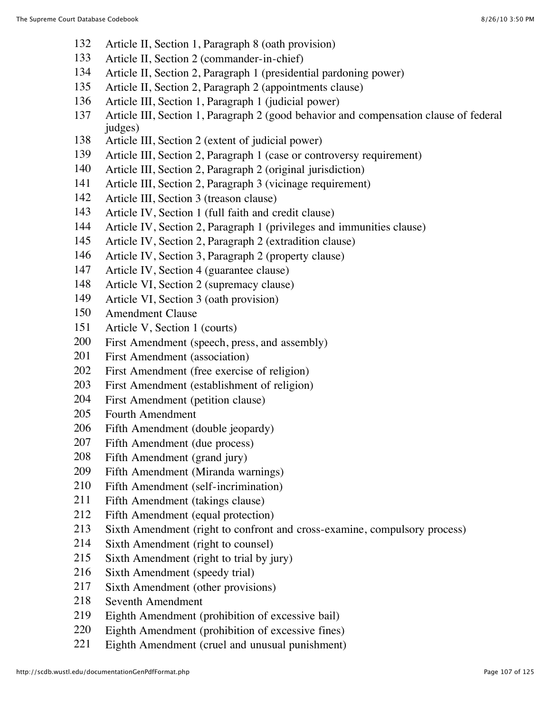- Article II, Section 1, Paragraph 8 (oath provision)
- Article II, Section 2 (commander-in-chief)
- Article II, Section 2, Paragraph 1 (presidential pardoning power)
- Article II, Section 2, Paragraph 2 (appointments clause)
- Article III, Section 1, Paragraph 1 (judicial power)
- Article III, Section 1, Paragraph 2 (good behavior and compensation clause of federal judges)
- Article III, Section 2 (extent of judicial power)
- Article III, Section 2, Paragraph 1 (case or controversy requirement)
- Article III, Section 2, Paragraph 2 (original jurisdiction)
- Article III, Section 2, Paragraph 3 (vicinage requirement)
- Article III, Section 3 (treason clause)
- Article IV, Section 1 (full faith and credit clause)
- Article IV, Section 2, Paragraph 1 (privileges and immunities clause)
- Article IV, Section 2, Paragraph 2 (extradition clause)
- Article IV, Section 3, Paragraph 2 (property clause)
- Article IV, Section 4 (guarantee clause)
- Article VI, Section 2 (supremacy clause)
- Article VI, Section 3 (oath provision)
- Amendment Clause
- Article V, Section 1 (courts)
- First Amendment (speech, press, and assembly)
- First Amendment (association)
- First Amendment (free exercise of religion)
- First Amendment (establishment of religion)
- First Amendment (petition clause)
- Fourth Amendment
- Fifth Amendment (double jeopardy)
- Fifth Amendment (due process)
- Fifth Amendment (grand jury)
- Fifth Amendment (Miranda warnings)
- Fifth Amendment (self-incrimination)
- Fifth Amendment (takings clause)
- Fifth Amendment (equal protection)
- Sixth Amendment (right to confront and cross-examine, compulsory process)
- Sixth Amendment (right to counsel)
- Sixth Amendment (right to trial by jury)
- Sixth Amendment (speedy trial)
- Sixth Amendment (other provisions)
- Seventh Amendment
- Eighth Amendment (prohibition of excessive bail)
- Eighth Amendment (prohibition of excessive fines)
- Eighth Amendment (cruel and unusual punishment)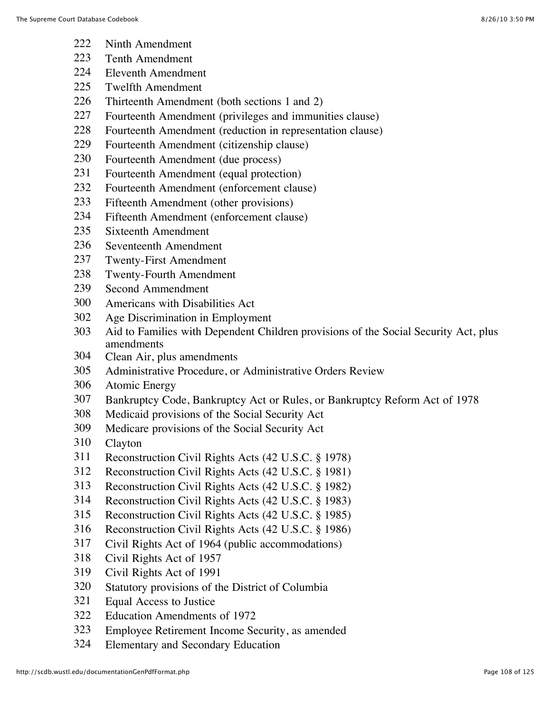- Ninth Amendment
- Tenth Amendment
- Eleventh Amendment
- Twelfth Amendment
- Thirteenth Amendment (both sections 1 and 2)
- Fourteenth Amendment (privileges and immunities clause)
- Fourteenth Amendment (reduction in representation clause)
- Fourteenth Amendment (citizenship clause)
- Fourteenth Amendment (due process)
- Fourteenth Amendment (equal protection)
- Fourteenth Amendment (enforcement clause)
- Fifteenth Amendment (other provisions)
- Fifteenth Amendment (enforcement clause)
- Sixteenth Amendment
- Seventeenth Amendment
- Twenty-First Amendment
- Twenty-Fourth Amendment
- Second Ammendment
- Americans with Disabilities Act
- Age Discrimination in Employment
- Aid to Families with Dependent Children provisions of the Social Security Act, plus amendments
- Clean Air, plus amendments
- Administrative Procedure, or Administrative Orders Review
- Atomic Energy
- Bankruptcy Code, Bankruptcy Act or Rules, or Bankruptcy Reform Act of 1978
- Medicaid provisions of the Social Security Act
- Medicare provisions of the Social Security Act
- Clayton
- Reconstruction Civil Rights Acts (42 U.S.C. § 1978)
- Reconstruction Civil Rights Acts (42 U.S.C. § 1981)
- Reconstruction Civil Rights Acts (42 U.S.C. § 1982)
- Reconstruction Civil Rights Acts (42 U.S.C. § 1983)
- Reconstruction Civil Rights Acts (42 U.S.C. § 1985)
- Reconstruction Civil Rights Acts (42 U.S.C. § 1986)
- Civil Rights Act of 1964 (public accommodations)
- Civil Rights Act of 1957
- Civil Rights Act of 1991
- Statutory provisions of the District of Columbia
- Equal Access to Justice
- Education Amendments of 1972
- Employee Retirement Income Security, as amended
- Elementary and Secondary Education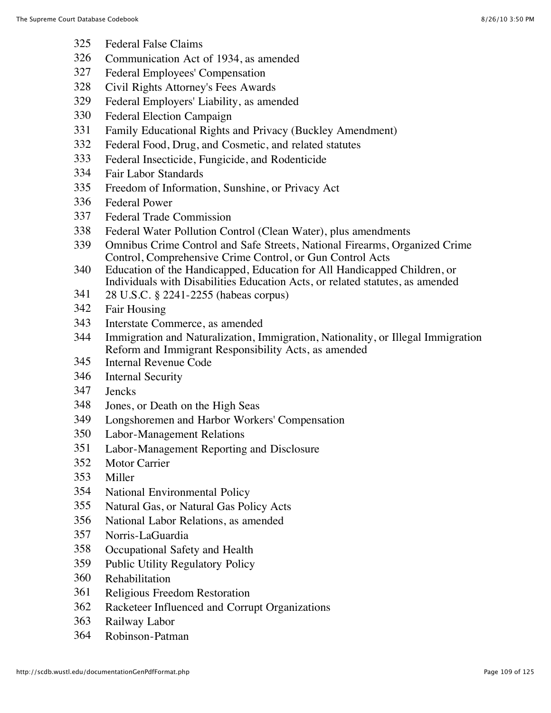- Federal False Claims
- Communication Act of 1934, as amended
- Federal Employees' Compensation
- Civil Rights Attorney's Fees Awards
- Federal Employers' Liability, as amended
- Federal Election Campaign
- Family Educational Rights and Privacy (Buckley Amendment)
- Federal Food, Drug, and Cosmetic, and related statutes
- Federal Insecticide, Fungicide, and Rodenticide
- Fair Labor Standards
- Freedom of Information, Sunshine, or Privacy Act
- Federal Power
- Federal Trade Commission
- Federal Water Pollution Control (Clean Water), plus amendments
- Omnibus Crime Control and Safe Streets, National Firearms, Organized Crime Control, Comprehensive Crime Control, or Gun Control Acts
- Education of the Handicapped, Education for All Handicapped Children, or Individuals with Disabilities Education Acts, or related statutes, as amended
- 28 U.S.C. § 2241-2255 (habeas corpus)
- Fair Housing
- Interstate Commerce, as amended
- Immigration and Naturalization, Immigration, Nationality, or Illegal Immigration Reform and Immigrant Responsibility Acts, as amended
- Internal Revenue Code
- Internal Security
- Jencks
- Jones, or Death on the High Seas
- Longshoremen and Harbor Workers' Compensation
- Labor-Management Relations
- Labor-Management Reporting and Disclosure
- Motor Carrier
- Miller
- National Environmental Policy
- Natural Gas, or Natural Gas Policy Acts
- National Labor Relations, as amended
- Norris-LaGuardia
- Occupational Safety and Health
- Public Utility Regulatory Policy
- Rehabilitation
- Religious Freedom Restoration
- Racketeer Influenced and Corrupt Organizations
- Railway Labor
- Robinson-Patman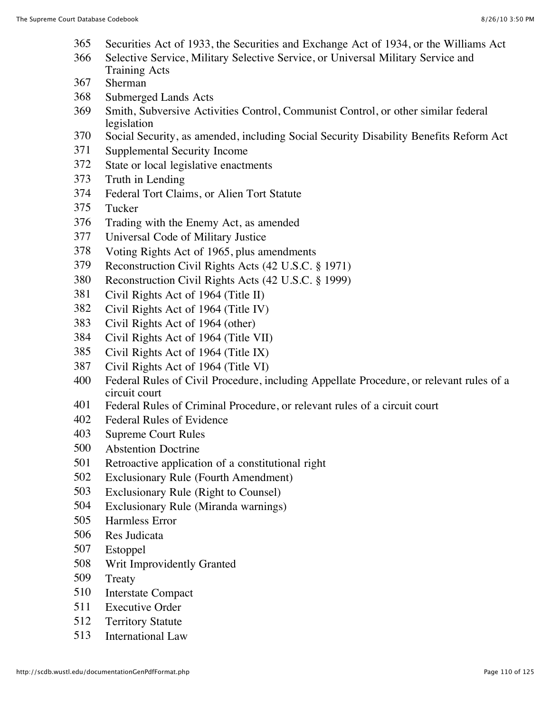- Securities Act of 1933, the Securities and Exchange Act of 1934, or the Williams Act
- Selective Service, Military Selective Service, or Universal Military Service and Training Acts
- Sherman
- Submerged Lands Acts
- Smith, Subversive Activities Control, Communist Control, or other similar federal legislation
- Social Security, as amended, including Social Security Disability Benefits Reform Act
- Supplemental Security Income
- State or local legislative enactments
- Truth in Lending
- Federal Tort Claims, or Alien Tort Statute
- Tucker
- Trading with the Enemy Act, as amended
- Universal Code of Military Justice
- Voting Rights Act of 1965, plus amendments
- Reconstruction Civil Rights Acts (42 U.S.C. § 1971)
- Reconstruction Civil Rights Acts (42 U.S.C. § 1999)
- Civil Rights Act of 1964 (Title II)
- Civil Rights Act of 1964 (Title IV)
- Civil Rights Act of 1964 (other)
- Civil Rights Act of 1964 (Title VII)
- Civil Rights Act of 1964 (Title IX)
- Civil Rights Act of 1964 (Title VI)
- Federal Rules of Civil Procedure, including Appellate Procedure, or relevant rules of a circuit court
- Federal Rules of Criminal Procedure, or relevant rules of a circuit court
- Federal Rules of Evidence
- Supreme Court Rules
- Abstention Doctrine
- Retroactive application of a constitutional right
- Exclusionary Rule (Fourth Amendment)
- Exclusionary Rule (Right to Counsel)
- Exclusionary Rule (Miranda warnings)
- Harmless Error
- Res Judicata
- Estoppel
- Writ Improvidently Granted
- Treaty
- Interstate Compact
- Executive Order
- Territory Statute
- International Law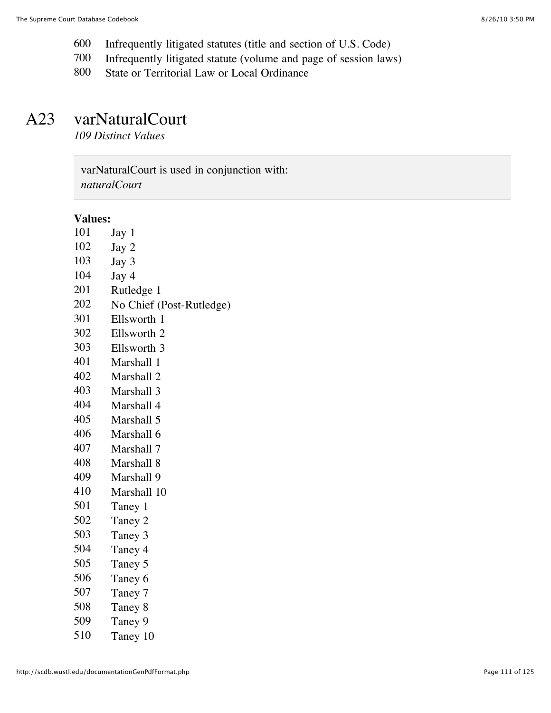- Infrequently litigated statutes (title and section of U.S. Code)
- Infrequently litigated statute (volume and page of session laws)
- State or Territorial Law or Local Ordinance

## A23 varNaturalCourt

*109 Distinct Values*

varNaturalCourt is used in conjunction with: *naturalCourt*

#### **Values:**

- Jay 1
- Jay 2
- Jay 3
- Jay 4
- Rutledge 1
- No Chief (Post-Rutledge)
- Ellsworth 1
- Ellsworth 2
- Ellsworth 3
- Marshall 1
- Marshall 2
- Marshall 3
- Marshall 4
- Marshall 5
- Marshall 6
- Marshall 7
- Marshall 8
- Marshall 9
- Marshall 10
- Taney 1
- Taney 2
- Taney 3
- Taney 4
- Taney 5
- Taney 6
- 
- Taney 7
- Taney 8
- Taney 9
- Taney 10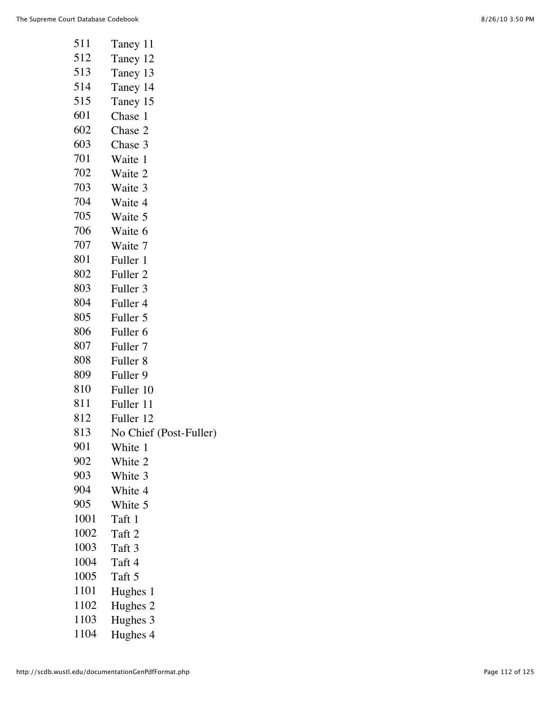| 511  | Taney 11               |
|------|------------------------|
| 512  | Taney 12               |
| 513  | Taney 13               |
| 514  | Taney 14               |
| 515  | Taney 15               |
| 601  | Chase 1                |
| 602  | Chase 2                |
| 603  | Chase 3                |
| 701  | Waite 1                |
| 702  | Waite 2                |
| 703  | Waite 3                |
| 704  | Waite 4                |
| 705  | Waite 5                |
| 706  | Waite 6                |
| 707  | Waite 7                |
| 801  | Fuller 1               |
| 802  | Fuller 2               |
| 803  | Fuller 3               |
| 804  | Fuller 4               |
| 805  | Fuller 5               |
| 806  | Fuller 6               |
| 807  | Fuller 7               |
| 808  | Fuller <sub>8</sub>    |
| 809  | Fuller 9               |
| 810  | Fuller 10              |
| 811  | Fuller 11              |
| 812  | Fuller 12              |
| 813  | No Chief (Post-Fuller) |
| 901  | White 1                |
| 902  | White 2                |
| 903  | White 3                |
| 904  | White 4                |
| 905  | White 5                |
| 1001 | Taft 1                 |
| 1002 | Taft 2                 |
| 1003 | Taft 3                 |
| 1004 | Taft 4                 |
| 1005 | Taft 5                 |
| 1101 | Hughes 1               |
| 1102 | Hughes 2               |
| 1103 | Hughes 3               |
| 1104 | Hughes 4               |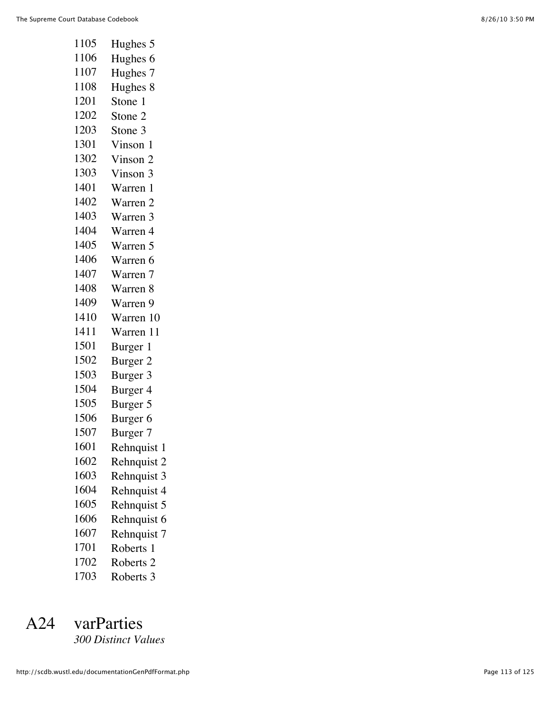| 1105 | Hughes 5             |
|------|----------------------|
| 1106 | Hughes 6             |
| 1107 | Hughes 7             |
| 1108 | Hughes 8             |
| 1201 | Stone 1              |
| 1202 | Stone 2              |
| 1203 | Stone 3              |
| 1301 | Vinson 1             |
| 1302 | Vinson 2             |
| 1303 | Vinson 3             |
| 1401 | Warren 1             |
| 1402 | Warren 2             |
| 1403 | Warren 3             |
| 1404 | Warren 4             |
| 1405 | Warren 5             |
| 1406 | Warren 6             |
| 1407 | Warren 7             |
| 1408 | Warren 8             |
| 1409 | Warren 9             |
| 1410 | Warren 10            |
| 1411 | Warren 11            |
| 1501 | Burger 1             |
| 1502 | Burger 2             |
| 1503 | Burger 3             |
| 1504 | Burger 4             |
| 1505 | Burger 5             |
| 1506 | Burger <sub>6</sub>  |
| 1507 | Burger 7             |
| 1601 | Rehnquist 1          |
| 1602 | Rehnquist 2          |
| 1603 | Rehnquist 3          |
| 1604 | Rehnquist 4          |
| 1605 | Rehnquist 5          |
| 1606 | Rehnquist 6          |
| 1607 | Rehnquist 7          |
| 1701 | Roberts 1            |
| 1702 | Roberts <sub>2</sub> |
| 1703 | Roberts 3            |

# A24 varParties

*300 Distinct Values*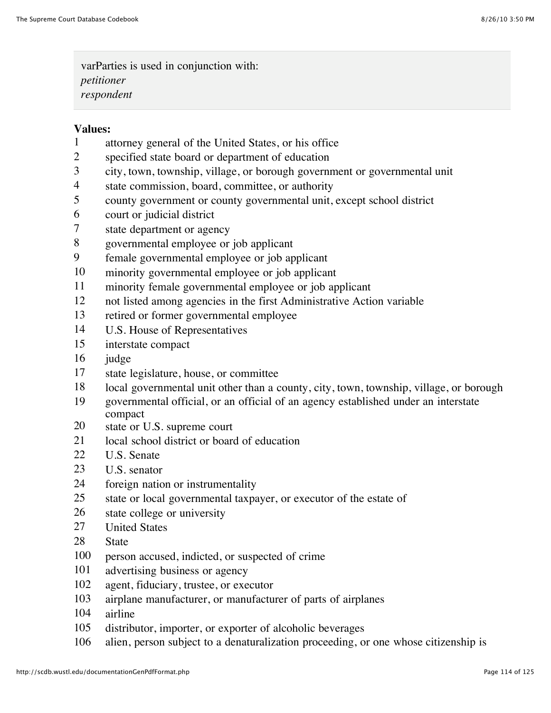varParties is used in conjunction with: *petitioner respondent*

#### **Values:**

- attorney general of the United States, or his office
- specified state board or department of education
- city, town, township, village, or borough government or governmental unit
- state commission, board, committee, or authority
- county government or county governmental unit, except school district
- court or judicial district
- state department or agency
- governmental employee or job applicant
- female governmental employee or job applicant
- minority governmental employee or job applicant
- minority female governmental employee or job applicant
- not listed among agencies in the first Administrative Action variable
- retired or former governmental employee
- U.S. House of Representatives
- interstate compact
- judge
- state legislature, house, or committee
- local governmental unit other than a county, city, town, township, village, or borough
- governmental official, or an official of an agency established under an interstate compact
- state or U.S. supreme court
- local school district or board of education
- U.S. Senate
- U.S. senator
- foreign nation or instrumentality
- state or local governmental taxpayer, or executor of the estate of
- state college or university
- United States
- State
- person accused, indicted, or suspected of crime
- advertising business or agency
- agent, fiduciary, trustee, or executor
- airplane manufacturer, or manufacturer of parts of airplanes
- airline
- distributor, importer, or exporter of alcoholic beverages
- alien, person subject to a denaturalization proceeding, or one whose citizenship is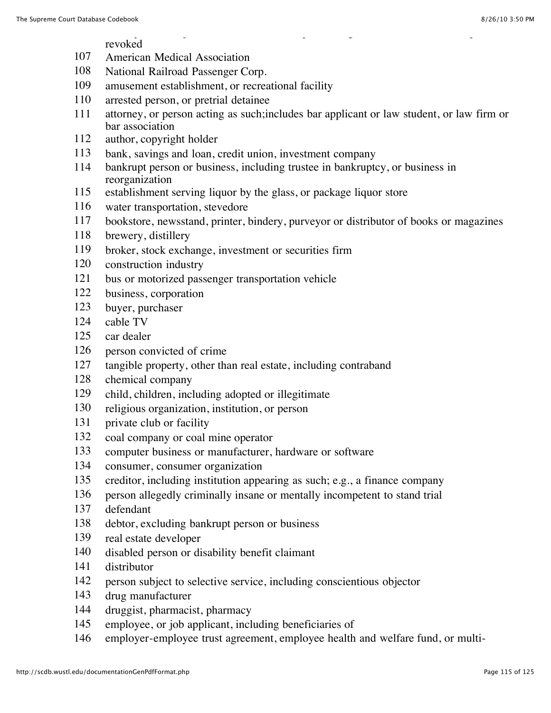#### alien, person subject to a denaturalization proceeding, or one whose citizenship is revoked

- American Medical Association
- National Railroad Passenger Corp.
- amusement establishment, or recreational facility
- arrested person, or pretrial detainee
- attorney, or person acting as such;includes bar applicant or law student, or law firm or bar association
- author, copyright holder
- bank, savings and loan, credit union, investment company
- bankrupt person or business, including trustee in bankruptcy, or business in reorganization
- establishment serving liquor by the glass, or package liquor store
- water transportation, stevedore
- bookstore, newsstand, printer, bindery, purveyor or distributor of books or magazines
- brewery, distillery
- broker, stock exchange, investment or securities firm
- construction industry
- bus or motorized passenger transportation vehicle
- business, corporation
- buyer, purchaser
- cable TV
- car dealer
- person convicted of crime
- tangible property, other than real estate, including contraband
- chemical company
- child, children, including adopted or illegitimate
- religious organization, institution, or person
- private club or facility
- coal company or coal mine operator
- computer business or manufacturer, hardware or software
- consumer, consumer organization
- creditor, including institution appearing as such; e.g., a finance company
- person allegedly criminally insane or mentally incompetent to stand trial
- defendant
- debtor, excluding bankrupt person or business
- real estate developer
- disabled person or disability benefit claimant
- distributor
- person subject to selective service, including conscientious objector
- drug manufacturer
- druggist, pharmacist, pharmacy
- employee, or job applicant, including beneficiaries of
- employer-employee trust agreement, employee health and welfare fund, or multi-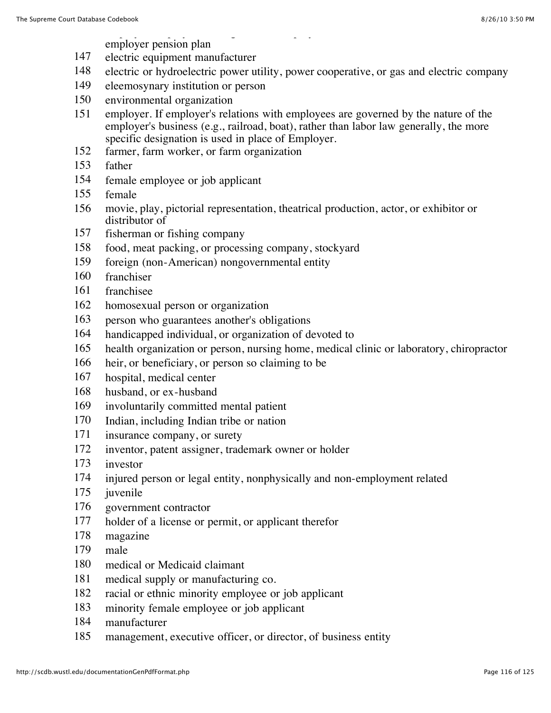#### employer-employee trust agreement, employee health and welfare fund, or multiemployer pension plan

- electric equipment manufacturer
- electric or hydroelectric power utility, power cooperative, or gas and electric company
- eleemosynary institution or person
- environmental organization
- employer. If employer's relations with employees are governed by the nature of the employer's business (e.g., railroad, boat), rather than labor law generally, the more specific designation is used in place of Employer.
- farmer, farm worker, or farm organization
- father
- female employee or job applicant
- female
- movie, play, pictorial representation, theatrical production, actor, or exhibitor or distributor of
- fisherman or fishing company
- food, meat packing, or processing company, stockyard
- foreign (non-American) nongovernmental entity
- franchiser
- franchisee
- homosexual person or organization
- person who guarantees another's obligations
- handicapped individual, or organization of devoted to
- health organization or person, nursing home, medical clinic or laboratory, chiropractor
- heir, or beneficiary, or person so claiming to be
- hospital, medical center
- husband, or ex-husband
- involuntarily committed mental patient
- Indian, including Indian tribe or nation
- insurance company, or surety
- inventor, patent assigner, trademark owner or holder
- investor
- injured person or legal entity, nonphysically and non-employment related
- juvenile
- government contractor
- holder of a license or permit, or applicant therefor
- magazine
- male
- medical or Medicaid claimant
- medical supply or manufacturing co.
- racial or ethnic minority employee or job applicant
- minority female employee or job applicant
- manufacturer
- management, executive officer, or director, of business entity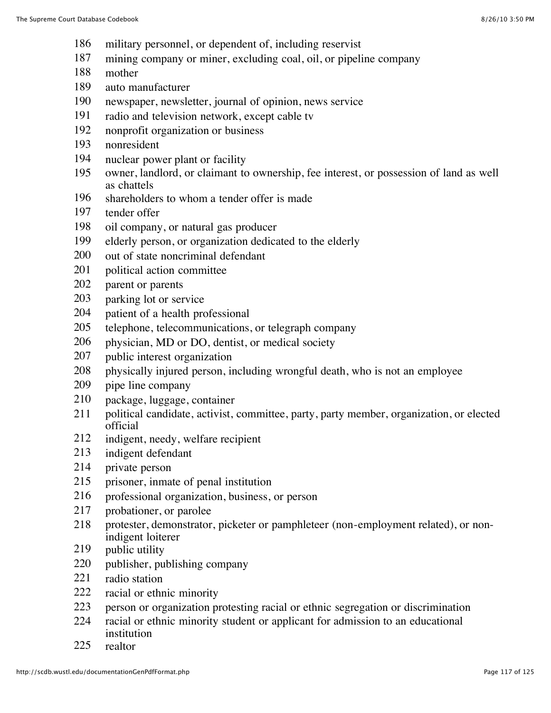- military personnel, or dependent of, including reservist
- mining company or miner, excluding coal, oil, or pipeline company
- mother
- auto manufacturer
- newspaper, newsletter, journal of opinion, news service
- radio and television network, except cable tv
- nonprofit organization or business
- nonresident
- nuclear power plant or facility
- owner, landlord, or claimant to ownership, fee interest, or possession of land as well as chattels
- shareholders to whom a tender offer is made
- tender offer
- oil company, or natural gas producer
- elderly person, or organization dedicated to the elderly
- out of state noncriminal defendant
- political action committee
- parent or parents
- parking lot or service
- patient of a health professional
- telephone, telecommunications, or telegraph company
- physician, MD or DO, dentist, or medical society
- public interest organization
- physically injured person, including wrongful death, who is not an employee
- pipe line company
- package, luggage, container
- political candidate, activist, committee, party, party member, organization, or elected official
- indigent, needy, welfare recipient
- indigent defendant
- private person
- prisoner, inmate of penal institution
- professional organization, business, or person
- probationer, or parolee
- protester, demonstrator, picketer or pamphleteer (non-employment related), or nonindigent loiterer
- 219 public utility
- publisher, publishing company
- radio station
- racial or ethnic minority
- person or organization protesting racial or ethnic segregation or discrimination
- racial or ethnic minority student or applicant for admission to an educational institution
- realtor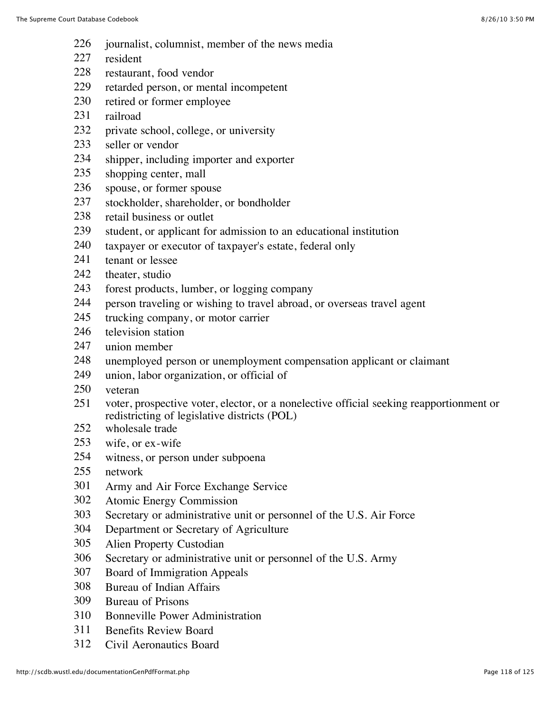- journalist, columnist, member of the news media
- resident
- restaurant, food vendor
- retarded person, or mental incompetent
- retired or former employee
- railroad
- private school, college, or university
- seller or vendor
- shipper, including importer and exporter
- shopping center, mall
- spouse, or former spouse
- stockholder, shareholder, or bondholder
- retail business or outlet
- student, or applicant for admission to an educational institution
- taxpayer or executor of taxpayer's estate, federal only
- tenant or lessee
- 242 theater, studio
- forest products, lumber, or logging company
- person traveling or wishing to travel abroad, or overseas travel agent
- trucking company, or motor carrier
- television station
- union member
- unemployed person or unemployment compensation applicant or claimant
- union, labor organization, or official of
- veteran
- voter, prospective voter, elector, or a nonelective official seeking reapportionment or redistricting of legislative districts (POL)
- 252 wholesale trade
- wife, or ex-wife
- witness, or person under subpoena
- network
- Army and Air Force Exchange Service
- Atomic Energy Commission
- Secretary or administrative unit or personnel of the U.S. Air Force
- Department or Secretary of Agriculture
- Alien Property Custodian
- Secretary or administrative unit or personnel of the U.S. Army
- Board of Immigration Appeals
- Bureau of Indian Affairs
- Bureau of Prisons
- Bonneville Power Administration
- Benefits Review Board
- Civil Aeronautics Board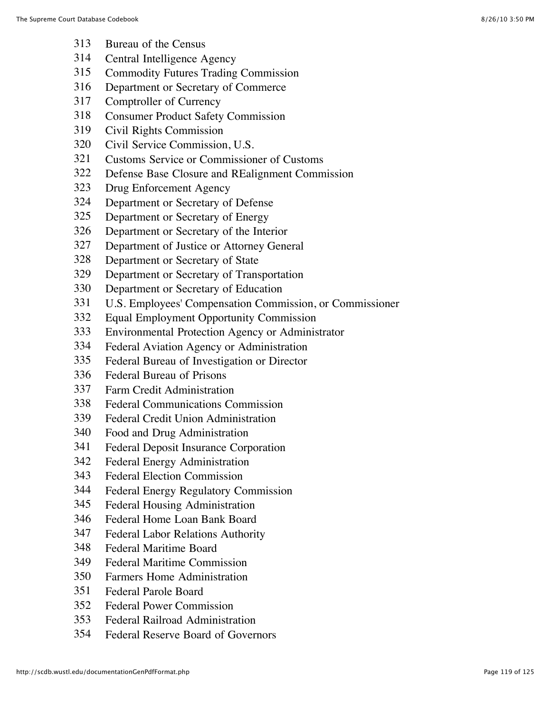- Bureau of the Census
- Central Intelligence Agency
- Commodity Futures Trading Commission
- Department or Secretary of Commerce
- Comptroller of Currency
- Consumer Product Safety Commission
- Civil Rights Commission
- Civil Service Commission, U.S.
- Customs Service or Commissioner of Customs
- Defense Base Closure and REalignment Commission
- Drug Enforcement Agency
- Department or Secretary of Defense
- Department or Secretary of Energy
- Department or Secretary of the Interior
- Department of Justice or Attorney General
- Department or Secretary of State
- Department or Secretary of Transportation
- Department or Secretary of Education
- U.S. Employees' Compensation Commission, or Commissioner
- Equal Employment Opportunity Commission
- Environmental Protection Agency or Administrator
- Federal Aviation Agency or Administration
- Federal Bureau of Investigation or Director
- Federal Bureau of Prisons
- Farm Credit Administration
- Federal Communications Commission
- Federal Credit Union Administration
- Food and Drug Administration
- Federal Deposit Insurance Corporation
- Federal Energy Administration
- Federal Election Commission
- Federal Energy Regulatory Commission
- Federal Housing Administration
- Federal Home Loan Bank Board
- Federal Labor Relations Authority
- Federal Maritime Board
- Federal Maritime Commission
- Farmers Home Administration
- Federal Parole Board
- Federal Power Commission
- Federal Railroad Administration
- Federal Reserve Board of Governors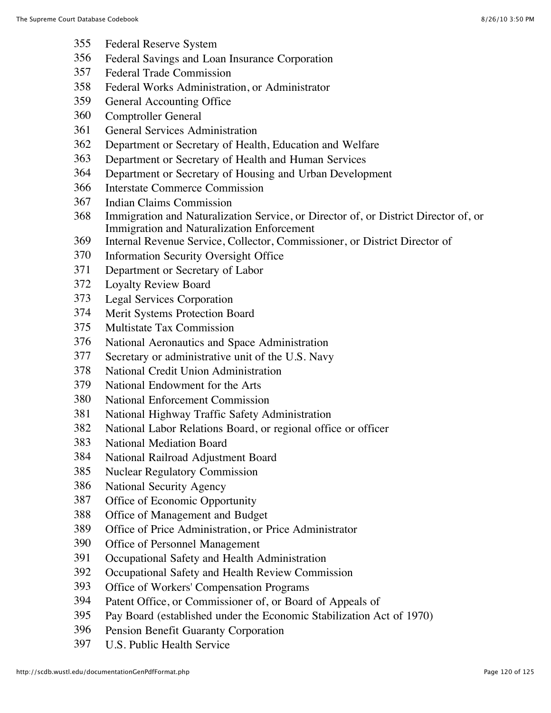- Federal Reserve System
- Federal Savings and Loan Insurance Corporation
- Federal Trade Commission
- Federal Works Administration, or Administrator
- General Accounting Office
- Comptroller General
- General Services Administration
- Department or Secretary of Health, Education and Welfare
- Department or Secretary of Health and Human Services
- Department or Secretary of Housing and Urban Development
- Interstate Commerce Commission
- Indian Claims Commission
- Immigration and Naturalization Service, or Director of, or District Director of, or Immigration and Naturalization Enforcement
- Internal Revenue Service, Collector, Commissioner, or District Director of
- Information Security Oversight Office
- Department or Secretary of Labor
- Loyalty Review Board
- Legal Services Corporation
- Merit Systems Protection Board
- Multistate Tax Commission
- National Aeronautics and Space Administration
- Secretary or administrative unit of the U.S. Navy
- National Credit Union Administration
- National Endowment for the Arts
- National Enforcement Commission
- National Highway Traffic Safety Administration
- National Labor Relations Board, or regional office or officer
- National Mediation Board
- National Railroad Adjustment Board
- Nuclear Regulatory Commission
- National Security Agency
- Office of Economic Opportunity
- Office of Management and Budget
- Office of Price Administration, or Price Administrator
- Office of Personnel Management
- Occupational Safety and Health Administration
- Occupational Safety and Health Review Commission
- Office of Workers' Compensation Programs
- Patent Office, or Commissioner of, or Board of Appeals of
- Pay Board (established under the Economic Stabilization Act of 1970)
- Pension Benefit Guaranty Corporation
- U.S. Public Health Service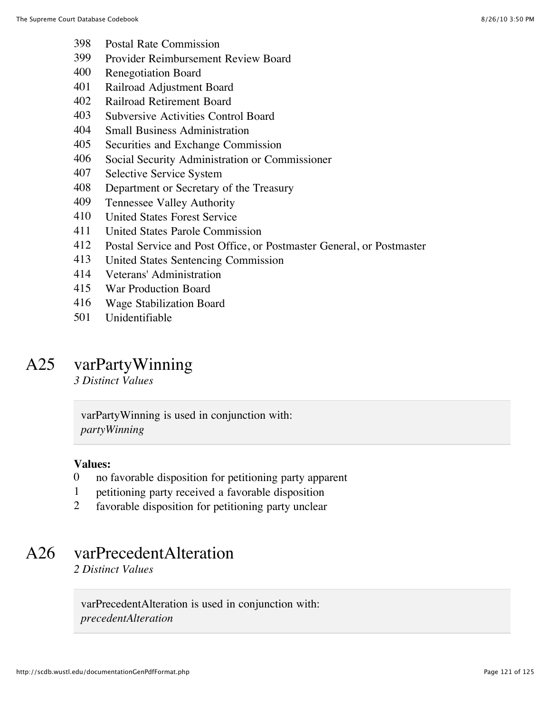- Postal Rate Commission
- Provider Reimbursement Review Board
- Renegotiation Board
- Railroad Adjustment Board
- Railroad Retirement Board
- Subversive Activities Control Board
- Small Business Administration
- Securities and Exchange Commission
- Social Security Administration or Commissioner
- Selective Service System
- Department or Secretary of the Treasury
- Tennessee Valley Authority
- United States Forest Service
- United States Parole Commission
- Postal Service and Post Office, or Postmaster General, or Postmaster
- United States Sentencing Commission
- Veterans' Administration
- War Production Board
- Wage Stabilization Board
- Unidentifiable

## A25 varPartyWinning

*3 Distinct Values*

varPartyWinning is used in conjunction with: *partyWinning*

#### **Values:**

- no favorable disposition for petitioning party apparent
- petitioning party received a favorable disposition
- favorable disposition for petitioning party unclear

## A26 varPrecedentAlteration

*2 Distinct Values*

varPrecedentAlteration is used in conjunction with: *precedentAlteration*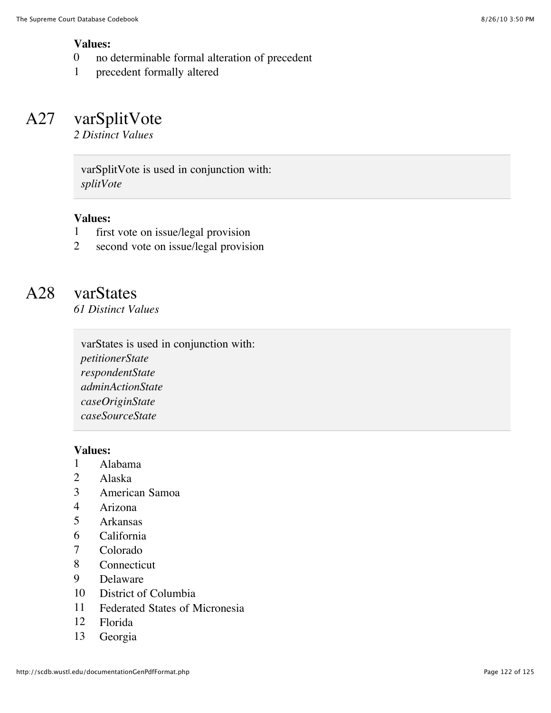#### **Values:**

- 0 no determinable formal alteration of precedent
- 1 precedent formally altered

# A27 varSplitVote

*2 Distinct Values*

varSplitVote is used in conjunction with: *splitVote*

#### **Values:**

- 1 first vote on issue/legal provision
- 2 second vote on issue/legal provision

# A28 varStates

*61 Distinct Values*

varStates is used in conjunction with: *petitionerState respondentState adminActionState caseOriginState caseSourceState*

#### **Values:**

- 1 Alabama
- 2 Alaska
- 3 American Samoa
- 4 Arizona<br>5 Arkansas
- 5 Arkansas
- 6 California
- 7 Colorado
- 8 Connecticut
- 9 Delaware
- 10 District of Columbia
- 11 Federated States of Micronesia
- 12 Florida
- 13 Georgia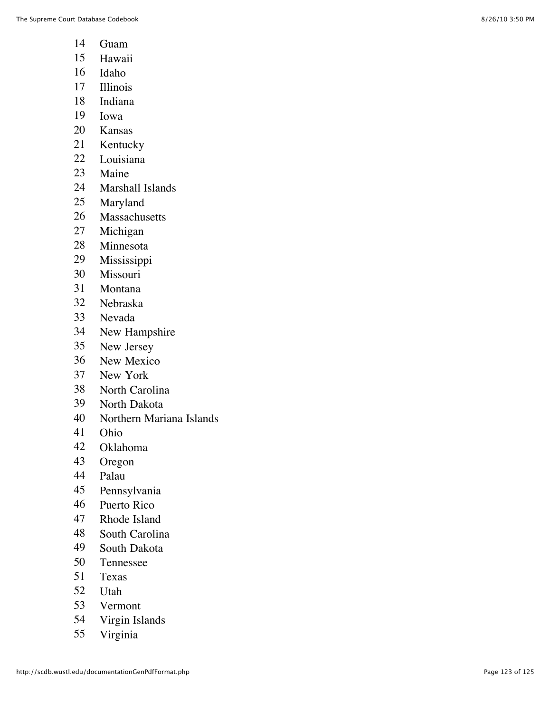- Guam
- Hawaii
- Idaho
- Illinois
- Indiana
- Iowa
- Kansas
- Kentucky
- Louisiana
- Maine
- Marshall Islands
- Maryland
- Massachusetts
- Michigan
- Minnesota
- Mississippi
- Missouri
- Montana
- Nebraska
- Nevada
- New Hampshire
- New Jersey
- New Mexico
- New York
- North Carolina
- North Dakota
- Northern Mariana Islands
- Ohio
- Oklahoma
- Oregon
- Palau
- Pennsylvania
- Puerto Rico
- Rhode Island
- South Carolina
- South Dakota
- Tennessee
- Texas
- Utah
- Vermont
- Virgin Islands
- Virginia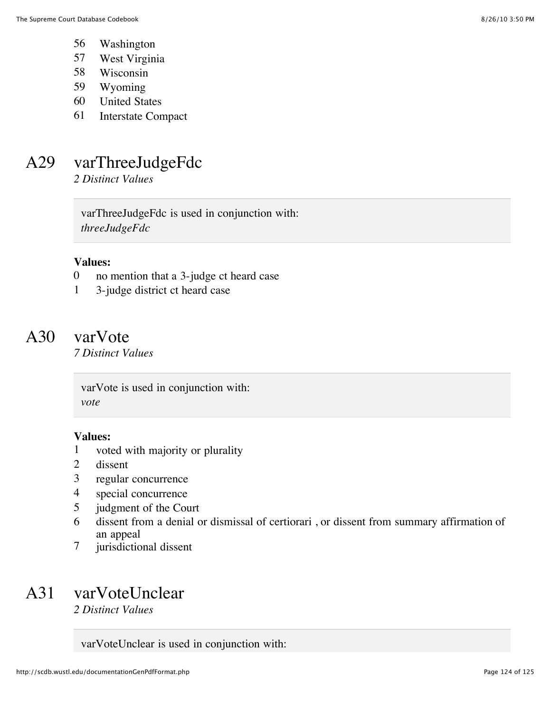- 56 Washington
- 57 West Virginia
- 58 Wisconsin
- 59 Wyoming
- 60 United States
- 61 Interstate Compact

# A29 varThreeJudgeFdc

*2 Distinct Values*

varThreeJudgeFdc is used in conjunction with: *threeJudgeFdc*

#### **Values:**

- 0 no mention that a 3-judge ct heard case
- 1 3-judge district ct heard case

### A30 varVote

*7 Distinct Values*

varVote is used in conjunction with: *vote*

#### **Values:**

- 1 voted with majority or plurality
- 2 dissent
- 3 regular concurrence
- 4 special concurrence
- 5 judgment of the Court
- 6 dissent from a denial or dismissal of certiorari , or dissent from summary affirmation of an appeal
- 7 jurisdictional dissent

# A31 varVoteUnclear

*2 Distinct Values*

varVoteUnclear is used in conjunction with: